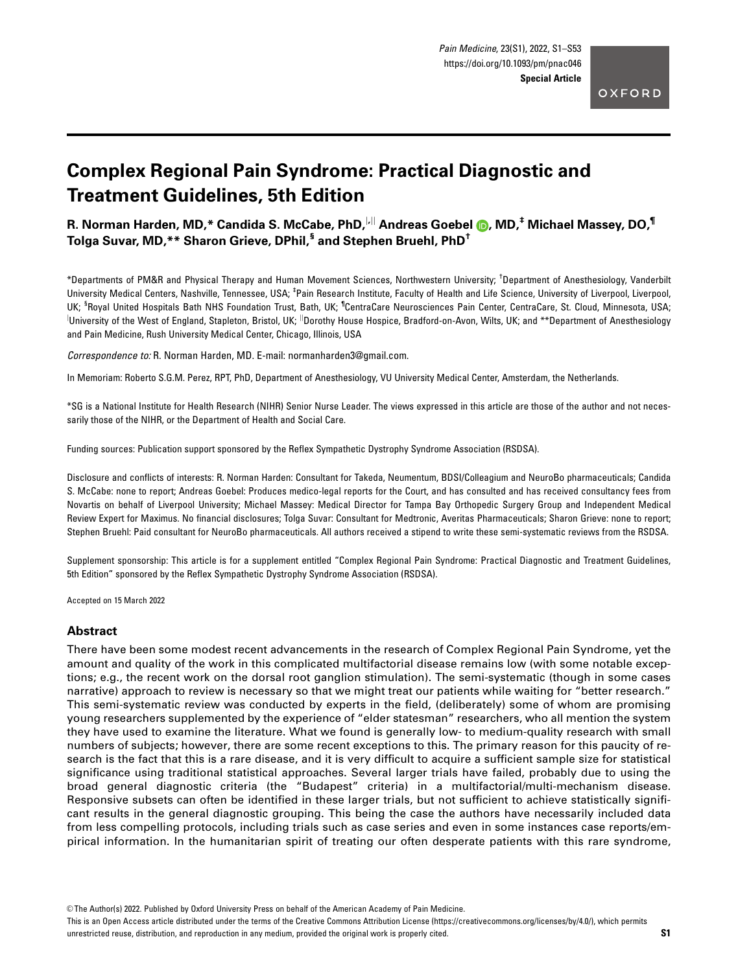# Complex Regional Pain Syndrome: Practical Diagnostic and Treatment Guidelines, 5th Edition

## R. Norman Harden, MD,\* Candida S. McCabe, PhD, $^{[,]}$  Andreas Goebel  $^{[,]}$ , MD,<sup>‡</sup> Michael Massey, DO,<sup>¶</sup> Tolga Suvar, MD,\*\* Sharon Grieve, DPhil,<sup>§</sup> and Stephen Bruehl, PhD<sup>†</sup>

\*Departments of PM&R and Physical Therapy and Human Movement Sciences, Northwestern University; † Department of Anesthesiology, Vanderbilt University Medical Centers, Nashville, Tennessee, USA; <sup>‡</sup>Pain Research Institute, Faculty of Health and Life Science, University of Liverpool, Liverpool, UK; <sup>s</sup>Royal United Hospitals Bath NHS Foundation Trust, Bath, UK; <sup>¶</sup>CentraCare Neurosciences Pain Center, CentraCare, St. Cloud, Minnesota, USA; University of the West of England, Stapleton, Bristol, UK; <sup>||</sup>Dorothy House Hospice, Bradford-on-Avon, Wilts, UK; and \*\*Department of Anesthesiology and Pain Medicine, Rush University Medical Center, Chicago, Illinois, USA

Correspondence to: R. Norman Harden, MD. E-mail: normanharden3@gmail.com.

In Memoriam: Roberto S.G.M. Perez, RPT, PhD, Department of Anesthesiology, VU University Medical Center, Amsterdam, the Netherlands.

\*SG is a National Institute for Health Research (NIHR) Senior Nurse Leader. The views expressed in this article are those of the author and not necessarily those of the NIHR, or the Department of Health and Social Care.

Funding sources: Publication support sponsored by the Reflex Sympathetic Dystrophy Syndrome Association (RSDSA).

Disclosure and conflicts of interests: R. Norman Harden: Consultant for Takeda, Neumentum, BDSI/Colleagium and NeuroBo pharmaceuticals; Candida S. McCabe: none to report; Andreas Goebel: Produces medico-legal reports for the Court, and has consulted and has received consultancy fees from Novartis on behalf of Liverpool University; Michael Massey: Medical Director for Tampa Bay Orthopedic Surgery Group and Independent Medical Review Expert for Maximus. No financial disclosures; Tolga Suvar: Consultant for Medtronic, Averitas Pharmaceuticals; Sharon Grieve: none to report; Stephen Bruehl: Paid consultant for NeuroBo pharmaceuticals. All authors received a stipend to write these semi-systematic reviews from the RSDSA.

Supplement sponsorship: This article is for a supplement entitled "Complex Regional Pain Syndrome: Practical Diagnostic and Treatment Guidelines, 5th Edition" sponsored by the Reflex Sympathetic Dystrophy Syndrome Association (RSDSA).

Accepted on 15 March 2022

#### Abstract

There have been some modest recent advancements in the research of Complex Regional Pain Syndrome, yet the amount and quality of the work in this complicated multifactorial disease remains low (with some notable exceptions; e.g., the recent work on the dorsal root ganglion stimulation). The semi-systematic (though in some cases narrative) approach to review is necessary so that we might treat our patients while waiting for "better research." This semi-systematic review was conducted by experts in the field, (deliberately) some of whom are promising young researchers supplemented by the experience of "elder statesman" researchers, who all mention the system they have used to examine the literature. What we found is generally low- to medium-quality research with small numbers of subjects; however, there are some recent exceptions to this. The primary reason for this paucity of research is the fact that this is a rare disease, and it is very difficult to acquire a sufficient sample size for statistical significance using traditional statistical approaches. Several larger trials have failed, probably due to using the broad general diagnostic criteria (the "Budapest" criteria) in a multifactorial/multi-mechanism disease. Responsive subsets can often be identified in these larger trials, but not sufficient to achieve statistically significant results in the general diagnostic grouping. This being the case the authors have necessarily included data from less compelling protocols, including trials such as case series and even in some instances case reports/empirical information. In the humanitarian spirit of treating our often desperate patients with this rare syndrome,

This is an Open Access article distributed under the terms of the Creative Commons Attribution License (https://creativecommons.org/licenses/by/4.0/), which permits unrestricted reuse, distribution, and reproduction in any medium, provided the original work is properly cited.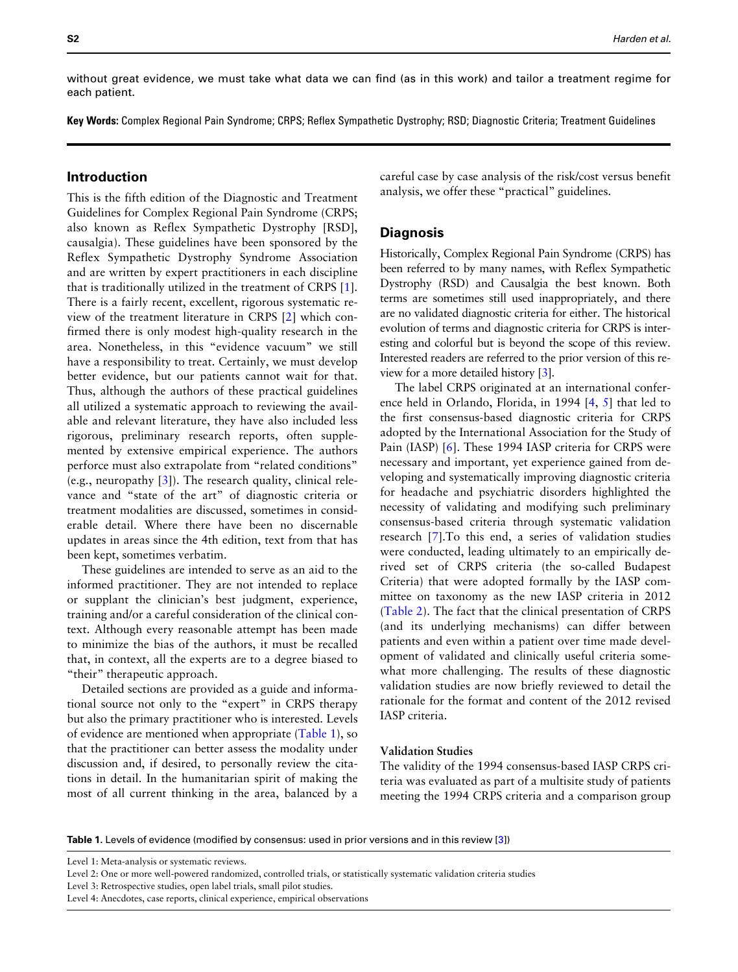without great evidence, we must take what data we can find (as in this work) and tailor a treatment regime for each patient.

Key Words: Complex Regional Pain Syndrome; CRPS; Reflex Sympathetic Dystrophy; RSD; Diagnostic Criteria; Treatment Guidelines

## Introduction

This is the fifth edition of the Diagnostic and Treatment Guidelines for Complex Regional Pain Syndrome (CRPS; also known as Reflex Sympathetic Dystrophy [RSD], causalgia). These guidelines have been sponsored by the Reflex Sympathetic Dystrophy Syndrome Association and are written by expert practitioners in each discipline that is traditionally utilized in the treatment of CRPS [[1](#page-39-0)]. There is a fairly recent, excellent, rigorous systematic review of the treatment literature in CRPS [[2](#page-39-0)] which confirmed there is only modest high-quality research in the area. Nonetheless, in this "evidence vacuum" we still have a responsibility to treat. Certainly, we must develop better evidence, but our patients cannot wait for that. Thus, although the authors of these practical guidelines all utilized a systematic approach to reviewing the available and relevant literature, they have also included less rigorous, preliminary research reports, often supplemented by extensive empirical experience. The authors perforce must also extrapolate from "related conditions" (e.g., neuropathy [\[3\]](#page-39-0)). The research quality, clinical relevance and "state of the art" of diagnostic criteria or treatment modalities are discussed, sometimes in considerable detail. Where there have been no discernable updates in areas since the 4th edition, text from that has been kept, sometimes verbatim.

These guidelines are intended to serve as an aid to the informed practitioner. They are not intended to replace or supplant the clinician's best judgment, experience, training and/or a careful consideration of the clinical context. Although every reasonable attempt has been made to minimize the bias of the authors, it must be recalled that, in context, all the experts are to a degree biased to "their" therapeutic approach.

Detailed sections are provided as a guide and informational source not only to the "expert" in CRPS therapy but also the primary practitioner who is interested. Levels of evidence are mentioned when appropriate (Table 1), so that the practitioner can better assess the modality under discussion and, if desired, to personally review the citations in detail. In the humanitarian spirit of making the most of all current thinking in the area, balanced by a

careful case by case analysis of the risk/cost versus benefit analysis, we offer these "practical" guidelines.

#### **Diagnosis**

Historically, Complex Regional Pain Syndrome (CRPS) has been referred to by many names, with Reflex Sympathetic Dystrophy (RSD) and Causalgia the best known. Both terms are sometimes still used inappropriately, and there are no validated diagnostic criteria for either. The historical evolution of terms and diagnostic criteria for CRPS is interesting and colorful but is beyond the scope of this review. Interested readers are referred to the prior version of this review for a more detailed history [\[3\]](#page-39-0).

The label CRPS originated at an international conference held in Orlando, Florida, in 1994 [[4,](#page-39-0) [5](#page-39-0)] that led to the first consensus-based diagnostic criteria for CRPS adopted by the International Association for the Study of Pain (IASP) [\[6](#page-39-0)]. These 1994 IASP criteria for CRPS were necessary and important, yet experience gained from developing and systematically improving diagnostic criteria for headache and psychiatric disorders highlighted the necessity of validating and modifying such preliminary consensus-based criteria through systematic validation research [[7\]](#page-39-0).To this end, a series of validation studies were conducted, leading ultimately to an empirically derived set of CRPS criteria (the so-called Budapest Criteria) that were adopted formally by the IASP committee on taxonomy as the new IASP criteria in 2012 [\(Table 2](#page-2-0)). The fact that the clinical presentation of CRPS (and its underlying mechanisms) can differ between patients and even within a patient over time made development of validated and clinically useful criteria somewhat more challenging. The results of these diagnostic validation studies are now briefly reviewed to detail the rationale for the format and content of the 2012 revised IASP criteria.

#### Validation Studies

The validity of the 1994 consensus-based IASP CRPS criteria was evaluated as part of a multisite study of patients meeting the 1994 CRPS criteria and a comparison group

Table 1. Levels of evidence (modified by consensus: used in prior versions and in this review [[3](#page-39-0)])

Level 1: Meta-analysis or systematic reviews.

Level 2: One or more well-powered randomized, controlled trials, or statistically systematic validation criteria studies

Level 3: Retrospective studies, open label trials, small pilot studies.

Level 4: Anecdotes, case reports, clinical experience, empirical observations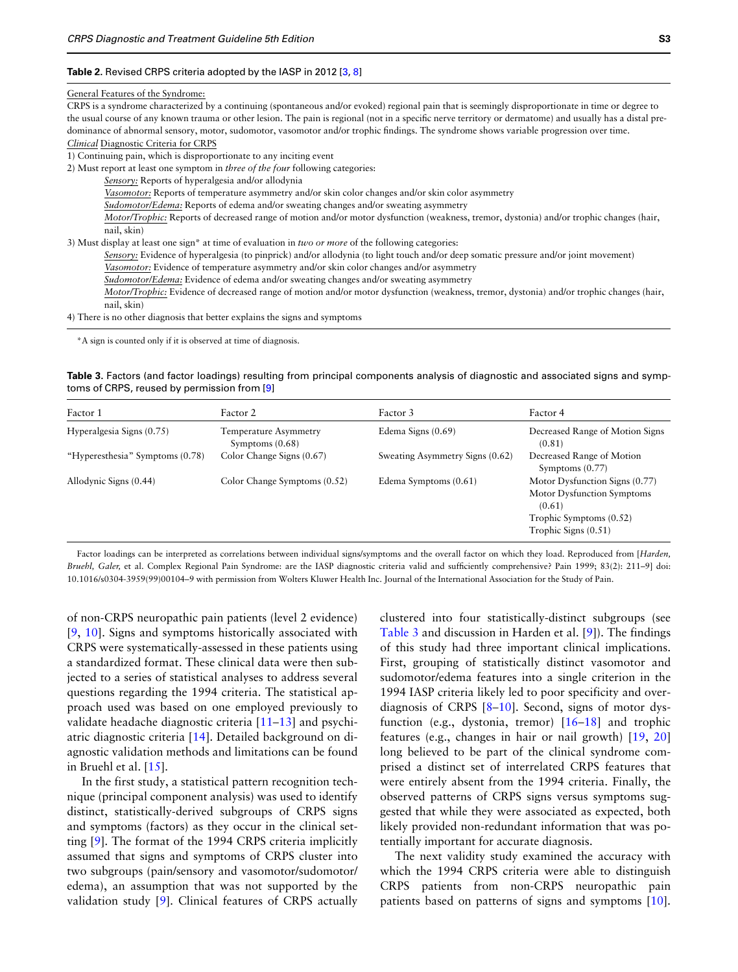<span id="page-2-0"></span>General Features of the Syndrome:

CRPS is a syndrome characterized by a continuing (spontaneous and/or evoked) regional pain that is seemingly disproportionate in time or degree to the usual course of any known trauma or other lesion. The pain is regional (not in a specific nerve territory or dermatome) and usually has a distal predominance of abnormal sensory, motor, sudomotor, vasomotor and/or trophic findings. The syndrome shows variable progression over time. Clinical Diagnostic Criteria for CRPS

1) Continuing pain, which is disproportionate to any inciting event

2) Must report at least one symptom in three of the four following categories:

Sensory: Reports of hyperalgesia and/or allodynia

Vasomotor: Reports of temperature asymmetry and/or skin color changes and/or skin color asymmetry

Sudomotor/Edema: Reports of edema and/or sweating changes and/or sweating asymmetry

Motor/Trophic: Reports of decreased range of motion and/or motor dysfunction (weakness, tremor, dystonia) and/or trophic changes (hair, nail, skin)

3) Must display at least one sign\* at time of evaluation in two or more of the following categories:

Sensory: Evidence of hyperalgesia (to pinprick) and/or allodynia (to light touch and/or deep somatic pressure and/or joint movement)

- Vasomotor: Evidence of temperature asymmetry and/or skin color changes and/or asymmetry
- Sudomotor/Edema: Evidence of edema and/or sweating changes and/or sweating asymmetry

Motor/Trophic: Evidence of decreased range of motion and/or motor dysfunction (weakness, tremor, dystonia) and/or trophic changes (hair, nail, skin)

4) There is no other diagnosis that better explains the signs and symptoms

\*A sign is counted only if it is observed at time of diagnosis.

Table 3. Factors (and factor loadings) resulting from principal components analysis of diagnostic and associated signs and symptoms of CRPS, reused by permission from [\[9](#page-39-0)]

| Factor 1                        | Factor 2                                   | Factor 3                        | Factor 4                                                                                                                  |
|---------------------------------|--------------------------------------------|---------------------------------|---------------------------------------------------------------------------------------------------------------------------|
| Hyperalgesia Signs (0.75)       | Temperature Asymmetry<br>Symptoms $(0.68)$ | Edema Signs $(0.69)$            | Decreased Range of Motion Signs<br>(0.81)                                                                                 |
| "Hyperesthesia" Symptoms (0.78) | Color Change Signs (0.67)                  | Sweating Asymmetry Signs (0.62) | Decreased Range of Motion<br>Symptoms $(0.77)$                                                                            |
| Allodynic Signs (0.44)          | Color Change Symptoms (0.52)               | Edema Symptoms (0.61)           | Motor Dysfunction Signs (0.77)<br>Motor Dysfunction Symptoms<br>(0.61)<br>Trophic Symptoms (0.52)<br>Trophic Signs (0.51) |

Factor loadings can be interpreted as correlations between individual signs/symptoms and the overall factor on which they load. Reproduced from [Harden, Bruehl, Galer, et al. Complex Regional Pain Syndrome: are the IASP diagnostic criteria valid and sufficiently comprehensive? Pain 1999; 83(2): 211-9] doi: 10.1016/s0304-3959(99)00104–9 with permission from Wolters Kluwer Health Inc. Journal of the International Association for the Study of Pain.

of non-CRPS neuropathic pain patients (level 2 evidence) [\[9](#page-39-0), [10\]](#page-39-0). Signs and symptoms historically associated with CRPS were systematically-assessed in these patients using a standardized format. These clinical data were then subjected to a series of statistical analyses to address several questions regarding the 1994 criteria. The statistical approach used was based on one employed previously to validate headache diagnostic criteria [\[11–13\]](#page-39-0) and psychiatric diagnostic criteria [\[14\]](#page-39-0). Detailed background on diagnostic validation methods and limitations can be found in Bruehl et al. [\[15\]](#page-39-0).

In the first study, a statistical pattern recognition technique (principal component analysis) was used to identify distinct, statistically-derived subgroups of CRPS signs and symptoms (factors) as they occur in the clinical setting [[9](#page-39-0)]. The format of the 1994 CRPS criteria implicitly assumed that signs and symptoms of CRPS cluster into two subgroups (pain/sensory and vasomotor/sudomotor/ edema), an assumption that was not supported by the validation study [\[9\]](#page-39-0). Clinical features of CRPS actually clustered into four statistically-distinct subgroups (see Table 3 and discussion in Harden et al. [[9](#page-39-0)]). The findings of this study had three important clinical implications. First, grouping of statistically distinct vasomotor and sudomotor/edema features into a single criterion in the 1994 IASP criteria likely led to poor specificity and overdiagnosis of CRPS  $[8-10]$ . Second, signs of motor dysfunction (e.g., dystonia, tremor) [[16–18\]](#page-39-0) and trophic features (e.g., changes in hair or nail growth) [[19](#page-39-0), [20\]](#page-40-0) long believed to be part of the clinical syndrome comprised a distinct set of interrelated CRPS features that were entirely absent from the 1994 criteria. Finally, the observed patterns of CRPS signs versus symptoms suggested that while they were associated as expected, both likely provided non-redundant information that was potentially important for accurate diagnosis.

The next validity study examined the accuracy with which the 1994 CRPS criteria were able to distinguish CRPS patients from non-CRPS neuropathic pain patients based on patterns of signs and symptoms [[10](#page-39-0)].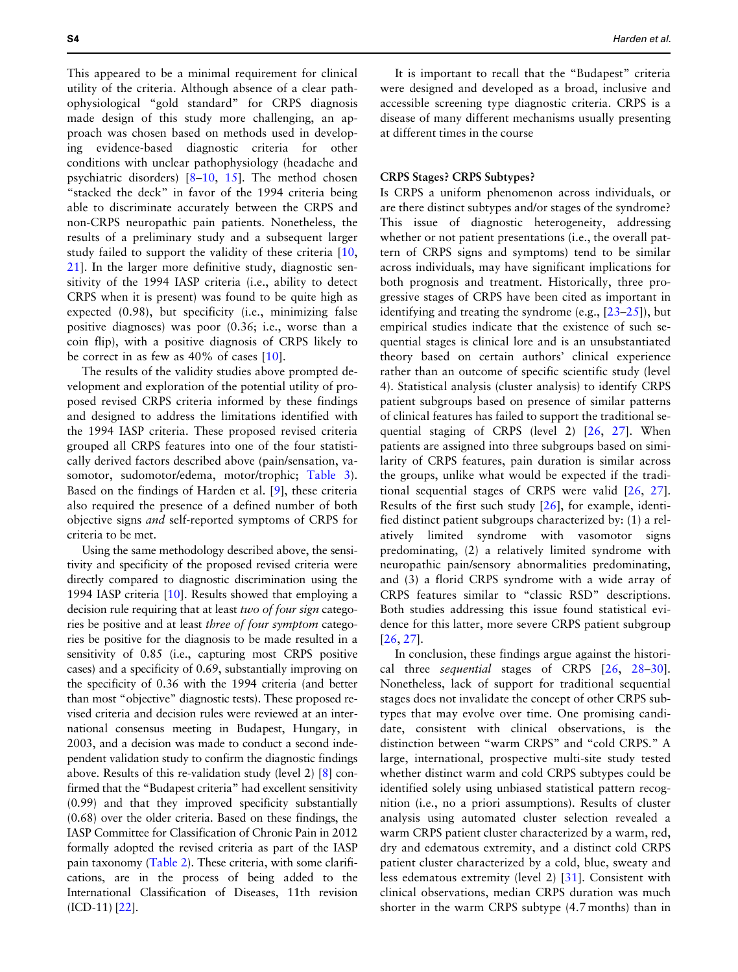This appeared to be a minimal requirement for clinical utility of the criteria. Although absence of a clear pathophysiological "gold standard" for CRPS diagnosis made design of this study more challenging, an approach was chosen based on methods used in developing evidence-based diagnostic criteria for other conditions with unclear pathophysiology (headache and psychiatric disorders) [[8–10](#page-39-0), [15](#page-39-0)]. The method chosen "stacked the deck" in favor of the 1994 criteria being able to discriminate accurately between the CRPS and non-CRPS neuropathic pain patients. Nonetheless, the results of a preliminary study and a subsequent larger study failed to support the validity of these criteria [[10](#page-39-0), [21](#page-40-0)]. In the larger more definitive study, diagnostic sensitivity of the 1994 IASP criteria (i.e., ability to detect CRPS when it is present) was found to be quite high as expected (0.98), but specificity (i.e., minimizing false positive diagnoses) was poor (0.36; i.e., worse than a coin flip), with a positive diagnosis of CRPS likely to be correct in as few as 40% of cases [[10](#page-39-0)].

The results of the validity studies above prompted development and exploration of the potential utility of proposed revised CRPS criteria informed by these findings and designed to address the limitations identified with the 1994 IASP criteria. These proposed revised criteria grouped all CRPS features into one of the four statistically derived factors described above (pain/sensation, vasomotor, sudomotor/edema, motor/trophic; [Table 3](#page-2-0)). Based on the findings of Harden et al. [\[9\]](#page-39-0), these criteria also required the presence of a defined number of both objective signs and self-reported symptoms of CRPS for criteria to be met.

Using the same methodology described above, the sensitivity and specificity of the proposed revised criteria were directly compared to diagnostic discrimination using the 1994 IASP criteria [[10\]](#page-39-0). Results showed that employing a decision rule requiring that at least two of four sign categories be positive and at least three of four symptom categories be positive for the diagnosis to be made resulted in a sensitivity of 0.85 (i.e., capturing most CRPS positive cases) and a specificity of 0.69, substantially improving on the specificity of 0.36 with the 1994 criteria (and better than most "objective" diagnostic tests). These proposed revised criteria and decision rules were reviewed at an international consensus meeting in Budapest, Hungary, in 2003, and a decision was made to conduct a second independent validation study to confirm the diagnostic findings above. Results of this re-validation study (level 2) [\[8](#page-39-0)] confirmed that the "Budapest criteria" had excellent sensitivity (0.99) and that they improved specificity substantially (0.68) over the older criteria. Based on these findings, the IASP Committee for Classification of Chronic Pain in 2012 formally adopted the revised criteria as part of the IASP pain taxonomy [\(Table 2\)](#page-2-0). These criteria, with some clarifications, are in the process of being added to the International Classification of Diseases, 11th revision (ICD-11) [[22\]](#page-40-0).

It is important to recall that the "Budapest" criteria were designed and developed as a broad, inclusive and accessible screening type diagnostic criteria. CRPS is a disease of many different mechanisms usually presenting at different times in the course

#### CRPS Stages? CRPS Subtypes?

Is CRPS a uniform phenomenon across individuals, or are there distinct subtypes and/or stages of the syndrome? This issue of diagnostic heterogeneity, addressing whether or not patient presentations (i.e., the overall pattern of CRPS signs and symptoms) tend to be similar across individuals, may have significant implications for both prognosis and treatment. Historically, three progressive stages of CRPS have been cited as important in identifying and treating the syndrome (e.g., [[23–25\]](#page-40-0)), but empirical studies indicate that the existence of such sequential stages is clinical lore and is an unsubstantiated theory based on certain authors' clinical experience rather than an outcome of specific scientific study (level 4). Statistical analysis (cluster analysis) to identify CRPS patient subgroups based on presence of similar patterns of clinical features has failed to support the traditional sequential staging of CRPS (level 2) [\[26,](#page-40-0) [27](#page-40-0)]. When patients are assigned into three subgroups based on similarity of CRPS features, pain duration is similar across the groups, unlike what would be expected if the traditional sequential stages of CRPS were valid [\[26,](#page-40-0) [27](#page-40-0)]. Results of the first such study [\[26\]](#page-40-0), for example, identified distinct patient subgroups characterized by: (1) a relatively limited syndrome with vasomotor signs predominating, (2) a relatively limited syndrome with neuropathic pain/sensory abnormalities predominating, and (3) a florid CRPS syndrome with a wide array of CRPS features similar to "classic RSD" descriptions. Both studies addressing this issue found statistical evidence for this latter, more severe CRPS patient subgroup [\[26,](#page-40-0) [27](#page-40-0)].

In conclusion, these findings argue against the historical three sequential stages of CRPS [\[26,](#page-40-0) [28–30](#page-40-0)]. Nonetheless, lack of support for traditional sequential stages does not invalidate the concept of other CRPS subtypes that may evolve over time. One promising candidate, consistent with clinical observations, is the distinction between "warm CRPS" and "cold CRPS." A large, international, prospective multi-site study tested whether distinct warm and cold CRPS subtypes could be identified solely using unbiased statistical pattern recognition (i.e., no a priori assumptions). Results of cluster analysis using automated cluster selection revealed a warm CRPS patient cluster characterized by a warm, red, dry and edematous extremity, and a distinct cold CRPS patient cluster characterized by a cold, blue, sweaty and less edematous extremity (level 2) [[31](#page-40-0)]. Consistent with clinical observations, median CRPS duration was much shorter in the warm CRPS subtype (4.7 months) than in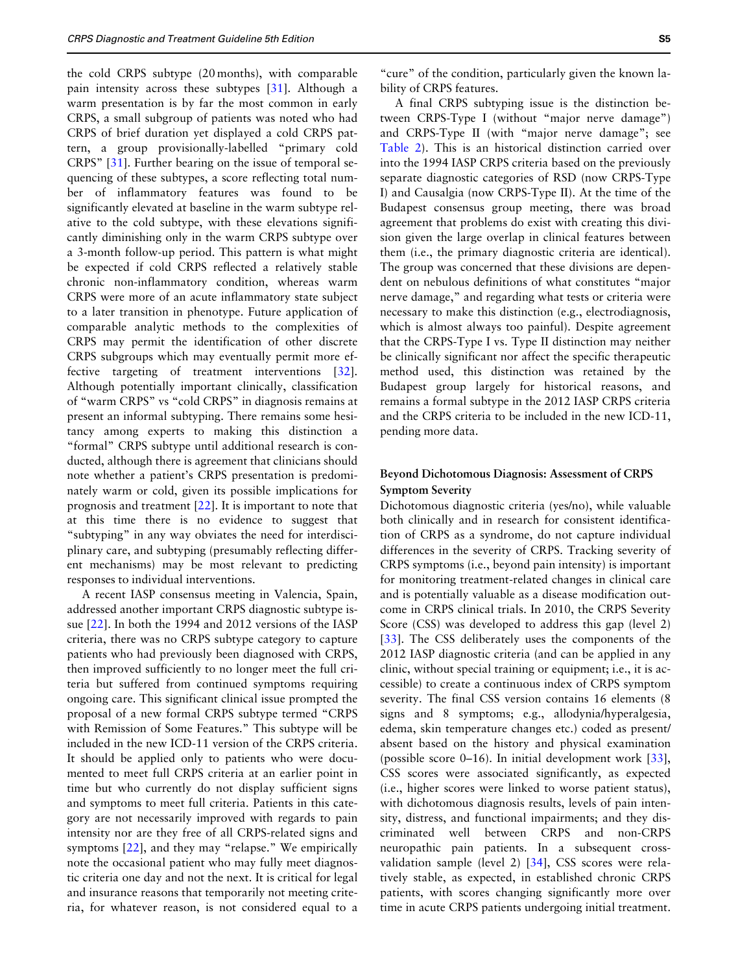the cold CRPS subtype (20 months), with comparable pain intensity across these subtypes [[31](#page-40-0)]. Although a warm presentation is by far the most common in early CRPS, a small subgroup of patients was noted who had CRPS of brief duration yet displayed a cold CRPS pattern, a group provisionally-labelled "primary cold CRPS" [[31](#page-40-0)]. Further bearing on the issue of temporal sequencing of these subtypes, a score reflecting total number of inflammatory features was found to be significantly elevated at baseline in the warm subtype relative to the cold subtype, with these elevations significantly diminishing only in the warm CRPS subtype over a 3-month follow-up period. This pattern is what might be expected if cold CRPS reflected a relatively stable chronic non-inflammatory condition, whereas warm CRPS were more of an acute inflammatory state subject to a later transition in phenotype. Future application of comparable analytic methods to the complexities of CRPS may permit the identification of other discrete CRPS subgroups which may eventually permit more effective targeting of treatment interventions [[32](#page-40-0)]. Although potentially important clinically, classification of "warm CRPS" vs "cold CRPS" in diagnosis remains at present an informal subtyping. There remains some hesitancy among experts to making this distinction a "formal" CRPS subtype until additional research is conducted, although there is agreement that clinicians should note whether a patient's CRPS presentation is predominately warm or cold, given its possible implications for prognosis and treatment [\[22\]](#page-40-0). It is important to note that at this time there is no evidence to suggest that "subtyping" in any way obviates the need for interdisciplinary care, and subtyping (presumably reflecting different mechanisms) may be most relevant to predicting responses to individual interventions.

A recent IASP consensus meeting in Valencia, Spain, addressed another important CRPS diagnostic subtype issue [[22\]](#page-40-0). In both the 1994 and 2012 versions of the IASP criteria, there was no CRPS subtype category to capture patients who had previously been diagnosed with CRPS, then improved sufficiently to no longer meet the full criteria but suffered from continued symptoms requiring ongoing care. This significant clinical issue prompted the proposal of a new formal CRPS subtype termed "CRPS with Remission of Some Features." This subtype will be included in the new ICD-11 version of the CRPS criteria. It should be applied only to patients who were documented to meet full CRPS criteria at an earlier point in time but who currently do not display sufficient signs and symptoms to meet full criteria. Patients in this category are not necessarily improved with regards to pain intensity nor are they free of all CRPS-related signs and symptoms [[22](#page-40-0)], and they may "relapse." We empirically note the occasional patient who may fully meet diagnostic criteria one day and not the next. It is critical for legal and insurance reasons that temporarily not meeting criteria, for whatever reason, is not considered equal to a

"cure" of the condition, particularly given the known lability of CRPS features.

A final CRPS subtyping issue is the distinction between CRPS-Type I (without "major nerve damage") and CRPS-Type II (with "major nerve damage"; see [Table 2](#page-2-0)). This is an historical distinction carried over into the 1994 IASP CRPS criteria based on the previously separate diagnostic categories of RSD (now CRPS-Type I) and Causalgia (now CRPS-Type II). At the time of the Budapest consensus group meeting, there was broad agreement that problems do exist with creating this division given the large overlap in clinical features between them (i.e., the primary diagnostic criteria are identical). The group was concerned that these divisions are dependent on nebulous definitions of what constitutes "major nerve damage," and regarding what tests or criteria were necessary to make this distinction (e.g., electrodiagnosis, which is almost always too painful). Despite agreement that the CRPS-Type I vs. Type II distinction may neither be clinically significant nor affect the specific therapeutic method used, this distinction was retained by the Budapest group largely for historical reasons, and remains a formal subtype in the 2012 IASP CRPS criteria and the CRPS criteria to be included in the new ICD-11, pending more data.

## Beyond Dichotomous Diagnosis: Assessment of CRPS Symptom Severity

Dichotomous diagnostic criteria (yes/no), while valuable both clinically and in research for consistent identification of CRPS as a syndrome, do not capture individual differences in the severity of CRPS. Tracking severity of CRPS symptoms (i.e., beyond pain intensity) is important for monitoring treatment-related changes in clinical care and is potentially valuable as a disease modification outcome in CRPS clinical trials. In 2010, the CRPS Severity Score (CSS) was developed to address this gap (level 2) [\[33\]](#page-40-0). The CSS deliberately uses the components of the 2012 IASP diagnostic criteria (and can be applied in any clinic, without special training or equipment; i.e., it is accessible) to create a continuous index of CRPS symptom severity. The final CSS version contains 16 elements (8 signs and 8 symptoms; e.g., allodynia/hyperalgesia, edema, skin temperature changes etc.) coded as present/ absent based on the history and physical examination (possible score 0–16). In initial development work [[33](#page-40-0)], CSS scores were associated significantly, as expected (i.e., higher scores were linked to worse patient status), with dichotomous diagnosis results, levels of pain intensity, distress, and functional impairments; and they discriminated well between CRPS and non-CRPS neuropathic pain patients. In a subsequent crossvalidation sample (level 2) [[34](#page-40-0)], CSS scores were relatively stable, as expected, in established chronic CRPS patients, with scores changing significantly more over time in acute CRPS patients undergoing initial treatment.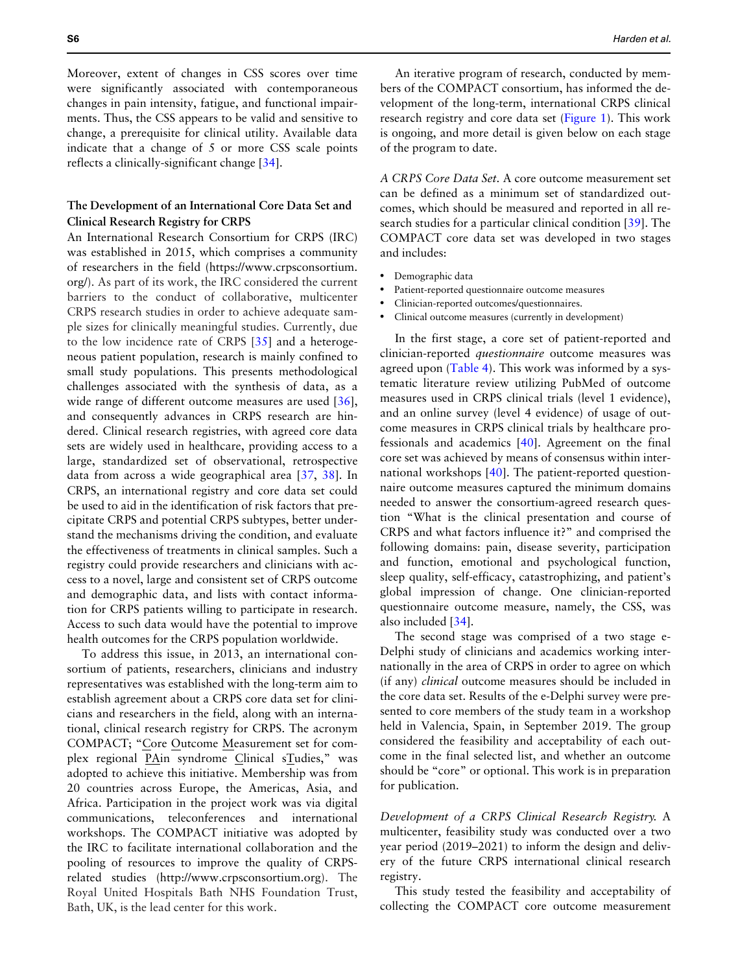Moreover, extent of changes in CSS scores over time were significantly associated with contemporaneous changes in pain intensity, fatigue, and functional impairments. Thus, the CSS appears to be valid and sensitive to change, a prerequisite for clinical utility. Available data indicate that a change of 5 or more CSS scale points reflects a clinically-significant change [\[34\]](#page-40-0).

## The Development of an International Core Data Set and Clinical Research Registry for CRPS

An International Research Consortium for CRPS (IRC) was established in 2015, which comprises a community of researchers in the field [\(https://www.crpsconsortium.](https://www.crpsconsortium.org/) [org/](https://www.crpsconsortium.org/)). As part of its work, the IRC considered the current barriers to the conduct of collaborative, multicenter CRPS research studies in order to achieve adequate sample sizes for clinically meaningful studies. Currently, due to the low incidence rate of CRPS [\[35\]](#page-40-0) and a heterogeneous patient population, research is mainly confined to small study populations. This presents methodological challenges associated with the synthesis of data, as a wide range of different outcome measures are used [[36](#page-40-0)], and consequently advances in CRPS research are hindered. Clinical research registries, with agreed core data sets are widely used in healthcare, providing access to a large, standardized set of observational, retrospective data from across a wide geographical area [\[37,](#page-40-0) [38\]](#page-40-0). In CRPS, an international registry and core data set could be used to aid in the identification of risk factors that precipitate CRPS and potential CRPS subtypes, better understand the mechanisms driving the condition, and evaluate the effectiveness of treatments in clinical samples. Such a registry could provide researchers and clinicians with access to a novel, large and consistent set of CRPS outcome and demographic data, and lists with contact information for CRPS patients willing to participate in research. Access to such data would have the potential to improve health outcomes for the CRPS population worldwide.

To address this issue, in 2013, an international consortium of patients, researchers, clinicians and industry representatives was established with the long-term aim to establish agreement about a CRPS core data set for clinicians and researchers in the field, along with an international, clinical research registry for CRPS. The acronym COMPACT; "Core Outcome Measurement set for complex regional PAin syndrome Clinical sTudies," was adopted to achieve this initiative. Membership was from 20 countries across Europe, the Americas, Asia, and Africa. Participation in the project work was via digital communications, teleconferences and international workshops. The COMPACT initiative was adopted by the IRC to facilitate international collaboration and the pooling of resources to improve the quality of CRPSrelated studies (<http://www.crpsconsortium.org>). The Royal United Hospitals Bath NHS Foundation Trust, Bath, UK, is the lead center for this work.

An iterative program of research, conducted by members of the COMPACT consortium, has informed the development of the long-term, international CRPS clinical research registry and core data set [\(Figure 1](#page-6-0)). This work is ongoing, and more detail is given below on each stage of the program to date.

A CRPS Core Data Set. A core outcome measurement set can be defined as a minimum set of standardized outcomes, which should be measured and reported in all research studies for a particular clinical condition [\[39\]](#page-40-0). The COMPACT core data set was developed in two stages and includes:

- Demographic data
- Patient-reported questionnaire outcome measures
- Clinician-reported outcomes/questionnaires.
- Clinical outcome measures (currently in development)

In the first stage, a core set of patient-reported and clinician-reported questionnaire outcome measures was agreed upon [\(Table 4](#page-7-0)). This work was informed by a systematic literature review utilizing PubMed of outcome measures used in CRPS clinical trials (level 1 evidence), and an online survey (level 4 evidence) of usage of outcome measures in CRPS clinical trials by healthcare professionals and academics [\[40\]](#page-40-0). Agreement on the final core set was achieved by means of consensus within international workshops [[40](#page-40-0)]. The patient-reported questionnaire outcome measures captured the minimum domains needed to answer the consortium-agreed research question "What is the clinical presentation and course of CRPS and what factors influence it?" and comprised the following domains: pain, disease severity, participation and function, emotional and psychological function, sleep quality, self-efficacy, catastrophizing, and patient's global impression of change. One clinician-reported questionnaire outcome measure, namely, the CSS, was also included [\[34\]](#page-40-0).

The second stage was comprised of a two stage e-Delphi study of clinicians and academics working internationally in the area of CRPS in order to agree on which (if any) clinical outcome measures should be included in the core data set. Results of the e-Delphi survey were presented to core members of the study team in a workshop held in Valencia, Spain, in September 2019. The group considered the feasibility and acceptability of each outcome in the final selected list, and whether an outcome should be "core" or optional. This work is in preparation for publication.

Development of a CRPS Clinical Research Registry. A multicenter, feasibility study was conducted over a two year period (2019–2021) to inform the design and delivery of the future CRPS international clinical research registry.

This study tested the feasibility and acceptability of collecting the COMPACT core outcome measurement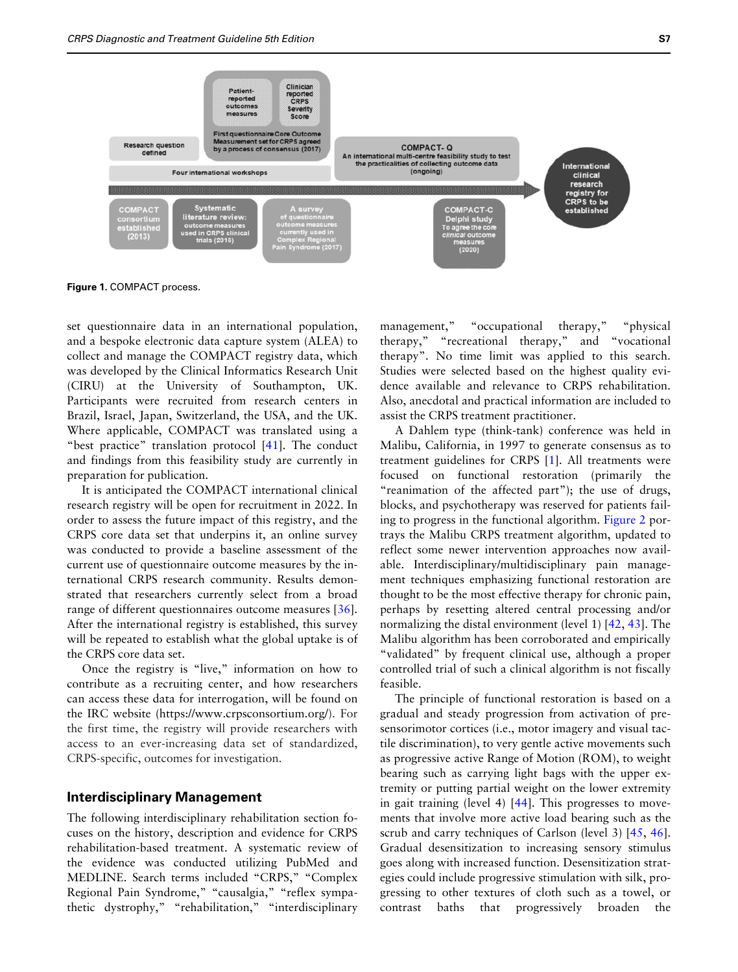<span id="page-6-0"></span>

Figure 1. COMPACT process.

set questionnaire data in an international population, and a bespoke electronic data capture system (ALEA) to collect and manage the COMPACT registry data, which was developed by the Clinical Informatics Research Unit (CIRU) at the University of Southampton, UK. Participants were recruited from research centers in Brazil, Israel, Japan, Switzerland, the USA, and the UK. Where applicable, COMPACT was translated using a "best practice" translation protocol [[41](#page-40-0)]. The conduct and findings from this feasibility study are currently in preparation for publication.

It is anticipated the COMPACT international clinical research registry will be open for recruitment in 2022. In order to assess the future impact of this registry, and the CRPS core data set that underpins it, an online survey was conducted to provide a baseline assessment of the current use of questionnaire outcome measures by the international CRPS research community. Results demonstrated that researchers currently select from a broad range of different questionnaires outcome measures [[36](#page-40-0)]. After the international registry is established, this survey will be repeated to establish what the global uptake is of the CRPS core data set.

Once the registry is "live," information on how to contribute as a recruiting center, and how researchers can access these data for interrogation, will be found on the IRC website [\(https://www.crpsconsortium.org/](https://www.crpsconsortium.org/)). For the first time, the registry will provide researchers with access to an ever-increasing data set of standardized, CRPS-specific, outcomes for investigation.

## Interdisciplinary Management

The following interdisciplinary rehabilitation section focuses on the history, description and evidence for CRPS rehabilitation-based treatment. A systematic review of the evidence was conducted utilizing PubMed and MEDLINE. Search terms included "CRPS," "Complex Regional Pain Syndrome," "causalgia," "reflex sympathetic dystrophy," "rehabilitation," "interdisciplinary

management," "occupational therapy," "physical therapy," "recreational therapy," and "vocational therapy". No time limit was applied to this search. Studies were selected based on the highest quality evidence available and relevance to CRPS rehabilitation. Also, anecdotal and practical information are included to assist the CRPS treatment practitioner.

A Dahlem type (think-tank) conference was held in Malibu, California, in 1997 to generate consensus as to treatment guidelines for CRPS [[1\]](#page-39-0). All treatments were focused on functional restoration (primarily the "reanimation of the affected part"); the use of drugs, blocks, and psychotherapy was reserved for patients failing to progress in the functional algorithm. [Figure 2](#page-8-0) portrays the Malibu CRPS treatment algorithm, updated to reflect some newer intervention approaches now available. Interdisciplinary/multidisciplinary pain management techniques emphasizing functional restoration are thought to be the most effective therapy for chronic pain, perhaps by resetting altered central processing and/or normalizing the distal environment (level 1) [[42](#page-40-0), [43\]](#page-40-0). The Malibu algorithm has been corroborated and empirically "validated" by frequent clinical use, although a proper controlled trial of such a clinical algorithm is not fiscally feasible.

The principle of functional restoration is based on a gradual and steady progression from activation of presensorimotor cortices (i.e., motor imagery and visual tactile discrimination), to very gentle active movements such as progressive active Range of Motion (ROM), to weight bearing such as carrying light bags with the upper extremity or putting partial weight on the lower extremity in gait training (level 4) [\[44\]](#page-40-0). This progresses to movements that involve more active load bearing such as the scrub and carry techniques of Carlson (level 3) [\[45,](#page-40-0) [46](#page-40-0)]. Gradual desensitization to increasing sensory stimulus goes along with increased function. Desensitization strategies could include progressive stimulation with silk, progressing to other textures of cloth such as a towel, or contrast baths that progressively broaden the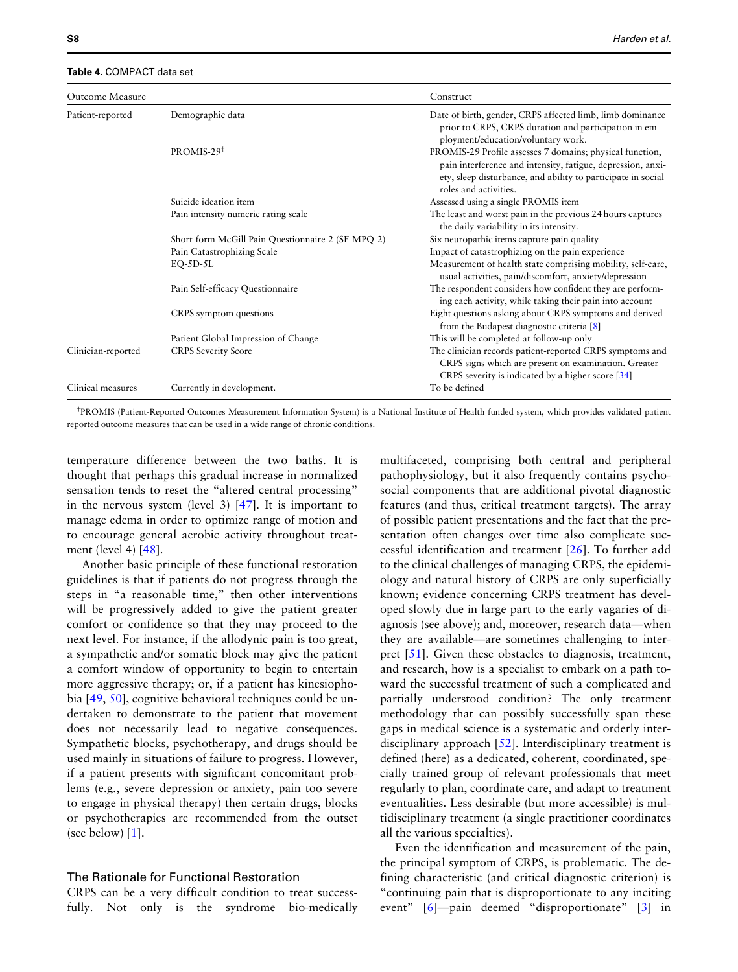#### <span id="page-7-0"></span>Table 4. COMPACT data set

| <b>Outcome Measure</b> |                                                   | Construct                                                                                                                                                                                                        |
|------------------------|---------------------------------------------------|------------------------------------------------------------------------------------------------------------------------------------------------------------------------------------------------------------------|
| Patient-reported       | Demographic data                                  | Date of birth, gender, CRPS affected limb, limb dominance<br>prior to CRPS, CRPS duration and participation in em-<br>ployment/education/voluntary work.                                                         |
|                        | PROMIS-29 <sup>+</sup>                            | PROMIS-29 Profile assesses 7 domains; physical function,<br>pain interference and intensity, fatigue, depression, anxi-<br>ety, sleep disturbance, and ability to participate in social<br>roles and activities. |
|                        | Suicide ideation item                             | Assessed using a single PROMIS item                                                                                                                                                                              |
|                        | Pain intensity numeric rating scale               | The least and worst pain in the previous 24 hours captures<br>the daily variability in its intensity.                                                                                                            |
|                        | Short-form McGill Pain Questionnaire-2 (SF-MPQ-2) | Six neuropathic items capture pain quality                                                                                                                                                                       |
|                        | Pain Catastrophizing Scale                        | Impact of catastrophizing on the pain experience                                                                                                                                                                 |
|                        | $EQ-5D-5L$                                        | Measurement of health state comprising mobility, self-care,<br>usual activities, pain/discomfort, anxiety/depression                                                                                             |
|                        | Pain Self-efficacy Questionnaire                  | The respondent considers how confident they are perform-<br>ing each activity, while taking their pain into account                                                                                              |
|                        | CRPS symptom questions                            | Eight questions asking about CRPS symptoms and derived<br>from the Budapest diagnostic criteria [8]                                                                                                              |
|                        | Patient Global Impression of Change               | This will be completed at follow-up only                                                                                                                                                                         |
| Clinician-reported     | <b>CRPS</b> Severity Score                        | The clinician records patient-reported CRPS symptoms and<br>CRPS signs which are present on examination. Greater<br>CRPS severity is indicated by a higher score [34]                                            |
| Clinical measures      | Currently in development.                         | To be defined                                                                                                                                                                                                    |

† PROMIS (Patient-Reported Outcomes Measurement Information System) is a National Institute of Health funded system, which provides validated patient reported outcome measures that can be used in a wide range of chronic conditions.

temperature difference between the two baths. It is thought that perhaps this gradual increase in normalized sensation tends to reset the "altered central processing" in the nervous system (level 3) [[47](#page-40-0)]. It is important to manage edema in order to optimize range of motion and to encourage general aerobic activity throughout treatment (level 4) [\[48\]](#page-40-0).

Another basic principle of these functional restoration guidelines is that if patients do not progress through the steps in "a reasonable time," then other interventions will be progressively added to give the patient greater comfort or confidence so that they may proceed to the next level. For instance, if the allodynic pain is too great, a sympathetic and/or somatic block may give the patient a comfort window of opportunity to begin to entertain more aggressive therapy; or, if a patient has kinesiophobia [\[49,](#page-40-0) [50](#page-40-0)], cognitive behavioral techniques could be undertaken to demonstrate to the patient that movement does not necessarily lead to negative consequences. Sympathetic blocks, psychotherapy, and drugs should be used mainly in situations of failure to progress. However, if a patient presents with significant concomitant problems (e.g., severe depression or anxiety, pain too severe to engage in physical therapy) then certain drugs, blocks or psychotherapies are recommended from the outset (see below)  $[1]$  $[1]$ .

#### The Rationale for Functional Restoration

CRPS can be a very difficult condition to treat successfully. Not only is the syndrome bio-medically multifaceted, comprising both central and peripheral pathophysiology, but it also frequently contains psychosocial components that are additional pivotal diagnostic features (and thus, critical treatment targets). The array of possible patient presentations and the fact that the presentation often changes over time also complicate successful identification and treatment [\[26](#page-40-0)]. To further add to the clinical challenges of managing CRPS, the epidemiology and natural history of CRPS are only superficially known; evidence concerning CRPS treatment has developed slowly due in large part to the early vagaries of diagnosis (see above); and, moreover, research data—when they are available—are sometimes challenging to inter-pret [[51](#page-40-0)]. Given these obstacles to diagnosis, treatment, and research, how is a specialist to embark on a path toward the successful treatment of such a complicated and partially understood condition? The only treatment methodology that can possibly successfully span these gaps in medical science is a systematic and orderly interdisciplinary approach [\[52\]](#page-40-0). Interdisciplinary treatment is defined (here) as a dedicated, coherent, coordinated, specially trained group of relevant professionals that meet regularly to plan, coordinate care, and adapt to treatment eventualities. Less desirable (but more accessible) is multidisciplinary treatment (a single practitioner coordinates all the various specialties).

Even the identification and measurement of the pain, the principal symptom of CRPS, is problematic. The defining characteristic (and critical diagnostic criterion) is "continuing pain that is disproportionate to any inciting event" [[6\]](#page-39-0)—pain deemed "disproportionate" [[3](#page-39-0)] in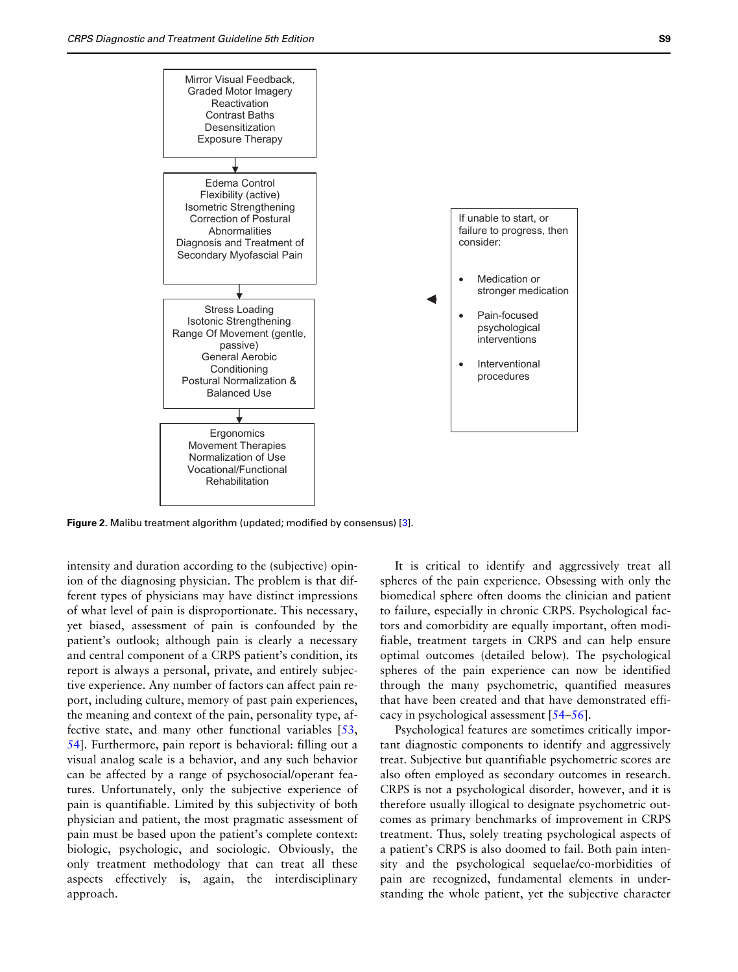<span id="page-8-0"></span>

Figure 2. Malibu treatment algorithm (updated; modified by consensus) [[3](#page-39-0)].

intensity and duration according to the (subjective) opinion of the diagnosing physician. The problem is that different types of physicians may have distinct impressions of what level of pain is disproportionate. This necessary, yet biased, assessment of pain is confounded by the patient's outlook; although pain is clearly a necessary and central component of a CRPS patient's condition, its report is always a personal, private, and entirely subjective experience. Any number of factors can affect pain report, including culture, memory of past pain experiences, the meaning and context of the pain, personality type, affective state, and many other functional variables [[53](#page-40-0), [54](#page-40-0)]. Furthermore, pain report is behavioral: filling out a visual analog scale is a behavior, and any such behavior can be affected by a range of psychosocial/operant features. Unfortunately, only the subjective experience of pain is quantifiable. Limited by this subjectivity of both physician and patient, the most pragmatic assessment of pain must be based upon the patient's complete context: biologic, psychologic, and sociologic. Obviously, the only treatment methodology that can treat all these aspects effectively is, again, the interdisciplinary approach.

It is critical to identify and aggressively treat all spheres of the pain experience. Obsessing with only the biomedical sphere often dooms the clinician and patient to failure, especially in chronic CRPS. Psychological factors and comorbidity are equally important, often modifiable, treatment targets in CRPS and can help ensure optimal outcomes (detailed below). The psychological spheres of the pain experience can now be identified through the many psychometric, quantified measures that have been created and that have demonstrated efficacy in psychological assessment [\[54–56](#page-40-0)].

Psychological features are sometimes critically important diagnostic components to identify and aggressively treat. Subjective but quantifiable psychometric scores are also often employed as secondary outcomes in research. CRPS is not a psychological disorder, however, and it is therefore usually illogical to designate psychometric outcomes as primary benchmarks of improvement in CRPS treatment. Thus, solely treating psychological aspects of a patient's CRPS is also doomed to fail. Both pain intensity and the psychological sequelae/co-morbidities of pain are recognized, fundamental elements in understanding the whole patient, yet the subjective character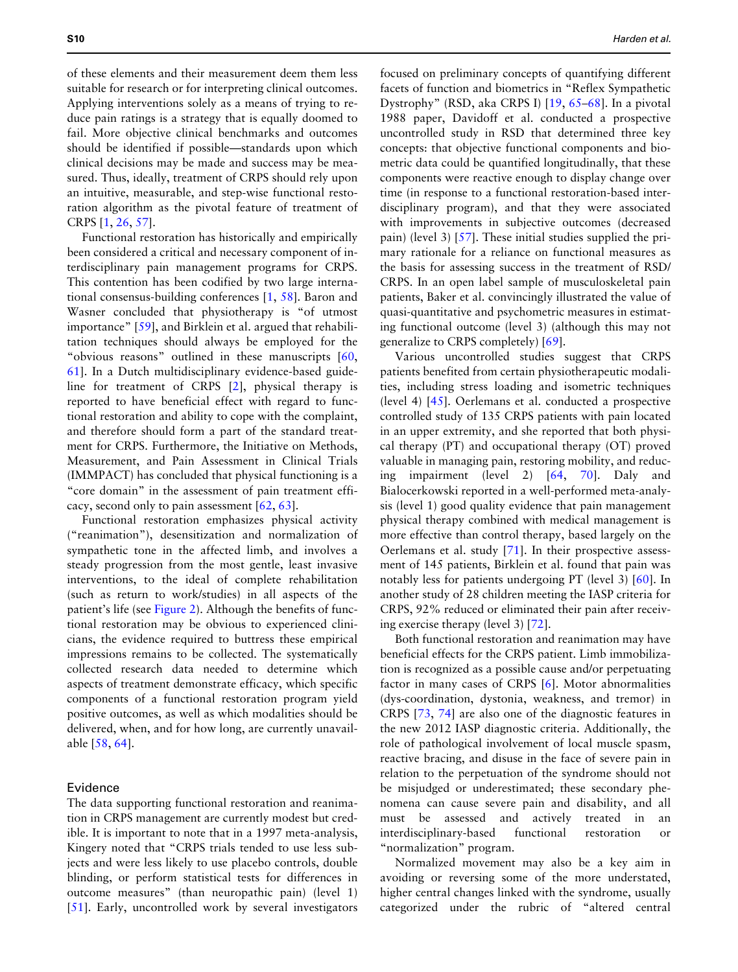of these elements and their measurement deem them less suitable for research or for interpreting clinical outcomes. Applying interventions solely as a means of trying to reduce pain ratings is a strategy that is equally doomed to fail. More objective clinical benchmarks and outcomes should be identified if possible—standards upon which clinical decisions may be made and success may be measured. Thus, ideally, treatment of CRPS should rely upon an intuitive, measurable, and step-wise functional restoration algorithm as the pivotal feature of treatment of CRPS [\[1](#page-39-0), [26,](#page-40-0) [57\]](#page-40-0).

Functional restoration has historically and empirically been considered a critical and necessary component of interdisciplinary pain management programs for CRPS. This contention has been codified by two large international consensus-building conferences [[1](#page-39-0), [58](#page-40-0)]. Baron and Wasner concluded that physiotherapy is "of utmost importance" [\[59\]](#page-40-0), and Birklein et al. argued that rehabilitation techniques should always be employed for the "obvious reasons" outlined in these manuscripts [[60](#page-40-0), [61](#page-41-0)]. In a Dutch multidisciplinary evidence-based guideline for treatment of CRPS [\[2](#page-39-0)], physical therapy is reported to have beneficial effect with regard to functional restoration and ability to cope with the complaint, and therefore should form a part of the standard treatment for CRPS. Furthermore, the Initiative on Methods, Measurement, and Pain Assessment in Clinical Trials (IMMPACT) has concluded that physical functioning is a "core domain" in the assessment of pain treatment efficacy, second only to pain assessment [[62](#page-41-0), [63\]](#page-41-0).

Functional restoration emphasizes physical activity ("reanimation"), desensitization and normalization of sympathetic tone in the affected limb, and involves a steady progression from the most gentle, least invasive interventions, to the ideal of complete rehabilitation (such as return to work/studies) in all aspects of the patient's life (see [Figure 2\)](#page-8-0). Although the benefits of functional restoration may be obvious to experienced clinicians, the evidence required to buttress these empirical impressions remains to be collected. The systematically collected research data needed to determine which aspects of treatment demonstrate efficacy, which specific components of a functional restoration program yield positive outcomes, as well as which modalities should be delivered, when, and for how long, are currently unavailable [\[58,](#page-40-0) [64\]](#page-41-0).

#### Evidence

The data supporting functional restoration and reanimation in CRPS management are currently modest but credible. It is important to note that in a 1997 meta-analysis, Kingery noted that "CRPS trials tended to use less subjects and were less likely to use placebo controls, double blinding, or perform statistical tests for differences in outcome measures" (than neuropathic pain) (level 1) [\[51\]](#page-40-0). Early, uncontrolled work by several investigators

focused on preliminary concepts of quantifying different facets of function and biometrics in "Reflex Sympathetic Dystrophy" (RSD, aka CRPS I) [[19](#page-39-0), [65–68\]](#page-41-0). In a pivotal 1988 paper, Davidoff et al. conducted a prospective uncontrolled study in RSD that determined three key concepts: that objective functional components and biometric data could be quantified longitudinally, that these components were reactive enough to display change over time (in response to a functional restoration-based interdisciplinary program), and that they were associated with improvements in subjective outcomes (decreased pain) (level 3) [\[57\]](#page-40-0). These initial studies supplied the primary rationale for a reliance on functional measures as the basis for assessing success in the treatment of RSD/ CRPS. In an open label sample of musculoskeletal pain patients, Baker et al. convincingly illustrated the value of quasi-quantitative and psychometric measures in estimating functional outcome (level 3) (although this may not generalize to CRPS completely) [\[69\]](#page-41-0).

Various uncontrolled studies suggest that CRPS patients benefited from certain physiotherapeutic modalities, including stress loading and isometric techniques (level 4) [[45](#page-40-0)]. Oerlemans et al. conducted a prospective controlled study of 135 CRPS patients with pain located in an upper extremity, and she reported that both physical therapy (PT) and occupational therapy (OT) proved valuable in managing pain, restoring mobility, and reducing impairment (level 2) [[64](#page-41-0), [70\]](#page-41-0). Daly and Bialocerkowski reported in a well-performed meta-analysis (level 1) good quality evidence that pain management physical therapy combined with medical management is more effective than control therapy, based largely on the Oerlemans et al. study [[71](#page-41-0)]. In their prospective assessment of 145 patients, Birklein et al. found that pain was notably less for patients undergoing PT (level 3) [\[60\]](#page-40-0). In another study of 28 children meeting the IASP criteria for CRPS, 92% reduced or eliminated their pain after receiving exercise therapy (level 3) [\[72\]](#page-41-0).

Both functional restoration and reanimation may have beneficial effects for the CRPS patient. Limb immobilization is recognized as a possible cause and/or perpetuating factor in many cases of CRPS [[6\]](#page-39-0). Motor abnormalities (dys-coordination, dystonia, weakness, and tremor) in CRPS [\[73,](#page-41-0) [74](#page-41-0)] are also one of the diagnostic features in the new 2012 IASP diagnostic criteria. Additionally, the role of pathological involvement of local muscle spasm, reactive bracing, and disuse in the face of severe pain in relation to the perpetuation of the syndrome should not be misjudged or underestimated; these secondary phenomena can cause severe pain and disability, and all must be assessed and actively treated in an interdisciplinary-based functional restoration or "normalization" program.

Normalized movement may also be a key aim in avoiding or reversing some of the more understated, higher central changes linked with the syndrome, usually categorized under the rubric of "altered central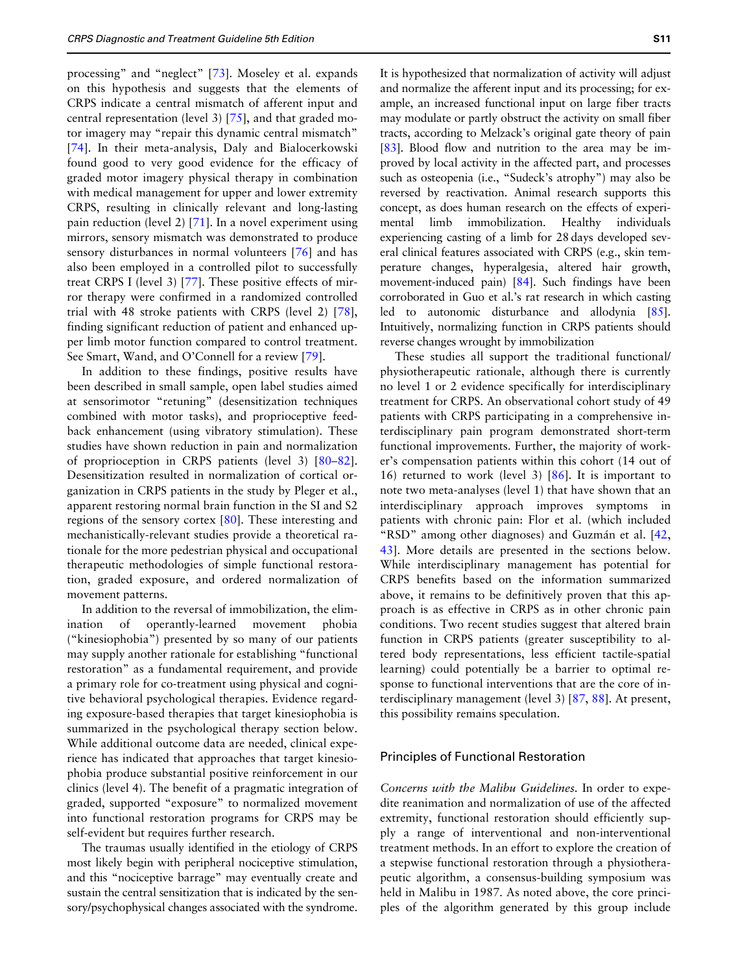processing" and "neglect" [[73](#page-41-0)]. Moseley et al. expands on this hypothesis and suggests that the elements of CRPS indicate a central mismatch of afferent input and central representation (level 3) [[75](#page-41-0)], and that graded motor imagery may "repair this dynamic central mismatch" [\[74\]](#page-41-0). In their meta-analysis, Daly and Bialocerkowski found good to very good evidence for the efficacy of graded motor imagery physical therapy in combination with medical management for upper and lower extremity CRPS, resulting in clinically relevant and long-lasting pain reduction (level 2) [\[71\]](#page-41-0). In a novel experiment using mirrors, sensory mismatch was demonstrated to produce sensory disturbances in normal volunteers [[76](#page-41-0)] and has also been employed in a controlled pilot to successfully treat CRPS I (level 3) [[77](#page-41-0)]. These positive effects of mirror therapy were confirmed in a randomized controlled trial with 48 stroke patients with CRPS (level 2) [[78](#page-41-0)], finding significant reduction of patient and enhanced upper limb motor function compared to control treatment. See Smart, Wand, and O'Connell for a review [[79](#page-41-0)].

In addition to these findings, positive results have been described in small sample, open label studies aimed at sensorimotor "retuning" (desensitization techniques combined with motor tasks), and proprioceptive feedback enhancement (using vibratory stimulation). These studies have shown reduction in pain and normalization of proprioception in CRPS patients (level 3) [\[80–82](#page-41-0)]. Desensitization resulted in normalization of cortical organization in CRPS patients in the study by Pleger et al., apparent restoring normal brain function in the SI and S2 regions of the sensory cortex [\[80\]](#page-41-0). These interesting and mechanistically-relevant studies provide a theoretical rationale for the more pedestrian physical and occupational therapeutic methodologies of simple functional restoration, graded exposure, and ordered normalization of movement patterns.

In addition to the reversal of immobilization, the elimination of operantly-learned movement phobia ("kinesiophobia") presented by so many of our patients may supply another rationale for establishing "functional restoration" as a fundamental requirement, and provide a primary role for co-treatment using physical and cognitive behavioral psychological therapies. Evidence regarding exposure-based therapies that target kinesiophobia is summarized in the psychological therapy section below. While additional outcome data are needed, clinical experience has indicated that approaches that target kinesiophobia produce substantial positive reinforcement in our clinics (level 4). The benefit of a pragmatic integration of graded, supported "exposure" to normalized movement into functional restoration programs for CRPS may be self-evident but requires further research.

The traumas usually identified in the etiology of CRPS most likely begin with peripheral nociceptive stimulation, and this "nociceptive barrage" may eventually create and sustain the central sensitization that is indicated by the sensory/psychophysical changes associated with the syndrome.

It is hypothesized that normalization of activity will adjust and normalize the afferent input and its processing; for example, an increased functional input on large fiber tracts may modulate or partly obstruct the activity on small fiber tracts, according to Melzack's original gate theory of pain [\[83](#page-41-0)]. Blood flow and nutrition to the area may be improved by local activity in the affected part, and processes such as osteopenia (i.e., "Sudeck's atrophy") may also be reversed by reactivation. Animal research supports this concept, as does human research on the effects of experimental limb immobilization. Healthy individuals experiencing casting of a limb for 28 days developed several clinical features associated with CRPS (e.g., skin temperature changes, hyperalgesia, altered hair growth, movement-induced pain) [[84\]](#page-41-0). Such findings have been corroborated in Guo et al.'s rat research in which casting led to autonomic disturbance and allodynia [\[85](#page-41-0)]. Intuitively, normalizing function in CRPS patients should reverse changes wrought by immobilization

These studies all support the traditional functional/ physiotherapeutic rationale, although there is currently no level 1 or 2 evidence specifically for interdisciplinary treatment for CRPS. An observational cohort study of 49 patients with CRPS participating in a comprehensive interdisciplinary pain program demonstrated short-term functional improvements. Further, the majority of worker's compensation patients within this cohort (14 out of 16) returned to work (level 3) [[86](#page-41-0)]. It is important to note two meta-analyses (level 1) that have shown that an interdisciplinary approach improves symptoms in patients with chronic pain: Flor et al. (which included "RSD" among other diagnoses) and Guzmán et al. [[42](#page-40-0), [43](#page-40-0)]. More details are presented in the sections below. While interdisciplinary management has potential for CRPS benefits based on the information summarized above, it remains to be definitively proven that this approach is as effective in CRPS as in other chronic pain conditions. Two recent studies suggest that altered brain function in CRPS patients (greater susceptibility to altered body representations, less efficient tactile-spatial learning) could potentially be a barrier to optimal response to functional interventions that are the core of interdisciplinary management (level 3) [[87](#page-41-0), [88\]](#page-41-0). At present, this possibility remains speculation.

#### Principles of Functional Restoration

Concerns with the Malibu Guidelines. In order to expedite reanimation and normalization of use of the affected extremity, functional restoration should efficiently supply a range of interventional and non-interventional treatment methods. In an effort to explore the creation of a stepwise functional restoration through a physiotherapeutic algorithm, a consensus-building symposium was held in Malibu in 1987. As noted above, the core principles of the algorithm generated by this group include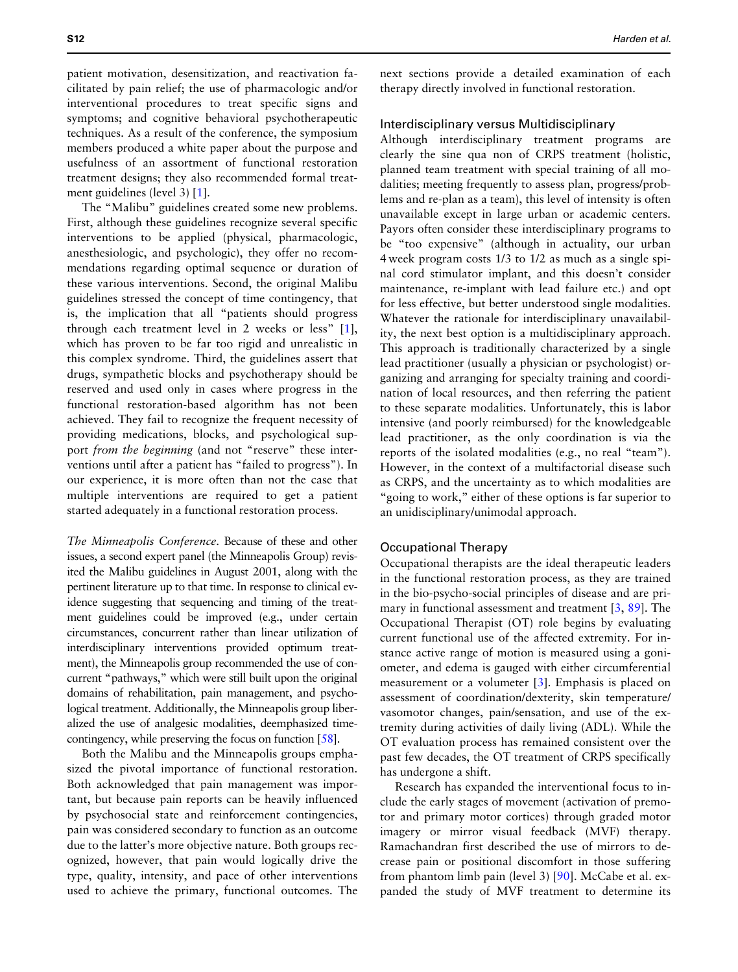patient motivation, desensitization, and reactivation facilitated by pain relief; the use of pharmacologic and/or interventional procedures to treat specific signs and symptoms; and cognitive behavioral psychotherapeutic techniques. As a result of the conference, the symposium members produced a white paper about the purpose and usefulness of an assortment of functional restoration treatment designs; they also recommended formal treatment guidelines (level 3) [\[1](#page-39-0)].

The "Malibu" guidelines created some new problems. First, although these guidelines recognize several specific interventions to be applied (physical, pharmacologic, anesthesiologic, and psychologic), they offer no recommendations regarding optimal sequence or duration of these various interventions. Second, the original Malibu guidelines stressed the concept of time contingency, that is, the implication that all "patients should progress through each treatment level in 2 weeks or less" [[1](#page-39-0)], which has proven to be far too rigid and unrealistic in this complex syndrome. Third, the guidelines assert that drugs, sympathetic blocks and psychotherapy should be reserved and used only in cases where progress in the functional restoration-based algorithm has not been achieved. They fail to recognize the frequent necessity of providing medications, blocks, and psychological support *from the beginning* (and not "reserve" these interventions until after a patient has "failed to progress"). In our experience, it is more often than not the case that multiple interventions are required to get a patient started adequately in a functional restoration process.

The Minneapolis Conference. Because of these and other issues, a second expert panel (the Minneapolis Group) revisited the Malibu guidelines in August 2001, along with the pertinent literature up to that time. In response to clinical evidence suggesting that sequencing and timing of the treatment guidelines could be improved (e.g., under certain circumstances, concurrent rather than linear utilization of interdisciplinary interventions provided optimum treatment), the Minneapolis group recommended the use of concurrent "pathways," which were still built upon the original domains of rehabilitation, pain management, and psychological treatment. Additionally, the Minneapolis group liberalized the use of analgesic modalities, deemphasized timecontingency, while preserving the focus on function [\[58](#page-40-0)].

Both the Malibu and the Minneapolis groups emphasized the pivotal importance of functional restoration. Both acknowledged that pain management was important, but because pain reports can be heavily influenced by psychosocial state and reinforcement contingencies, pain was considered secondary to function as an outcome due to the latter's more objective nature. Both groups recognized, however, that pain would logically drive the type, quality, intensity, and pace of other interventions used to achieve the primary, functional outcomes. The

next sections provide a detailed examination of each therapy directly involved in functional restoration.

#### Interdisciplinary versus Multidisciplinary

Although interdisciplinary treatment programs are clearly the sine qua non of CRPS treatment (holistic, planned team treatment with special training of all modalities; meeting frequently to assess plan, progress/problems and re-plan as a team), this level of intensity is often unavailable except in large urban or academic centers. Payors often consider these interdisciplinary programs to be "too expensive" (although in actuality, our urban 4 week program costs 1/3 to 1/2 as much as a single spinal cord stimulator implant, and this doesn't consider maintenance, re-implant with lead failure etc.) and opt for less effective, but better understood single modalities. Whatever the rationale for interdisciplinary unavailability, the next best option is a multidisciplinary approach. This approach is traditionally characterized by a single lead practitioner (usually a physician or psychologist) organizing and arranging for specialty training and coordination of local resources, and then referring the patient to these separate modalities. Unfortunately, this is labor intensive (and poorly reimbursed) for the knowledgeable lead practitioner, as the only coordination is via the reports of the isolated modalities (e.g., no real "team"). However, in the context of a multifactorial disease such as CRPS, and the uncertainty as to which modalities are "going to work," either of these options is far superior to an unidisciplinary/unimodal approach.

#### Occupational Therapy

Occupational therapists are the ideal therapeutic leaders in the functional restoration process, as they are trained in the bio-psycho-social principles of disease and are primary in functional assessment and treatment [[3,](#page-39-0) [89\]](#page-41-0). The Occupational Therapist (OT) role begins by evaluating current functional use of the affected extremity. For instance active range of motion is measured using a goniometer, and edema is gauged with either circumferential measurement or a volumeter [\[3\]](#page-39-0). Emphasis is placed on assessment of coordination/dexterity, skin temperature/ vasomotor changes, pain/sensation, and use of the extremity during activities of daily living (ADL). While the OT evaluation process has remained consistent over the past few decades, the OT treatment of CRPS specifically has undergone a shift.

Research has expanded the interventional focus to include the early stages of movement (activation of premotor and primary motor cortices) through graded motor imagery or mirror visual feedback (MVF) therapy. Ramachandran first described the use of mirrors to decrease pain or positional discomfort in those suffering from phantom limb pain (level 3) [\[90\]](#page-41-0). McCabe et al. expanded the study of MVF treatment to determine its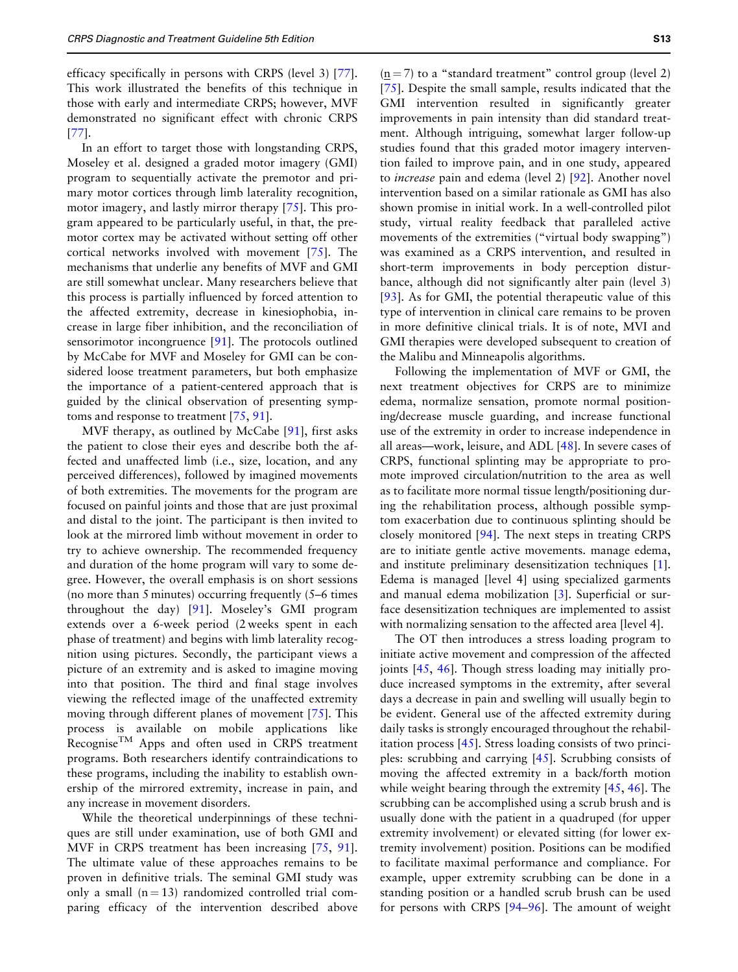efficacy specifically in persons with CRPS (level 3) [[77](#page-41-0)]. This work illustrated the benefits of this technique in those with early and intermediate CRPS; however, MVF demonstrated no significant effect with chronic CRPS [\[77\]](#page-41-0).

In an effort to target those with longstanding CRPS, Moseley et al. designed a graded motor imagery (GMI) program to sequentially activate the premotor and primary motor cortices through limb laterality recognition, motor imagery, and lastly mirror therapy [\[75\]](#page-41-0). This program appeared to be particularly useful, in that, the premotor cortex may be activated without setting off other cortical networks involved with movement [\[75\]](#page-41-0). The mechanisms that underlie any benefits of MVF and GMI are still somewhat unclear. Many researchers believe that this process is partially influenced by forced attention to the affected extremity, decrease in kinesiophobia, increase in large fiber inhibition, and the reconciliation of sensorimotor incongruence [[91](#page-41-0)]. The protocols outlined by McCabe for MVF and Moseley for GMI can be considered loose treatment parameters, but both emphasize the importance of a patient-centered approach that is guided by the clinical observation of presenting symptoms and response to treatment [[75](#page-41-0), [91\]](#page-41-0).

MVF therapy, as outlined by McCabe [\[91\]](#page-41-0), first asks the patient to close their eyes and describe both the affected and unaffected limb (i.e., size, location, and any perceived differences), followed by imagined movements of both extremities. The movements for the program are focused on painful joints and those that are just proximal and distal to the joint. The participant is then invited to look at the mirrored limb without movement in order to try to achieve ownership. The recommended frequency and duration of the home program will vary to some degree. However, the overall emphasis is on short sessions (no more than 5 minutes) occurring frequently (5–6 times throughout the day) [[91](#page-41-0)]. Moseley's GMI program extends over a 6-week period (2 weeks spent in each phase of treatment) and begins with limb laterality recognition using pictures. Secondly, the participant views a picture of an extremity and is asked to imagine moving into that position. The third and final stage involves viewing the reflected image of the unaffected extremity moving through different planes of movement [[75](#page-41-0)]. This process is available on mobile applications like Recognise<sup>TM</sup> Apps and often used in CRPS treatment programs. Both researchers identify contraindications to these programs, including the inability to establish ownership of the mirrored extremity, increase in pain, and any increase in movement disorders.

While the theoretical underpinnings of these techniques are still under examination, use of both GMI and MVF in CRPS treatment has been increasing [\[75,](#page-41-0) [91](#page-41-0)]. The ultimate value of these approaches remains to be proven in definitive trials. The seminal GMI study was only a small  $(n = 13)$  randomized controlled trial comparing efficacy of the intervention described above

 $(n = 7)$  to a "standard treatment" control group (level 2) [\[75\]](#page-41-0). Despite the small sample, results indicated that the GMI intervention resulted in significantly greater improvements in pain intensity than did standard treatment. Although intriguing, somewhat larger follow-up studies found that this graded motor imagery intervention failed to improve pain, and in one study, appeared to increase pain and edema (level 2) [[92](#page-41-0)]. Another novel intervention based on a similar rationale as GMI has also shown promise in initial work. In a well-controlled pilot study, virtual reality feedback that paralleled active movements of the extremities ("virtual body swapping") was examined as a CRPS intervention, and resulted in short-term improvements in body perception disturbance, although did not significantly alter pain (level 3) [\[93\]](#page-41-0). As for GMI, the potential therapeutic value of this type of intervention in clinical care remains to be proven in more definitive clinical trials. It is of note, MVI and GMI therapies were developed subsequent to creation of the Malibu and Minneapolis algorithms.

Following the implementation of MVF or GMI, the next treatment objectives for CRPS are to minimize edema, normalize sensation, promote normal positioning/decrease muscle guarding, and increase functional use of the extremity in order to increase independence in all areas—work, leisure, and ADL [\[48\]](#page-40-0). In severe cases of CRPS, functional splinting may be appropriate to promote improved circulation/nutrition to the area as well as to facilitate more normal tissue length/positioning during the rehabilitation process, although possible symptom exacerbation due to continuous splinting should be closely monitored [\[94\]](#page-41-0). The next steps in treating CRPS are to initiate gentle active movements. manage edema, and institute preliminary desensitization techniques [[1](#page-39-0)]. Edema is managed [level 4] using specialized garments and manual edema mobilization [[3](#page-39-0)]. Superficial or surface desensitization techniques are implemented to assist with normalizing sensation to the affected area [level 4].

The OT then introduces a stress loading program to initiate active movement and compression of the affected joints [\[45,](#page-40-0) [46](#page-40-0)]. Though stress loading may initially produce increased symptoms in the extremity, after several days a decrease in pain and swelling will usually begin to be evident. General use of the affected extremity during daily tasks is strongly encouraged throughout the rehabilitation process [\[45\]](#page-40-0). Stress loading consists of two principles: scrubbing and carrying [\[45\]](#page-40-0). Scrubbing consists of moving the affected extremity in a back/forth motion while weight bearing through the extremity [\[45,](#page-40-0) [46\]](#page-40-0). The scrubbing can be accomplished using a scrub brush and is usually done with the patient in a quadruped (for upper extremity involvement) or elevated sitting (for lower extremity involvement) position. Positions can be modified to facilitate maximal performance and compliance. For example, upper extremity scrubbing can be done in a standing position or a handled scrub brush can be used for persons with CRPS [[94](#page-41-0)–[96](#page-41-0)]. The amount of weight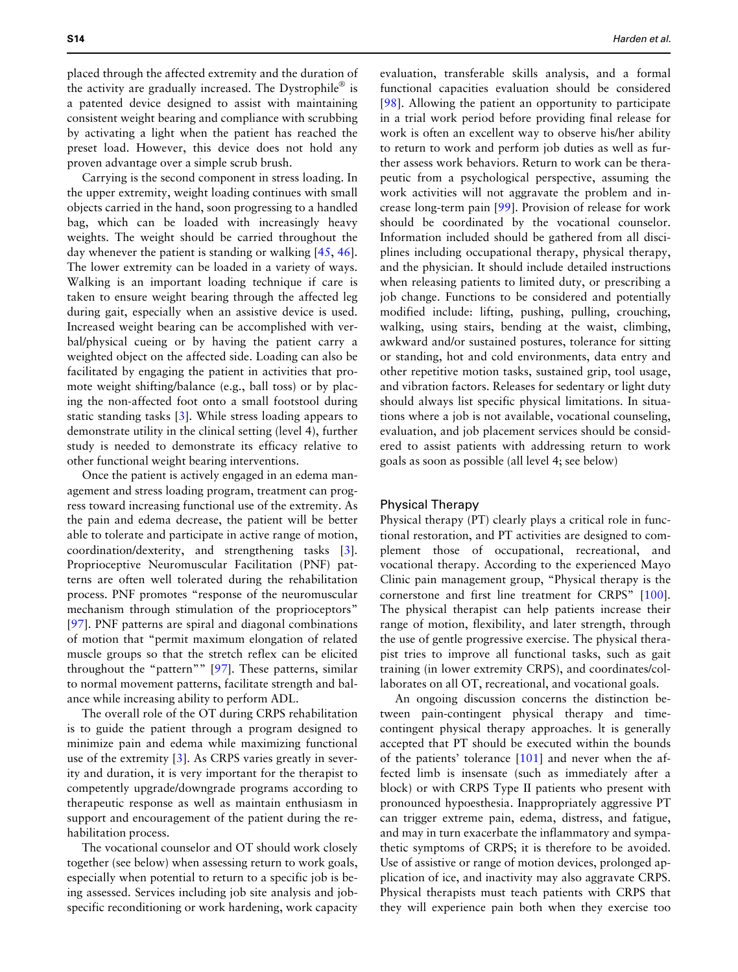placed through the affected extremity and the duration of the activity are gradually increased. The Dystrophile® is a patented device designed to assist with maintaining consistent weight bearing and compliance with scrubbing by activating a light when the patient has reached the preset load. However, this device does not hold any proven advantage over a simple scrub brush.

Carrying is the second component in stress loading. In the upper extremity, weight loading continues with small objects carried in the hand, soon progressing to a handled bag, which can be loaded with increasingly heavy weights. The weight should be carried throughout the day whenever the patient is standing or walking [[45](#page-40-0), [46](#page-40-0)]. The lower extremity can be loaded in a variety of ways. Walking is an important loading technique if care is taken to ensure weight bearing through the affected leg during gait, especially when an assistive device is used. Increased weight bearing can be accomplished with verbal/physical cueing or by having the patient carry a weighted object on the affected side. Loading can also be facilitated by engaging the patient in activities that promote weight shifting/balance (e.g., ball toss) or by placing the non-affected foot onto a small footstool during static standing tasks [[3\]](#page-39-0). While stress loading appears to demonstrate utility in the clinical setting (level 4), further study is needed to demonstrate its efficacy relative to other functional weight bearing interventions.

Once the patient is actively engaged in an edema management and stress loading program, treatment can progress toward increasing functional use of the extremity. As the pain and edema decrease, the patient will be better able to tolerate and participate in active range of motion, coordination/dexterity, and strengthening tasks [[3](#page-39-0)]. Proprioceptive Neuromuscular Facilitation (PNF) patterns are often well tolerated during the rehabilitation process. PNF promotes "response of the neuromuscular mechanism through stimulation of the proprioceptors" [\[97\]](#page-41-0). PNF patterns are spiral and diagonal combinations of motion that "permit maximum elongation of related muscle groups so that the stretch reflex can be elicited throughout the "pattern"" [[97](#page-41-0)]. These patterns, similar to normal movement patterns, facilitate strength and balance while increasing ability to perform ADL.

The overall role of the OT during CRPS rehabilitation is to guide the patient through a program designed to minimize pain and edema while maximizing functional use of the extremity [[3](#page-39-0)]. As CRPS varies greatly in severity and duration, it is very important for the therapist to competently upgrade/downgrade programs according to therapeutic response as well as maintain enthusiasm in support and encouragement of the patient during the rehabilitation process.

The vocational counselor and OT should work closely together (see below) when assessing return to work goals, especially when potential to return to a specific job is being assessed. Services including job site analysis and jobspecific reconditioning or work hardening, work capacity

evaluation, transferable skills analysis, and a formal functional capacities evaluation should be considered [\[98\]](#page-41-0). Allowing the patient an opportunity to participate in a trial work period before providing final release for work is often an excellent way to observe his/her ability to return to work and perform job duties as well as further assess work behaviors. Return to work can be therapeutic from a psychological perspective, assuming the work activities will not aggravate the problem and increase long-term pain [[99](#page-41-0)]. Provision of release for work should be coordinated by the vocational counselor. Information included should be gathered from all disciplines including occupational therapy, physical therapy, and the physician. It should include detailed instructions when releasing patients to limited duty, or prescribing a job change. Functions to be considered and potentially modified include: lifting, pushing, pulling, crouching, walking, using stairs, bending at the waist, climbing, awkward and/or sustained postures, tolerance for sitting or standing, hot and cold environments, data entry and other repetitive motion tasks, sustained grip, tool usage, and vibration factors. Releases for sedentary or light duty should always list specific physical limitations. In situations where a job is not available, vocational counseling, evaluation, and job placement services should be considered to assist patients with addressing return to work goals as soon as possible (all level 4; see below)

#### Physical Therapy

Physical therapy (PT) clearly plays a critical role in functional restoration, and PT activities are designed to complement those of occupational, recreational, and vocational therapy. According to the experienced Mayo Clinic pain management group, "Physical therapy is the cornerstone and first line treatment for CRPS" [\[100](#page-42-0)]. The physical therapist can help patients increase their range of motion, flexibility, and later strength, through the use of gentle progressive exercise. The physical therapist tries to improve all functional tasks, such as gait training (in lower extremity CRPS), and coordinates/collaborates on all OT, recreational, and vocational goals.

An ongoing discussion concerns the distinction between pain-contingent physical therapy and timecontingent physical therapy approaches. lt is generally accepted that PT should be executed within the bounds of the patients' tolerance [\[101\]](#page-42-0) and never when the affected limb is insensate (such as immediately after a block) or with CRPS Type II patients who present with pronounced hypoesthesia. Inappropriately aggressive PT can trigger extreme pain, edema, distress, and fatigue, and may in turn exacerbate the inflammatory and sympathetic symptoms of CRPS; it is therefore to be avoided. Use of assistive or range of motion devices, prolonged application of ice, and inactivity may also aggravate CRPS. Physical therapists must teach patients with CRPS that they will experience pain both when they exercise too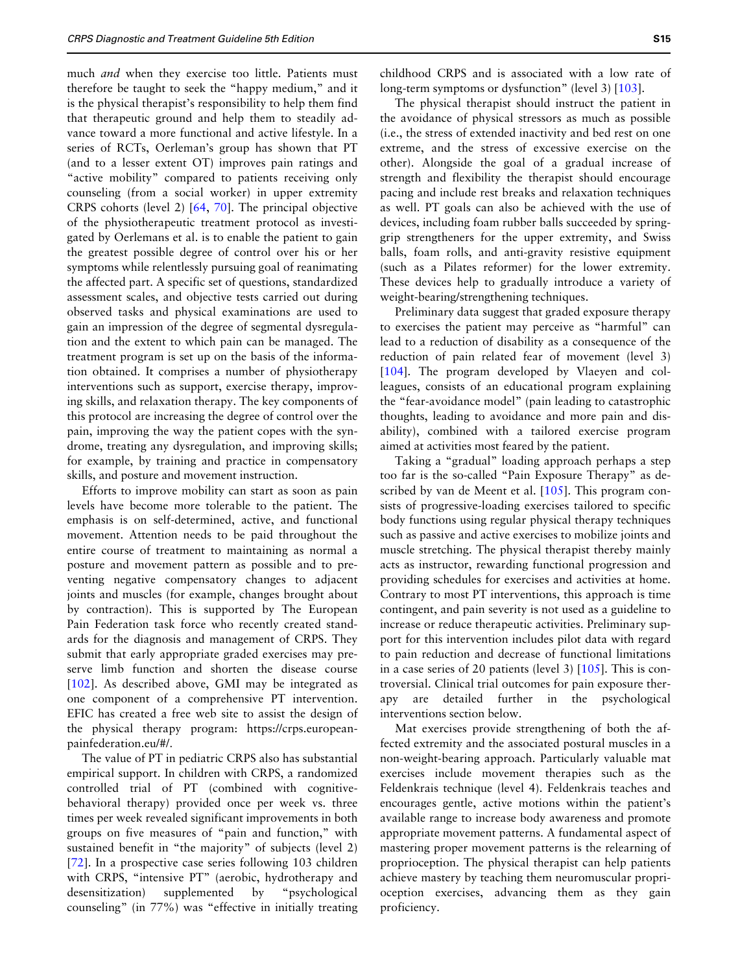much and when they exercise too little. Patients must therefore be taught to seek the "happy medium," and it is the physical therapist's responsibility to help them find that therapeutic ground and help them to steadily advance toward a more functional and active lifestyle. In a series of RCTs, Oerleman's group has shown that PT (and to a lesser extent OT) improves pain ratings and "active mobility" compared to patients receiving only counseling (from a social worker) in upper extremity CRPS cohorts (level 2) [[64,](#page-41-0) [70\]](#page-41-0). The principal objective of the physiotherapeutic treatment protocol as investigated by Oerlemans et al. is to enable the patient to gain the greatest possible degree of control over his or her symptoms while relentlessly pursuing goal of reanimating the affected part. A specific set of questions, standardized assessment scales, and objective tests carried out during observed tasks and physical examinations are used to gain an impression of the degree of segmental dysregulation and the extent to which pain can be managed. The treatment program is set up on the basis of the information obtained. It comprises a number of physiotherapy interventions such as support, exercise therapy, improving skills, and relaxation therapy. The key components of this protocol are increasing the degree of control over the pain, improving the way the patient copes with the syndrome, treating any dysregulation, and improving skills; for example, by training and practice in compensatory skills, and posture and movement instruction.

Efforts to improve mobility can start as soon as pain levels have become more tolerable to the patient. The emphasis is on self-determined, active, and functional movement. Attention needs to be paid throughout the entire course of treatment to maintaining as normal a posture and movement pattern as possible and to preventing negative compensatory changes to adjacent joints and muscles (for example, changes brought about by contraction). This is supported by The European Pain Federation task force who recently created standards for the diagnosis and management of CRPS. They submit that early appropriate graded exercises may preserve limb function and shorten the disease course [\[102\]](#page-42-0). As described above, GMI may be integrated as one component of a comprehensive PT intervention. EFIC has created a free web site to assist the design of the physical therapy program: [https://crps.european](https://crps.europeanpainfederation.eu/#/)[painfederation.eu/#/](https://crps.europeanpainfederation.eu/#/).

The value of PT in pediatric CRPS also has substantial empirical support. In children with CRPS, a randomized controlled trial of PT (combined with cognitivebehavioral therapy) provided once per week vs. three times per week revealed significant improvements in both groups on five measures of "pain and function," with sustained benefit in "the majority" of subjects (level 2) [\[72\]](#page-41-0). In a prospective case series following 103 children with CRPS, "intensive PT" (aerobic, hydrotherapy and desensitization) supplemented by "psychological counseling" (in 77%) was "effective in initially treating

childhood CRPS and is associated with a low rate of long-term symptoms or dysfunction" (level 3) [\[103](#page-42-0)].

The physical therapist should instruct the patient in the avoidance of physical stressors as much as possible (i.e., the stress of extended inactivity and bed rest on one extreme, and the stress of excessive exercise on the other). Alongside the goal of a gradual increase of strength and flexibility the therapist should encourage pacing and include rest breaks and relaxation techniques as well. PT goals can also be achieved with the use of devices, including foam rubber balls succeeded by springgrip strengtheners for the upper extremity, and Swiss balls, foam rolls, and anti-gravity resistive equipment (such as a Pilates reformer) for the lower extremity. These devices help to gradually introduce a variety of weight-bearing/strengthening techniques.

Preliminary data suggest that graded exposure therapy to exercises the patient may perceive as "harmful" can lead to a reduction of disability as a consequence of the reduction of pain related fear of movement (level 3) [\[104\]](#page-42-0). The program developed by Vlaeyen and colleagues, consists of an educational program explaining the "fear-avoidance model" (pain leading to catastrophic thoughts, leading to avoidance and more pain and disability), combined with a tailored exercise program aimed at activities most feared by the patient.

Taking a "gradual" loading approach perhaps a step too far is the so-called "Pain Exposure Therapy" as described by van de Meent et al. [[105\]](#page-42-0). This program consists of progressive-loading exercises tailored to specific body functions using regular physical therapy techniques such as passive and active exercises to mobilize joints and muscle stretching. The physical therapist thereby mainly acts as instructor, rewarding functional progression and providing schedules for exercises and activities at home. Contrary to most PT interventions, this approach is time contingent, and pain severity is not used as a guideline to increase or reduce therapeutic activities. Preliminary support for this intervention includes pilot data with regard to pain reduction and decrease of functional limitations in a case series of 20 patients (level 3)  $[105]$  $[105]$  $[105]$ . This is controversial. Clinical trial outcomes for pain exposure therapy are detailed further in the psychological interventions section below.

Mat exercises provide strengthening of both the affected extremity and the associated postural muscles in a non-weight-bearing approach. Particularly valuable mat exercises include movement therapies such as the Feldenkrais technique (level 4). Feldenkrais teaches and encourages gentle, active motions within the patient's available range to increase body awareness and promote appropriate movement patterns. A fundamental aspect of mastering proper movement patterns is the relearning of proprioception. The physical therapist can help patients achieve mastery by teaching them neuromuscular proprioception exercises, advancing them as they gain proficiency.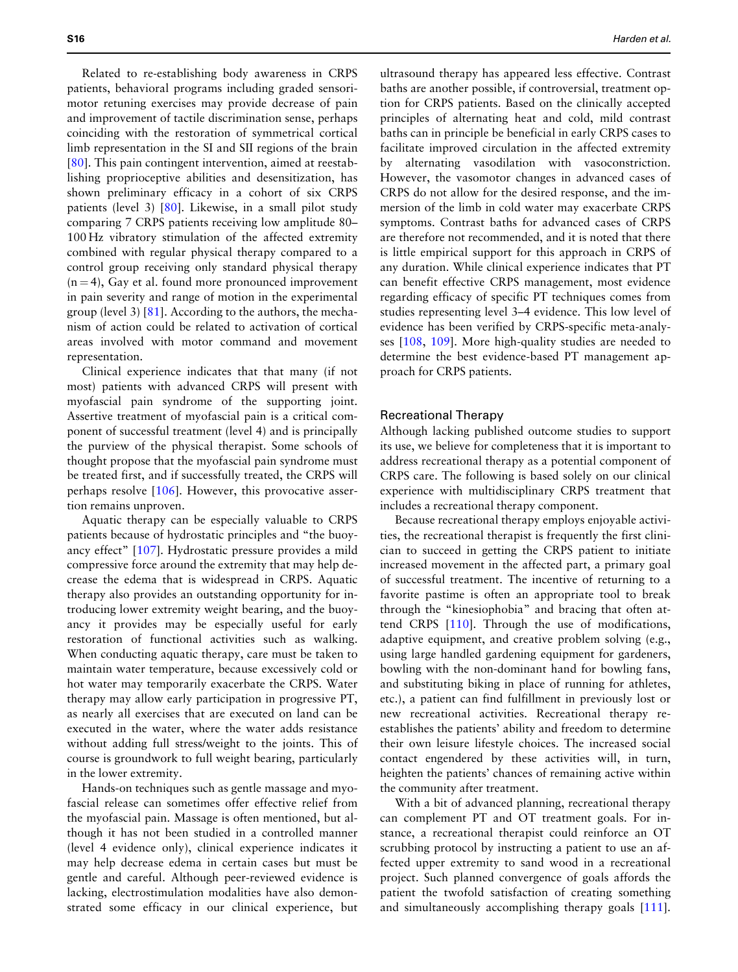Related to re-establishing body awareness in CRPS patients, behavioral programs including graded sensorimotor retuning exercises may provide decrease of pain and improvement of tactile discrimination sense, perhaps coinciding with the restoration of symmetrical cortical limb representation in the SI and SII regions of the brain [\[80\]](#page-41-0). This pain contingent intervention, aimed at reestablishing proprioceptive abilities and desensitization, has shown preliminary efficacy in a cohort of six CRPS patients (level 3) [\[80\]](#page-41-0). Likewise, in a small pilot study comparing 7 CRPS patients receiving low amplitude 80– 100 Hz vibratory stimulation of the affected extremity combined with regular physical therapy compared to a control group receiving only standard physical therapy  $(n = 4)$ , Gay et al. found more pronounced improvement in pain severity and range of motion in the experimental group (level 3) [\[81\]](#page-41-0). According to the authors, the mechanism of action could be related to activation of cortical areas involved with motor command and movement representation.

Clinical experience indicates that that many (if not most) patients with advanced CRPS will present with myofascial pain syndrome of the supporting joint. Assertive treatment of myofascial pain is a critical component of successful treatment (level 4) and is principally the purview of the physical therapist. Some schools of thought propose that the myofascial pain syndrome must be treated first, and if successfully treated, the CRPS will perhaps resolve [\[106\]](#page-42-0). However, this provocative assertion remains unproven.

Aquatic therapy can be especially valuable to CRPS patients because of hydrostatic principles and "the buoyancy effect" [\[107\]](#page-42-0). Hydrostatic pressure provides a mild compressive force around the extremity that may help decrease the edema that is widespread in CRPS. Aquatic therapy also provides an outstanding opportunity for introducing lower extremity weight bearing, and the buoyancy it provides may be especially useful for early restoration of functional activities such as walking. When conducting aquatic therapy, care must be taken to maintain water temperature, because excessively cold or hot water may temporarily exacerbate the CRPS. Water therapy may allow early participation in progressive PT, as nearly all exercises that are executed on land can be executed in the water, where the water adds resistance without adding full stress/weight to the joints. This of course is groundwork to full weight bearing, particularly in the lower extremity.

Hands-on techniques such as gentle massage and myofascial release can sometimes offer effective relief from the myofascial pain. Massage is often mentioned, but although it has not been studied in a controlled manner (level 4 evidence only), clinical experience indicates it may help decrease edema in certain cases but must be gentle and careful. Although peer-reviewed evidence is lacking, electrostimulation modalities have also demonstrated some efficacy in our clinical experience, but

ultrasound therapy has appeared less effective. Contrast baths are another possible, if controversial, treatment option for CRPS patients. Based on the clinically accepted principles of alternating heat and cold, mild contrast baths can in principle be beneficial in early CRPS cases to facilitate improved circulation in the affected extremity by alternating vasodilation with vasoconstriction. However, the vasomotor changes in advanced cases of CRPS do not allow for the desired response, and the immersion of the limb in cold water may exacerbate CRPS symptoms. Contrast baths for advanced cases of CRPS are therefore not recommended, and it is noted that there is little empirical support for this approach in CRPS of any duration. While clinical experience indicates that PT can benefit effective CRPS management, most evidence regarding efficacy of specific PT techniques comes from studies representing level 3–4 evidence. This low level of evidence has been verified by CRPS-specific meta-analyses [\[108](#page-42-0), [109](#page-42-0)]. More high-quality studies are needed to determine the best evidence-based PT management approach for CRPS patients.

## Recreational Therapy

Although lacking published outcome studies to support its use, we believe for completeness that it is important to address recreational therapy as a potential component of CRPS care. The following is based solely on our clinical experience with multidisciplinary CRPS treatment that includes a recreational therapy component.

Because recreational therapy employs enjoyable activities, the recreational therapist is frequently the first clinician to succeed in getting the CRPS patient to initiate increased movement in the affected part, a primary goal of successful treatment. The incentive of returning to a favorite pastime is often an appropriate tool to break through the "kinesiophobia" and bracing that often attend CRPS [[110\]](#page-42-0). Through the use of modifications, adaptive equipment, and creative problem solving (e.g., using large handled gardening equipment for gardeners, bowling with the non-dominant hand for bowling fans, and substituting biking in place of running for athletes, etc.), a patient can find fulfillment in previously lost or new recreational activities. Recreational therapy reestablishes the patients' ability and freedom to determine their own leisure lifestyle choices. The increased social contact engendered by these activities will, in turn, heighten the patients' chances of remaining active within the community after treatment.

With a bit of advanced planning, recreational therapy can complement PT and OT treatment goals. For instance, a recreational therapist could reinforce an OT scrubbing protocol by instructing a patient to use an affected upper extremity to sand wood in a recreational project. Such planned convergence of goals affords the patient the twofold satisfaction of creating something and simultaneously accomplishing therapy goals [\[111](#page-42-0)].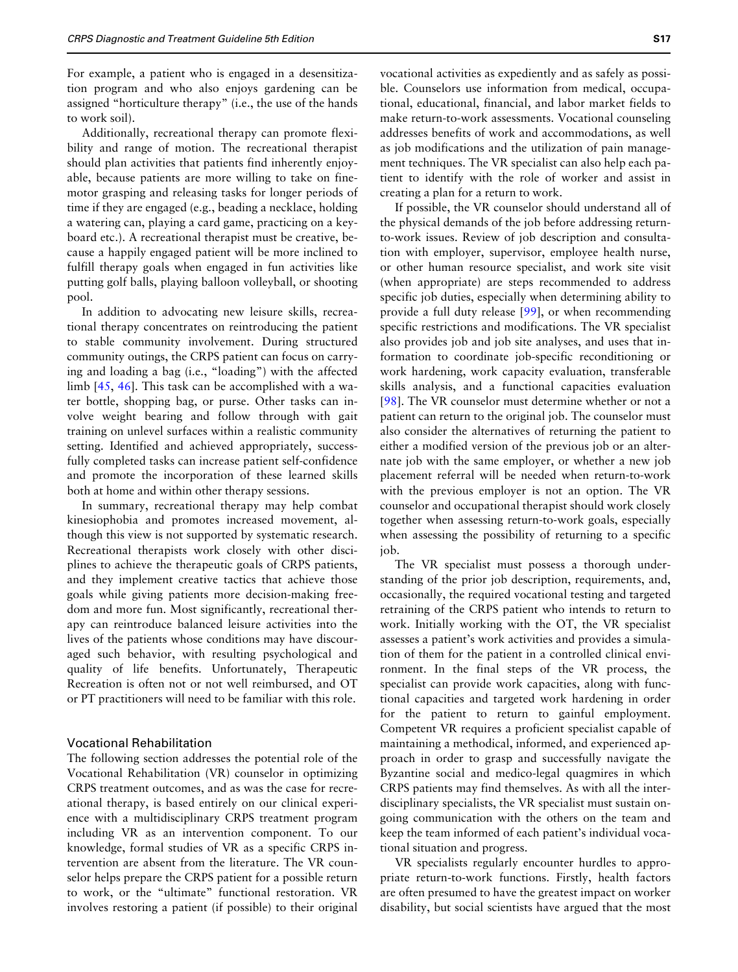For example, a patient who is engaged in a desensitization program and who also enjoys gardening can be assigned "horticulture therapy" (i.e., the use of the hands to work soil).

Additionally, recreational therapy can promote flexibility and range of motion. The recreational therapist should plan activities that patients find inherently enjoyable, because patients are more willing to take on finemotor grasping and releasing tasks for longer periods of time if they are engaged (e.g., beading a necklace, holding a watering can, playing a card game, practicing on a keyboard etc.). A recreational therapist must be creative, because a happily engaged patient will be more inclined to fulfill therapy goals when engaged in fun activities like putting golf balls, playing balloon volleyball, or shooting pool.

In addition to advocating new leisure skills, recreational therapy concentrates on reintroducing the patient to stable community involvement. During structured community outings, the CRPS patient can focus on carrying and loading a bag (i.e., "loading") with the affected limb [[45](#page-40-0), [46](#page-40-0)]. This task can be accomplished with a water bottle, shopping bag, or purse. Other tasks can involve weight bearing and follow through with gait training on unlevel surfaces within a realistic community setting. Identified and achieved appropriately, successfully completed tasks can increase patient self-confidence and promote the incorporation of these learned skills both at home and within other therapy sessions.

In summary, recreational therapy may help combat kinesiophobia and promotes increased movement, although this view is not supported by systematic research. Recreational therapists work closely with other disciplines to achieve the therapeutic goals of CRPS patients, and they implement creative tactics that achieve those goals while giving patients more decision-making freedom and more fun. Most significantly, recreational therapy can reintroduce balanced leisure activities into the lives of the patients whose conditions may have discouraged such behavior, with resulting psychological and quality of life benefits. Unfortunately, Therapeutic Recreation is often not or not well reimbursed, and OT or PT practitioners will need to be familiar with this role.

## Vocational Rehabilitation

The following section addresses the potential role of the Vocational Rehabilitation (VR) counselor in optimizing CRPS treatment outcomes, and as was the case for recreational therapy, is based entirely on our clinical experience with a multidisciplinary CRPS treatment program including VR as an intervention component. To our knowledge, formal studies of VR as a specific CRPS intervention are absent from the literature. The VR counselor helps prepare the CRPS patient for a possible return to work, or the "ultimate" functional restoration. VR involves restoring a patient (if possible) to their original

vocational activities as expediently and as safely as possible. Counselors use information from medical, occupational, educational, financial, and labor market fields to make return-to-work assessments. Vocational counseling addresses benefits of work and accommodations, as well as job modifications and the utilization of pain management techniques. The VR specialist can also help each patient to identify with the role of worker and assist in creating a plan for a return to work.

If possible, the VR counselor should understand all of the physical demands of the job before addressing returnto-work issues. Review of job description and consultation with employer, supervisor, employee health nurse, or other human resource specialist, and work site visit (when appropriate) are steps recommended to address specific job duties, especially when determining ability to provide a full duty release [[99](#page-41-0)], or when recommending specific restrictions and modifications. The VR specialist also provides job and job site analyses, and uses that information to coordinate job-specific reconditioning or work hardening, work capacity evaluation, transferable skills analysis, and a functional capacities evaluation [\[98\]](#page-41-0). The VR counselor must determine whether or not a patient can return to the original job. The counselor must also consider the alternatives of returning the patient to either a modified version of the previous job or an alternate job with the same employer, or whether a new job placement referral will be needed when return-to-work with the previous employer is not an option. The VR counselor and occupational therapist should work closely together when assessing return-to-work goals, especially when assessing the possibility of returning to a specific job.

The VR specialist must possess a thorough understanding of the prior job description, requirements, and, occasionally, the required vocational testing and targeted retraining of the CRPS patient who intends to return to work. Initially working with the OT, the VR specialist assesses a patient's work activities and provides a simulation of them for the patient in a controlled clinical environment. In the final steps of the VR process, the specialist can provide work capacities, along with functional capacities and targeted work hardening in order for the patient to return to gainful employment. Competent VR requires a proficient specialist capable of maintaining a methodical, informed, and experienced approach in order to grasp and successfully navigate the Byzantine social and medico-legal quagmires in which CRPS patients may find themselves. As with all the interdisciplinary specialists, the VR specialist must sustain ongoing communication with the others on the team and keep the team informed of each patient's individual vocational situation and progress.

VR specialists regularly encounter hurdles to appropriate return-to-work functions. Firstly, health factors are often presumed to have the greatest impact on worker disability, but social scientists have argued that the most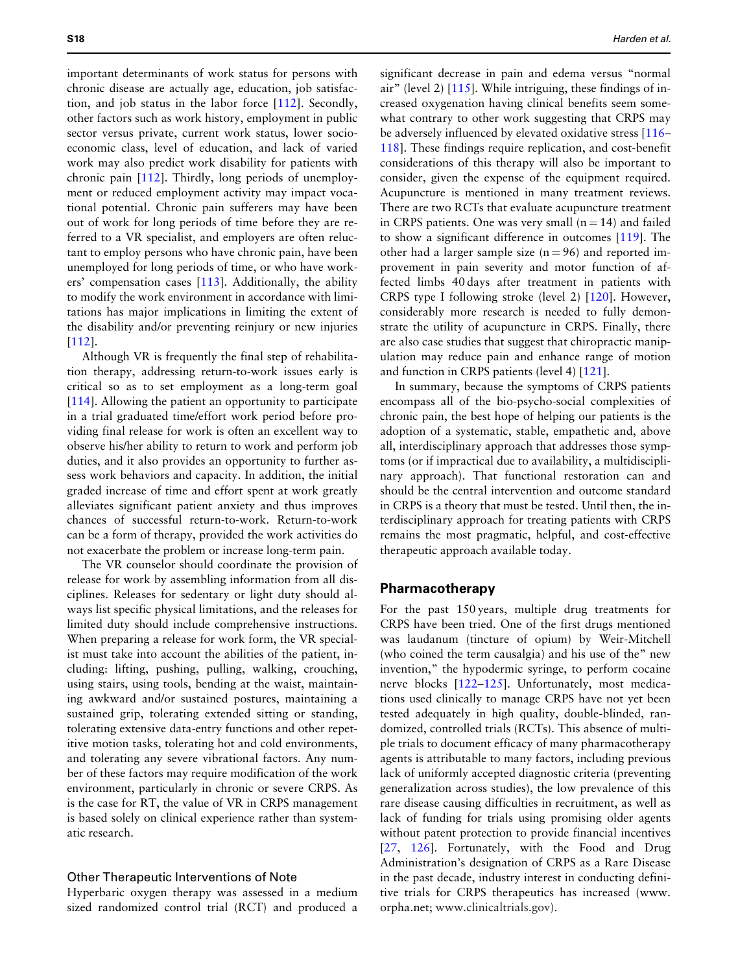important determinants of work status for persons with chronic disease are actually age, education, job satisfaction, and job status in the labor force [\[112\]](#page-42-0). Secondly, other factors such as work history, employment in public sector versus private, current work status, lower socioeconomic class, level of education, and lack of varied work may also predict work disability for patients with chronic pain [\[112](#page-42-0)]. Thirdly, long periods of unemployment or reduced employment activity may impact vocational potential. Chronic pain sufferers may have been out of work for long periods of time before they are referred to a VR specialist, and employers are often reluctant to employ persons who have chronic pain, have been unemployed for long periods of time, or who have workers' compensation cases [\[113](#page-42-0)]. Additionally, the ability to modify the work environment in accordance with limitations has major implications in limiting the extent of the disability and/or preventing reinjury or new injuries [\[112\]](#page-42-0).

Although VR is frequently the final step of rehabilitation therapy, addressing return-to-work issues early is critical so as to set employment as a long-term goal [\[114\]](#page-42-0). Allowing the patient an opportunity to participate in a trial graduated time/effort work period before providing final release for work is often an excellent way to observe his/her ability to return to work and perform job duties, and it also provides an opportunity to further assess work behaviors and capacity. In addition, the initial graded increase of time and effort spent at work greatly alleviates significant patient anxiety and thus improves chances of successful return-to-work. Return-to-work can be a form of therapy, provided the work activities do not exacerbate the problem or increase long-term pain.

The VR counselor should coordinate the provision of release for work by assembling information from all disciplines. Releases for sedentary or light duty should always list specific physical limitations, and the releases for limited duty should include comprehensive instructions. When preparing a release for work form, the VR specialist must take into account the abilities of the patient, including: lifting, pushing, pulling, walking, crouching, using stairs, using tools, bending at the waist, maintaining awkward and/or sustained postures, maintaining a sustained grip, tolerating extended sitting or standing, tolerating extensive data-entry functions and other repetitive motion tasks, tolerating hot and cold environments, and tolerating any severe vibrational factors. Any number of these factors may require modification of the work environment, particularly in chronic or severe CRPS. As is the case for RT, the value of VR in CRPS management is based solely on clinical experience rather than systematic research.

#### Other Therapeutic Interventions of Note

Hyperbaric oxygen therapy was assessed in a medium sized randomized control trial (RCT) and produced a

significant decrease in pain and edema versus "normal air" (level 2)  $[115]$ . While intriguing, these findings of increased oxygenation having clinical benefits seem somewhat contrary to other work suggesting that CRPS may be adversely influenced by elevated oxidative stress [\[116](#page-42-0)– [118\]](#page-42-0). These findings require replication, and cost-benefit considerations of this therapy will also be important to consider, given the expense of the equipment required. Acupuncture is mentioned in many treatment reviews. There are two RCTs that evaluate acupuncture treatment in CRPS patients. One was very small  $(n = 14)$  and failed to show a significant difference in outcomes [[119\]](#page-42-0). The other had a larger sample size  $(n = 96)$  and reported improvement in pain severity and motor function of affected limbs 40 days after treatment in patients with CRPS type I following stroke (level 2) [\[120](#page-42-0)]. However, considerably more research is needed to fully demonstrate the utility of acupuncture in CRPS. Finally, there are also case studies that suggest that chiropractic manipulation may reduce pain and enhance range of motion and function in CRPS patients (level 4) [\[121](#page-42-0)].

In summary, because the symptoms of CRPS patients encompass all of the bio-psycho-social complexities of chronic pain, the best hope of helping our patients is the adoption of a systematic, stable, empathetic and, above all, interdisciplinary approach that addresses those symptoms (or if impractical due to availability, a multidisciplinary approach). That functional restoration can and should be the central intervention and outcome standard in CRPS is a theory that must be tested. Until then, the interdisciplinary approach for treating patients with CRPS remains the most pragmatic, helpful, and cost-effective therapeutic approach available today.

#### Pharmacotherapy

For the past 150 years, multiple drug treatments for CRPS have been tried. One of the first drugs mentioned was laudanum (tincture of opium) by Weir-Mitchell (who coined the term causalgia) and his use of the" new invention," the hypodermic syringe, to perform cocaine nerve blocks [[122–125](#page-42-0)]. Unfortunately, most medications used clinically to manage CRPS have not yet been tested adequately in high quality, double-blinded, randomized, controlled trials (RCTs). This absence of multiple trials to document efficacy of many pharmacotherapy agents is attributable to many factors, including previous lack of uniformly accepted diagnostic criteria (preventing generalization across studies), the low prevalence of this rare disease causing difficulties in recruitment, as well as lack of funding for trials using promising older agents without patent protection to provide financial incentives [\[27,](#page-40-0) [126](#page-42-0)]. Fortunately, with the Food and Drug Administration's designation of CRPS as a Rare Disease in the past decade, industry interest in conducting definitive trials for CRPS therapeutics has increased ([www.](http://www.orpha.net) [orpha.net](http://www.orpha.net); [www.clinicaltrials.gov\)](http://www.clinicaltrials.gov).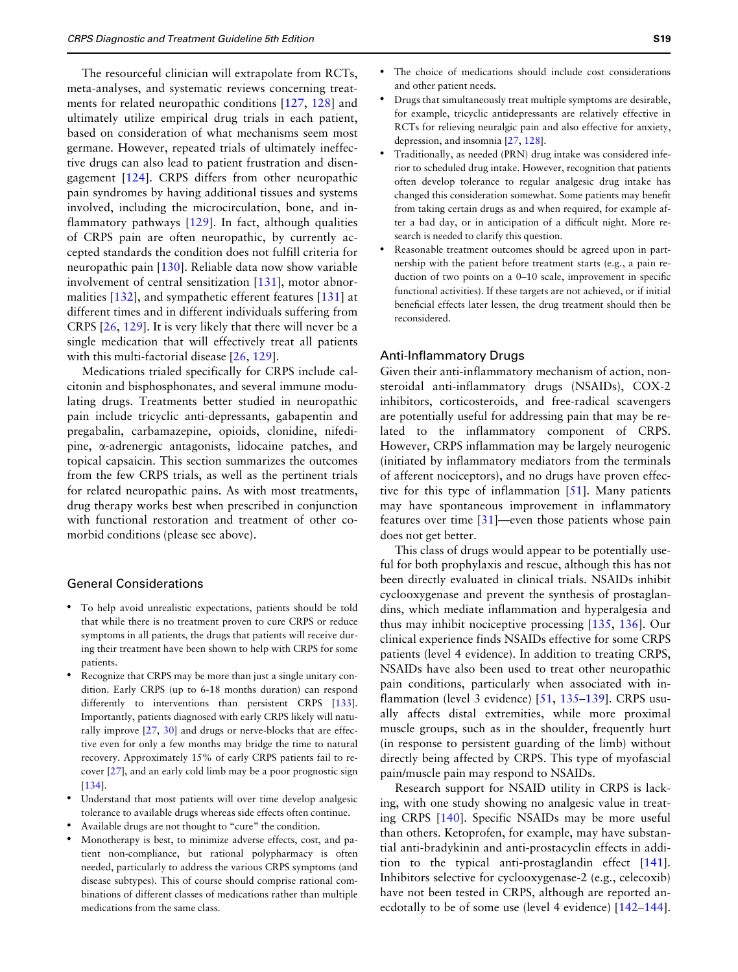The resourceful clinician will extrapolate from RCTs, meta-analyses, and systematic reviews concerning treatments for related neuropathic conditions [\[127,](#page-42-0) [128](#page-42-0)] and ultimately utilize empirical drug trials in each patient, based on consideration of what mechanisms seem most germane. However, repeated trials of ultimately ineffective drugs can also lead to patient frustration and disengagement [\[124\]](#page-42-0). CRPS differs from other neuropathic pain syndromes by having additional tissues and systems involved, including the microcirculation, bone, and inflammatory pathways [[129](#page-42-0)]. In fact, although qualities of CRPS pain are often neuropathic, by currently accepted standards the condition does not fulfill criteria for neuropathic pain [\[130](#page-42-0)]. Reliable data now show variable involvement of central sensitization [\[131](#page-42-0)], motor abnormalities [[132](#page-42-0)], and sympathetic efferent features [\[131](#page-42-0)] at different times and in different individuals suffering from CRPS [\[26,](#page-40-0) [129\]](#page-42-0). It is very likely that there will never be a single medication that will effectively treat all patients with this multi-factorial disease [[26](#page-40-0), [129](#page-42-0)].

Medications trialed specifically for CRPS include calcitonin and bisphosphonates, and several immune modulating drugs. Treatments better studied in neuropathic pain include tricyclic anti-depressants, gabapentin and pregabalin, carbamazepine, opioids, clonidine, nifedipine, a-adrenergic antagonists, lidocaine patches, and topical capsaicin. This section summarizes the outcomes from the few CRPS trials, as well as the pertinent trials for related neuropathic pains. As with most treatments, drug therapy works best when prescribed in conjunction with functional restoration and treatment of other comorbid conditions (please see above).

#### General Considerations

- To help avoid unrealistic expectations, patients should be told that while there is no treatment proven to cure CRPS or reduce symptoms in all patients, the drugs that patients will receive during their treatment have been shown to help with CRPS for some patients.
- Recognize that CRPS may be more than just a single unitary condition. Early CRPS (up to 6-18 months duration) can respond differently to interventions than persistent CRPS [[133](#page-42-0)]. Importantly, patients diagnosed with early CRPS likely will naturally improve [\[27](#page-40-0), [30](#page-40-0)] and drugs or nerve-blocks that are effective even for only a few months may bridge the time to natural recovery. Approximately 15% of early CRPS patients fail to recover [[27\]](#page-40-0), and an early cold limb may be a poor prognostic sign [\[134](#page-42-0)].
- Understand that most patients will over time develop analgesic tolerance to available drugs whereas side effects often continue.
- Available drugs are not thought to "cure" the condition.
- Monotherapy is best, to minimize adverse effects, cost, and patient non-compliance, but rational polypharmacy is often needed, particularly to address the various CRPS symptoms (and disease subtypes). This of course should comprise rational combinations of different classes of medications rather than multiple medications from the same class.
- The choice of medications should include cost considerations and other patient needs.
- Drugs that simultaneously treat multiple symptoms are desirable, for example, tricyclic antidepressants are relatively effective in RCTs for relieving neuralgic pain and also effective for anxiety, depression, and insomnia [[27](#page-40-0), [128\]](#page-42-0).
- Traditionally, as needed (PRN) drug intake was considered inferior to scheduled drug intake. However, recognition that patients often develop tolerance to regular analgesic drug intake has changed this consideration somewhat. Some patients may benefit from taking certain drugs as and when required, for example after a bad day, or in anticipation of a difficult night. More research is needed to clarify this question.
- Reasonable treatment outcomes should be agreed upon in partnership with the patient before treatment starts (e.g., a pain reduction of two points on a 0–10 scale, improvement in specific functional activities). If these targets are not achieved, or if initial beneficial effects later lessen, the drug treatment should then be reconsidered.

#### Anti-Inflammatory Drugs

Given their anti-inflammatory mechanism of action, nonsteroidal anti-inflammatory drugs (NSAIDs), COX-2 inhibitors, corticosteroids, and free-radical scavengers are potentially useful for addressing pain that may be related to the inflammatory component of CRPS. However, CRPS inflammation may be largely neurogenic (initiated by inflammatory mediators from the terminals of afferent nociceptors), and no drugs have proven effective for this type of inflammation  $[51]$ . Many patients may have spontaneous improvement in inflammatory features over time [\[31\]](#page-40-0)—even those patients whose pain does not get better.

This class of drugs would appear to be potentially useful for both prophylaxis and rescue, although this has not been directly evaluated in clinical trials. NSAIDs inhibit cyclooxygenase and prevent the synthesis of prostaglandins, which mediate inflammation and hyperalgesia and thus may inhibit nociceptive processing [\[135](#page-42-0), [136\]](#page-42-0). Our clinical experience finds NSAIDs effective for some CRPS patients (level 4 evidence). In addition to treating CRPS, NSAIDs have also been used to treat other neuropathic pain conditions, particularly when associated with inflammation (level 3 evidence) [\[51,](#page-40-0) [135–139\]](#page-42-0). CRPS usually affects distal extremities, while more proximal muscle groups, such as in the shoulder, frequently hurt (in response to persistent guarding of the limb) without directly being affected by CRPS. This type of myofascial pain/muscle pain may respond to NSAIDs.

Research support for NSAID utility in CRPS is lacking, with one study showing no analgesic value in treating CRPS [\[140](#page-42-0)]. Specific NSAIDs may be more useful than others. Ketoprofen, for example, may have substantial anti-bradykinin and anti-prostacyclin effects in addition to the typical anti-prostaglandin effect [\[141](#page-42-0)]. Inhibitors selective for cyclooxygenase-2 (e.g., celecoxib) have not been tested in CRPS, although are reported anecdotally to be of some use (level 4 evidence) [[142–144](#page-43-0)].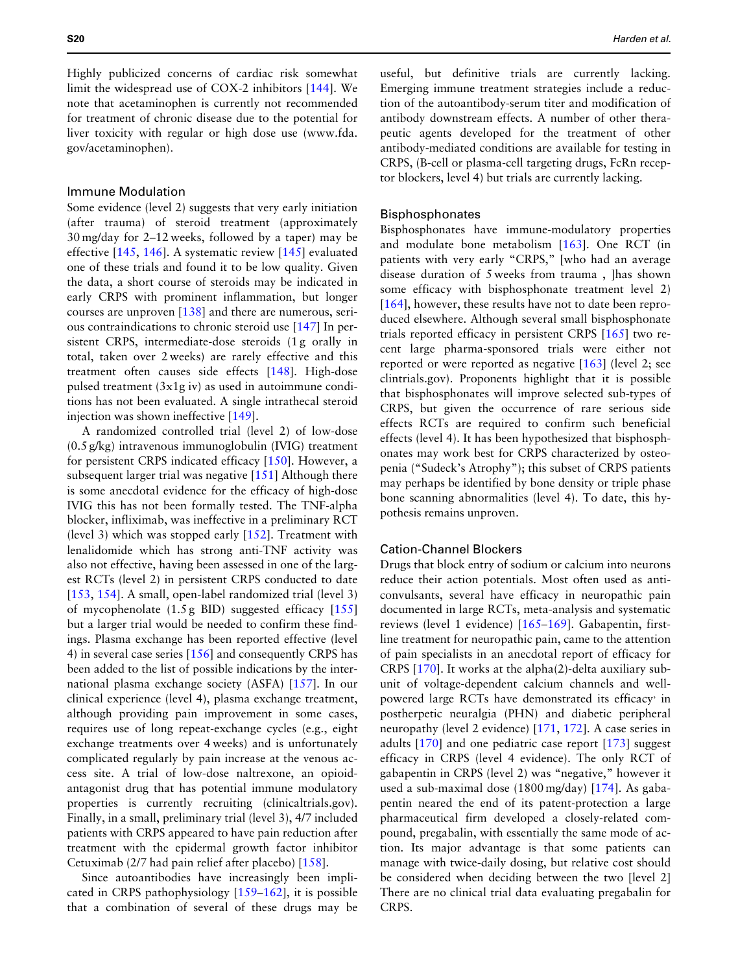Highly publicized concerns of cardiac risk somewhat limit the widespread use of COX-2 inhibitors [\[144](#page-43-0)]. We note that acetaminophen is currently not recommended for treatment of chronic disease due to the potential for liver toxicity with regular or high dose use [\(www.fda.](http://www.fda.gov/acetaminophen) [gov/acetaminophen\)](http://www.fda.gov/acetaminophen).

### Immune Modulation

Some evidence (level 2) suggests that very early initiation (after trauma) of steroid treatment (approximately 30 mg/day for 2–12 weeks, followed by a taper) may be effective [[145,](#page-43-0) [146\]](#page-43-0). A systematic review [\[145\]](#page-43-0) evaluated one of these trials and found it to be low quality. Given the data, a short course of steroids may be indicated in early CRPS with prominent inflammation, but longer courses are unproven [[138](#page-42-0)] and there are numerous, serious contraindications to chronic steroid use [[147\]](#page-43-0) In persistent CRPS, intermediate-dose steroids (1g orally in total, taken over 2 weeks) are rarely effective and this treatment often causes side effects [[148](#page-43-0)]. High-dose pulsed treatment (3x1g iv) as used in autoimmune conditions has not been evaluated. A single intrathecal steroid injection was shown ineffective [[149\]](#page-43-0).

A randomized controlled trial (level 2) of low-dose (0.5 g/kg) intravenous immunoglobulin (IVIG) treatment for persistent CRPS indicated efficacy [\[150](#page-43-0)]. However, a subsequent larger trial was negative [\[151\]](#page-43-0) Although there is some anecdotal evidence for the efficacy of high-dose IVIG this has not been formally tested. The TNF-alpha blocker, infliximab, was ineffective in a preliminary RCT (level 3) which was stopped early [[152\]](#page-43-0). Treatment with lenalidomide which has strong anti-TNF activity was also not effective, having been assessed in one of the largest RCTs (level 2) in persistent CRPS conducted to date [\[153,](#page-43-0) [154\]](#page-43-0). A small, open-label randomized trial (level 3) of mycophenolate (1.5 g BID) suggested efficacy [\[155\]](#page-43-0) but a larger trial would be needed to confirm these findings. Plasma exchange has been reported effective (level 4) in several case series [\[156\]](#page-43-0) and consequently CRPS has been added to the list of possible indications by the international plasma exchange society (ASFA) [[157\]](#page-43-0). In our clinical experience (level 4), plasma exchange treatment, although providing pain improvement in some cases, requires use of long repeat-exchange cycles (e.g., eight exchange treatments over 4 weeks) and is unfortunately complicated regularly by pain increase at the venous access site. A trial of low-dose naltrexone, an opioidantagonist drug that has potential immune modulatory properties is currently recruiting (clinicaltrials.gov). Finally, in a small, preliminary trial (level 3), 4/7 included patients with CRPS appeared to have pain reduction after treatment with the epidermal growth factor inhibitor Cetuximab (2/7 had pain relief after placebo) [\[158](#page-43-0)].

Since autoantibodies have increasingly been implicated in CRPS pathophysiology [\[159](#page-43-0)–[162\]](#page-43-0), it is possible that a combination of several of these drugs may be

useful, but definitive trials are currently lacking. Emerging immune treatment strategies include a reduction of the autoantibody-serum titer and modification of antibody downstream effects. A number of other therapeutic agents developed for the treatment of other antibody-mediated conditions are available for testing in CRPS, (B-cell or plasma-cell targeting drugs, FcRn receptor blockers, level 4) but trials are currently lacking.

#### Bisphosphonates

Bisphosphonates have immune-modulatory properties and modulate bone metabolism [[163\]](#page-43-0). One RCT (in patients with very early "CRPS," [who had an average disease duration of 5 weeks from trauma , ]has shown some efficacy with bisphosphonate treatment level 2) [\[164\]](#page-43-0), however, these results have not to date been reproduced elsewhere. Although several small bisphosphonate trials reported efficacy in persistent CRPS [\[165\]](#page-43-0) two recent large pharma-sponsored trials were either not reported or were reported as negative [\[163](#page-43-0)] (level 2; see clintrials.gov). Proponents highlight that it is possible that bisphosphonates will improve selected sub-types of CRPS, but given the occurrence of rare serious side effects RCTs are required to confirm such beneficial effects (level 4). It has been hypothesized that bisphosphonates may work best for CRPS characterized by osteopenia ("Sudeck's Atrophy"); this subset of CRPS patients may perhaps be identified by bone density or triple phase bone scanning abnormalities (level 4). To date, this hypothesis remains unproven.

#### Cation-Channel Blockers

Drugs that block entry of sodium or calcium into neurons reduce their action potentials. Most often used as anticonvulsants, several have efficacy in neuropathic pain documented in large RCTs, meta-analysis and systematic reviews (level 1 evidence) [\[165–169](#page-43-0)]. Gabapentin, firstline treatment for neuropathic pain, came to the attention of pain specialists in an anecdotal report of efficacy for CRPS [[170](#page-43-0)]. It works at the alpha(2)-delta auxiliary subunit of voltage-dependent calcium channels and wellpowered large RCTs have demonstrated its efficacy in postherpetic neuralgia (PHN) and diabetic peripheral neuropathy (level 2 evidence) [\[171,](#page-43-0) [172](#page-43-0)]. A case series in adults [\[170](#page-43-0)] and one pediatric case report [\[173\]](#page-43-0) suggest efficacy in CRPS (level 4 evidence). The only RCT of gabapentin in CRPS (level 2) was "negative," however it used a sub-maximal dose (1800 mg/day) [[174\]](#page-43-0). As gabapentin neared the end of its patent-protection a large pharmaceutical firm developed a closely-related compound, pregabalin, with essentially the same mode of action. Its major advantage is that some patients can manage with twice-daily dosing, but relative cost should be considered when deciding between the two [level 2] There are no clinical trial data evaluating pregabalin for CRPS.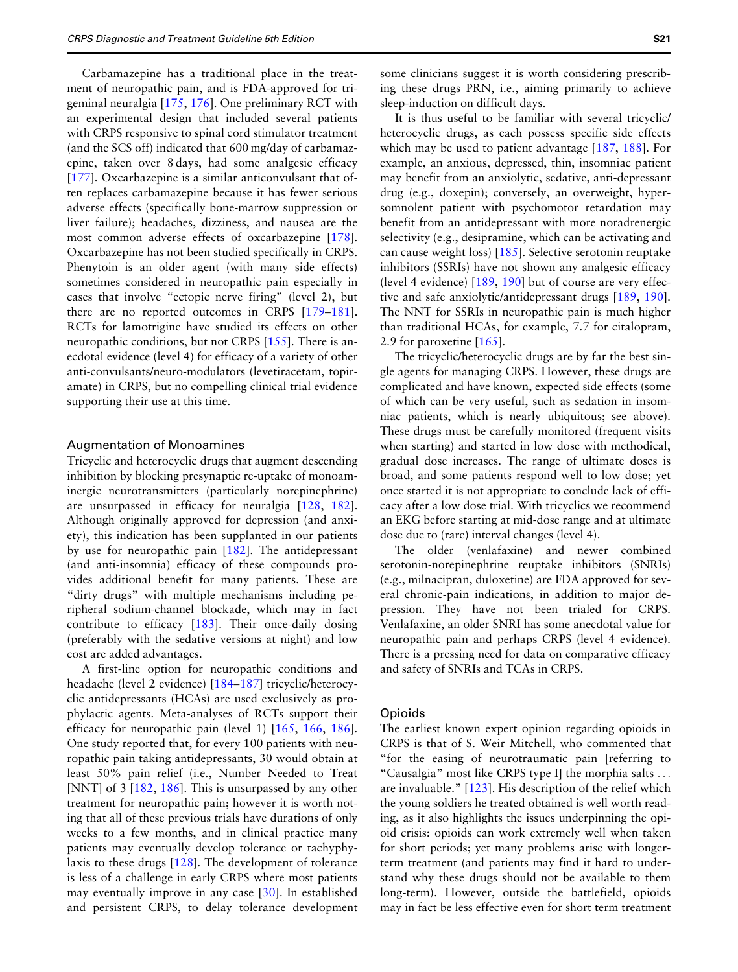Carbamazepine has a traditional place in the treatment of neuropathic pain, and is FDA-approved for trigeminal neuralgia [\[175](#page-43-0), [176\]](#page-43-0). One preliminary RCT with an experimental design that included several patients with CRPS responsive to spinal cord stimulator treatment (and the SCS off) indicated that 600 mg/day of carbamazepine, taken over 8 days, had some analgesic efficacy [\[177\]](#page-43-0). Oxcarbazepine is a similar anticonvulsant that often replaces carbamazepine because it has fewer serious adverse effects (specifically bone-marrow suppression or liver failure); headaches, dizziness, and nausea are the most common adverse effects of oxcarbazepine [\[178](#page-43-0)]. Oxcarbazepine has not been studied specifically in CRPS. Phenytoin is an older agent (with many side effects) sometimes considered in neuropathic pain especially in cases that involve "ectopic nerve firing" (level 2), but there are no reported outcomes in CRPS [[179–181](#page-43-0)]. RCTs for lamotrigine have studied its effects on other neuropathic conditions, but not CRPS [\[155](#page-43-0)]. There is anecdotal evidence (level 4) for efficacy of a variety of other anti-convulsants/neuro-modulators (levetiracetam, topiramate) in CRPS, but no compelling clinical trial evidence supporting their use at this time.

#### Augmentation of Monoamines

Tricyclic and heterocyclic drugs that augment descending inhibition by blocking presynaptic re-uptake of monoaminergic neurotransmitters (particularly norepinephrine) are unsurpassed in efficacy for neuralgia [\[128](#page-42-0), [182](#page-44-0)]. Although originally approved for depression (and anxiety), this indication has been supplanted in our patients by use for neuropathic pain [\[182](#page-44-0)]. The antidepressant (and anti-insomnia) efficacy of these compounds provides additional benefit for many patients. These are "dirty drugs" with multiple mechanisms including peripheral sodium-channel blockade, which may in fact contribute to efficacy [[183\]](#page-44-0). Their once-daily dosing (preferably with the sedative versions at night) and low cost are added advantages.

A first-line option for neuropathic conditions and headache (level 2 evidence) [\[184](#page-44-0)–[187\]](#page-44-0) tricyclic/heterocyclic antidepressants (HCAs) are used exclusively as prophylactic agents. Meta-analyses of RCTs support their efficacy for neuropathic pain (level 1) [\[165](#page-43-0), [166,](#page-43-0) [186](#page-44-0)]. One study reported that, for every 100 patients with neuropathic pain taking antidepressants, 30 would obtain at least 50% pain relief (i.e., Number Needed to Treat [NNT] of 3 [[182](#page-44-0), [186\]](#page-44-0). This is unsurpassed by any other treatment for neuropathic pain; however it is worth noting that all of these previous trials have durations of only weeks to a few months, and in clinical practice many patients may eventually develop tolerance or tachyphylaxis to these drugs [[128\]](#page-42-0). The development of tolerance is less of a challenge in early CRPS where most patients may eventually improve in any case [\[30\]](#page-40-0). In established and persistent CRPS, to delay tolerance development

some clinicians suggest it is worth considering prescribing these drugs PRN, i.e., aiming primarily to achieve sleep-induction on difficult days.

It is thus useful to be familiar with several tricyclic/ heterocyclic drugs, as each possess specific side effects which may be used to patient advantage [[187](#page-44-0), [188\]](#page-44-0). For example, an anxious, depressed, thin, insomniac patient may benefit from an anxiolytic, sedative, anti-depressant drug (e.g., doxepin); conversely, an overweight, hypersomnolent patient with psychomotor retardation may benefit from an antidepressant with more noradrenergic selectivity (e.g., desipramine, which can be activating and can cause weight loss) [\[185](#page-44-0)]. Selective serotonin reuptake inhibitors (SSRIs) have not shown any analgesic efficacy (level 4 evidence) [[189](#page-44-0), [190](#page-44-0)] but of course are very effective and safe anxiolytic/antidepressant drugs [[189](#page-44-0), [190](#page-44-0)]. The NNT for SSRIs in neuropathic pain is much higher than traditional HCAs, for example, 7.7 for citalopram, 2.9 for paroxetine [\[165](#page-43-0)].

The tricyclic/heterocyclic drugs are by far the best single agents for managing CRPS. However, these drugs are complicated and have known, expected side effects (some of which can be very useful, such as sedation in insomniac patients, which is nearly ubiquitous; see above). These drugs must be carefully monitored (frequent visits when starting) and started in low dose with methodical, gradual dose increases. The range of ultimate doses is broad, and some patients respond well to low dose; yet once started it is not appropriate to conclude lack of efficacy after a low dose trial. With tricyclics we recommend an EKG before starting at mid-dose range and at ultimate dose due to (rare) interval changes (level 4).

The older (venlafaxine) and newer combined serotonin-norepinephrine reuptake inhibitors (SNRIs) (e.g., milnacipran, duloxetine) are FDA approved for several chronic-pain indications, in addition to major depression. They have not been trialed for CRPS. Venlafaxine, an older SNRI has some anecdotal value for neuropathic pain and perhaps CRPS (level 4 evidence). There is a pressing need for data on comparative efficacy and safety of SNRIs and TCAs in CRPS.

## Opioids

The earliest known expert opinion regarding opioids in CRPS is that of S. Weir Mitchell, who commented that "for the easing of neurotraumatic pain [referring to "Causalgia" most like CRPS type I] the morphia salts ... are invaluable." [[123\]](#page-42-0). His description of the relief which the young soldiers he treated obtained is well worth reading, as it also highlights the issues underpinning the opioid crisis: opioids can work extremely well when taken for short periods; yet many problems arise with longerterm treatment (and patients may find it hard to understand why these drugs should not be available to them long-term). However, outside the battlefield, opioids may in fact be less effective even for short term treatment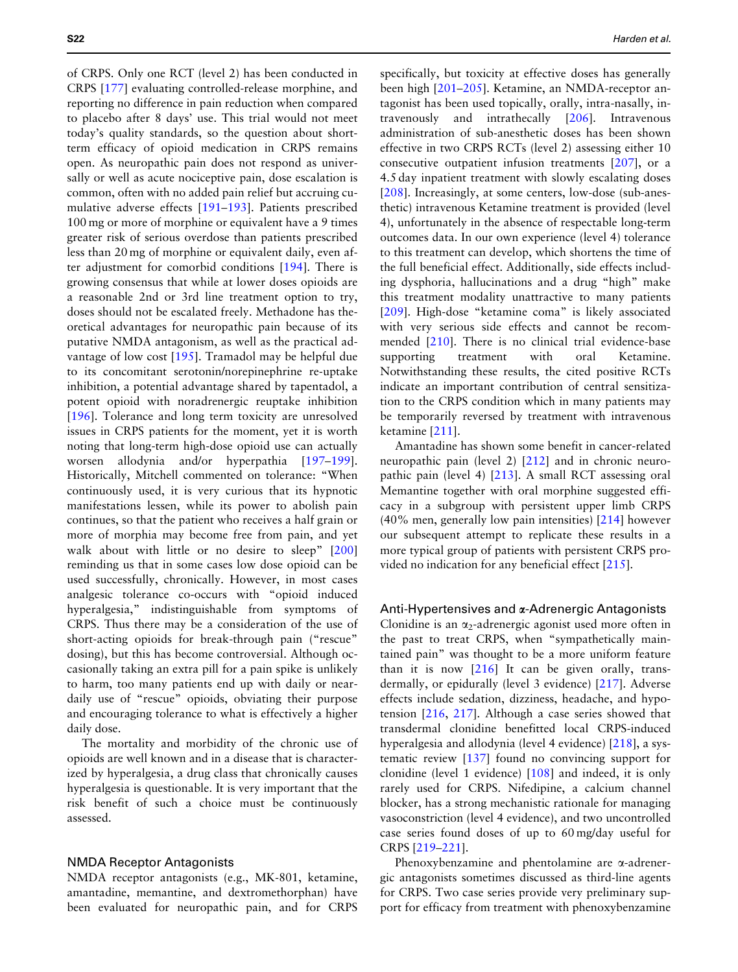of CRPS. Only one RCT (level 2) has been conducted in CRPS [[177\]](#page-43-0) evaluating controlled-release morphine, and reporting no difference in pain reduction when compared to placebo after 8 days' use. This trial would not meet today's quality standards, so the question about shortterm efficacy of opioid medication in CRPS remains open. As neuropathic pain does not respond as universally or well as acute nociceptive pain, dose escalation is common, often with no added pain relief but accruing cumulative adverse effects [\[191](#page-44-0)–[193\]](#page-44-0). Patients prescribed 100 mg or more of morphine or equivalent have a 9 times greater risk of serious overdose than patients prescribed less than 20 mg of morphine or equivalent daily, even after adjustment for comorbid conditions [\[194\]](#page-44-0). There is growing consensus that while at lower doses opioids are a reasonable 2nd or 3rd line treatment option to try, doses should not be escalated freely. Methadone has theoretical advantages for neuropathic pain because of its putative NMDA antagonism, as well as the practical advantage of low cost [[195](#page-44-0)]. Tramadol may be helpful due to its concomitant serotonin/norepinephrine re-uptake inhibition, a potential advantage shared by tapentadol, a potent opioid with noradrenergic reuptake inhibition [\[196\]](#page-44-0). Tolerance and long term toxicity are unresolved issues in CRPS patients for the moment, yet it is worth noting that long-term high-dose opioid use can actually worsen allodynia and/or hyperpathia [197-199]. Historically, Mitchell commented on tolerance: "When continuously used, it is very curious that its hypnotic manifestations lessen, while its power to abolish pain continues, so that the patient who receives a half grain or more of morphia may become free from pain, and yet walk about with little or no desire to sleep" [\[200\]](#page-44-0) reminding us that in some cases low dose opioid can be used successfully, chronically. However, in most cases analgesic tolerance co-occurs with "opioid induced hyperalgesia," indistinguishable from symptoms of CRPS. Thus there may be a consideration of the use of short-acting opioids for break-through pain ("rescue" dosing), but this has become controversial. Although occasionally taking an extra pill for a pain spike is unlikely to harm, too many patients end up with daily or neardaily use of "rescue" opioids, obviating their purpose and encouraging tolerance to what is effectively a higher daily dose.

The mortality and morbidity of the chronic use of opioids are well known and in a disease that is characterized by hyperalgesia, a drug class that chronically causes hyperalgesia is questionable. It is very important that the risk benefit of such a choice must be continuously assessed.

#### NMDA Receptor Antagonists

NMDA receptor antagonists (e.g., MK-801, ketamine, amantadine, memantine, and dextromethorphan) have been evaluated for neuropathic pain, and for CRPS

specifically, but toxicity at effective doses has generally been high [\[201–205](#page-44-0)]. Ketamine, an NMDA-receptor antagonist has been used topically, orally, intra-nasally, intravenously and intrathecally [\[206\]](#page-44-0). Intravenous administration of sub-anesthetic doses has been shown effective in two CRPS RCTs (level 2) assessing either 10 consecutive outpatient infusion treatments [[207](#page-44-0)], or a 4.5 day inpatient treatment with slowly escalating doses [\[208\]](#page-44-0). Increasingly, at some centers, low-dose (sub-anesthetic) intravenous Ketamine treatment is provided (level 4), unfortunately in the absence of respectable long-term outcomes data. In our own experience (level 4) tolerance to this treatment can develop, which shortens the time of the full beneficial effect. Additionally, side effects including dysphoria, hallucinations and a drug "high" make this treatment modality unattractive to many patients [\[209\]](#page-44-0). High-dose "ketamine coma" is likely associated with very serious side effects and cannot be recommended [\[210\]](#page-44-0). There is no clinical trial evidence-base supporting treatment with oral Ketamine. Notwithstanding these results, the cited positive RCTs indicate an important contribution of central sensitization to the CRPS condition which in many patients may be temporarily reversed by treatment with intravenous ketamine [\[211\]](#page-44-0).

Amantadine has shown some benefit in cancer-related neuropathic pain (level 2) [\[212](#page-44-0)] and in chronic neuropathic pain (level 4) [[213\]](#page-44-0). A small RCT assessing oral Memantine together with oral morphine suggested efficacy in a subgroup with persistent upper limb CRPS (40% men, generally low pain intensities) [\[214](#page-44-0)] however our subsequent attempt to replicate these results in a more typical group of patients with persistent CRPS provided no indication for any beneficial effect [\[215\]](#page-44-0).

#### Anti-Hypertensives and a-Adrenergic Antagonists

Clonidine is an  $\alpha_2$ -adrenergic agonist used more often in the past to treat CRPS, when "sympathetically maintained pain" was thought to be a more uniform feature than it is now  $[216]$  It can be given orally, transdermally, or epidurally (level 3 evidence) [\[217](#page-44-0)]. Adverse effects include sedation, dizziness, headache, and hypotension [[216](#page-44-0), [217\]](#page-44-0). Although a case series showed that transdermal clonidine benefitted local CRPS-induced hyperalgesia and allodynia (level 4 evidence) [\[218](#page-44-0)], a systematic review [\[137](#page-42-0)] found no convincing support for clonidine (level 1 evidence) [\[108\]](#page-42-0) and indeed, it is only rarely used for CRPS. Nifedipine, a calcium channel blocker, has a strong mechanistic rationale for managing vasoconstriction (level 4 evidence), and two uncontrolled case series found doses of up to 60 mg/day useful for CRPS [\[219–](#page-44-0)[221](#page-45-0)].

Phenoxybenzamine and phentolamine are  $\alpha$ -adrenergic antagonists sometimes discussed as third-line agents for CRPS. Two case series provide very preliminary support for efficacy from treatment with phenoxybenzamine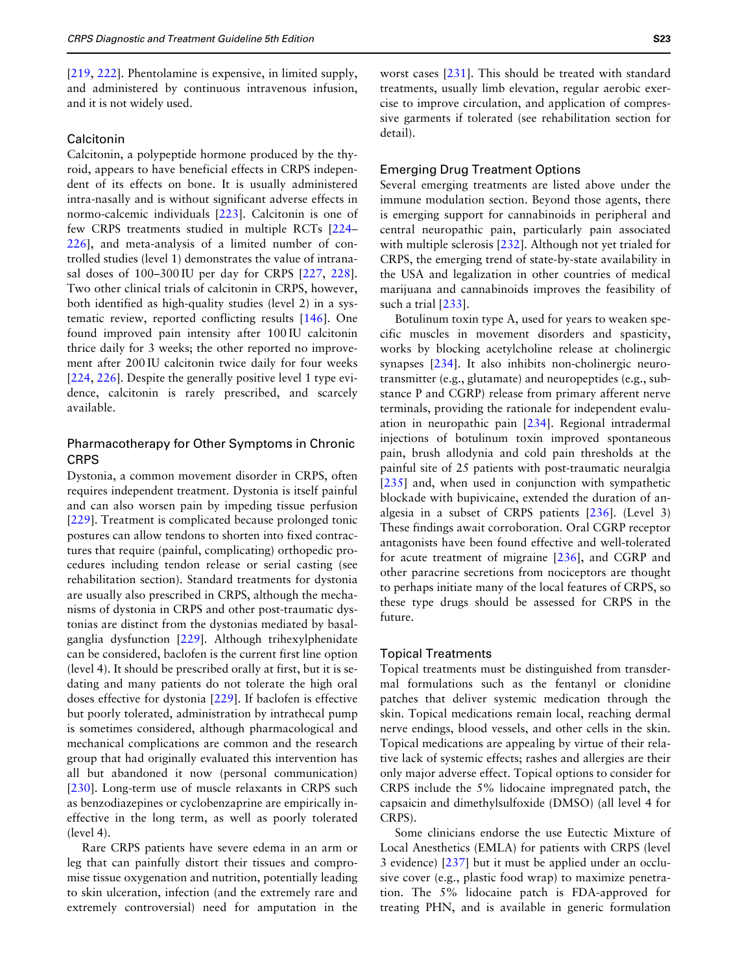[\[219,](#page-44-0) [222](#page-45-0)]. Phentolamine is expensive, in limited supply, and administered by continuous intravenous infusion, and it is not widely used.

#### **Calcitonin**

Calcitonin, a polypeptide hormone produced by the thyroid, appears to have beneficial effects in CRPS independent of its effects on bone. It is usually administered intra-nasally and is without significant adverse effects in normo-calcemic individuals [\[223](#page-45-0)]. Calcitonin is one of few CRPS treatments studied in multiple RCTs [\[224](#page-45-0)– [226\]](#page-45-0), and meta-analysis of a limited number of controlled studies (level 1) demonstrates the value of intranasal doses of 100–300 IU per day for CRPS [[227](#page-45-0), [228](#page-45-0)]. Two other clinical trials of calcitonin in CRPS, however, both identified as high-quality studies (level 2) in a systematic review, reported conflicting results [\[146](#page-43-0)]. One found improved pain intensity after 100 IU calcitonin thrice daily for 3 weeks; the other reported no improvement after 200 IU calcitonin twice daily for four weeks [\[224,](#page-45-0) [226\]](#page-45-0). Despite the generally positive level 1 type evidence, calcitonin is rarely prescribed, and scarcely available.

## Pharmacotherapy for Other Symptoms in Chronic CRPS

Dystonia, a common movement disorder in CRPS, often requires independent treatment. Dystonia is itself painful and can also worsen pain by impeding tissue perfusion [\[229\]](#page-45-0). Treatment is complicated because prolonged tonic postures can allow tendons to shorten into fixed contractures that require (painful, complicating) orthopedic procedures including tendon release or serial casting (see rehabilitation section). Standard treatments for dystonia are usually also prescribed in CRPS, although the mechanisms of dystonia in CRPS and other post-traumatic dystonias are distinct from the dystonias mediated by basalganglia dysfunction [\[229](#page-45-0)]. Although trihexylphenidate can be considered, baclofen is the current first line option (level 4). It should be prescribed orally at first, but it is sedating and many patients do not tolerate the high oral doses effective for dystonia [\[229](#page-45-0)]. If baclofen is effective but poorly tolerated, administration by intrathecal pump is sometimes considered, although pharmacological and mechanical complications are common and the research group that had originally evaluated this intervention has all but abandoned it now (personal communication) [\[230\]](#page-45-0). Long-term use of muscle relaxants in CRPS such as benzodiazepines or cyclobenzaprine are empirically ineffective in the long term, as well as poorly tolerated (level 4).

Rare CRPS patients have severe edema in an arm or leg that can painfully distort their tissues and compromise tissue oxygenation and nutrition, potentially leading to skin ulceration, infection (and the extremely rare and extremely controversial) need for amputation in the

worst cases [[231\]](#page-45-0). This should be treated with standard treatments, usually limb elevation, regular aerobic exercise to improve circulation, and application of compressive garments if tolerated (see rehabilitation section for detail).

#### Emerging Drug Treatment Options

Several emerging treatments are listed above under the immune modulation section. Beyond those agents, there is emerging support for cannabinoids in peripheral and central neuropathic pain, particularly pain associated with multiple sclerosis [[232\]](#page-45-0). Although not yet trialed for CRPS, the emerging trend of state-by-state availability in the USA and legalization in other countries of medical marijuana and cannabinoids improves the feasibility of such a trial [\[233](#page-45-0)].

Botulinum toxin type A, used for years to weaken specific muscles in movement disorders and spasticity, works by blocking acetylcholine release at cholinergic synapses [\[234](#page-45-0)]. It also inhibits non-cholinergic neurotransmitter (e.g., glutamate) and neuropeptides (e.g., substance P and CGRP) release from primary afferent nerve terminals, providing the rationale for independent evaluation in neuropathic pain [\[234\]](#page-45-0). Regional intradermal injections of botulinum toxin improved spontaneous pain, brush allodynia and cold pain thresholds at the painful site of 25 patients with post-traumatic neuralgia [\[235\]](#page-45-0) and, when used in conjunction with sympathetic blockade with bupivicaine, extended the duration of analgesia in a subset of CRPS patients [[236](#page-45-0)]. (Level 3) These findings await corroboration. Oral CGRP receptor antagonists have been found effective and well-tolerated for acute treatment of migraine [\[236](#page-45-0)], and CGRP and other paracrine secretions from nociceptors are thought to perhaps initiate many of the local features of CRPS, so these type drugs should be assessed for CRPS in the future.

#### Topical Treatments

Topical treatments must be distinguished from transdermal formulations such as the fentanyl or clonidine patches that deliver systemic medication through the skin. Topical medications remain local, reaching dermal nerve endings, blood vessels, and other cells in the skin. Topical medications are appealing by virtue of their relative lack of systemic effects; rashes and allergies are their only major adverse effect. Topical options to consider for CRPS include the 5% lidocaine impregnated patch, the capsaicin and dimethylsulfoxide (DMSO) (all level 4 for CRPS).

Some clinicians endorse the use Eutectic Mixture of Local Anesthetics (EMLA) for patients with CRPS (level 3 evidence) [[237](#page-45-0)] but it must be applied under an occlusive cover (e.g., plastic food wrap) to maximize penetration. The 5% lidocaine patch is FDA-approved for treating PHN, and is available in generic formulation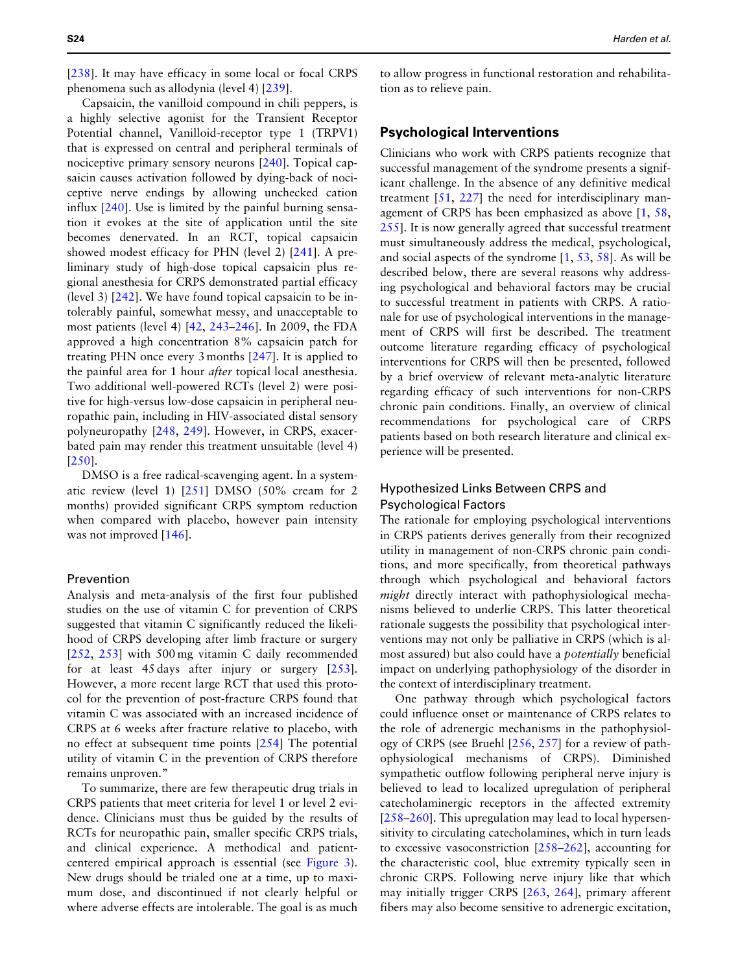[\[238\]](#page-45-0). It may have efficacy in some local or focal CRPS phenomena such as allodynia (level 4) [[239\]](#page-45-0).

Capsaicin, the vanilloid compound in chili peppers, is a highly selective agonist for the Transient Receptor Potential channel, Vanilloid-receptor type 1 (TRPV1) that is expressed on central and peripheral terminals of nociceptive primary sensory neurons [\[240](#page-45-0)]. Topical capsaicin causes activation followed by dying-back of nociceptive nerve endings by allowing unchecked cation influx [\[240](#page-45-0)]. Use is limited by the painful burning sensation it evokes at the site of application until the site becomes denervated. In an RCT, topical capsaicin showed modest efficacy for PHN (level 2) [\[241](#page-45-0)]. A preliminary study of high-dose topical capsaicin plus regional anesthesia for CRPS demonstrated partial efficacy (level 3) [[242\]](#page-45-0). We have found topical capsaicin to be intolerably painful, somewhat messy, and unacceptable to most patients (level 4) [\[42,](#page-40-0) [243–246\]](#page-45-0). In 2009, the FDA approved a high concentration 8% capsaicin patch for treating PHN once every 3 months [\[247\]](#page-45-0). It is applied to the painful area for 1 hour after topical local anesthesia. Two additional well-powered RCTs (level 2) were positive for high-versus low-dose capsaicin in peripheral neuropathic pain, including in HIV-associated distal sensory polyneuropathy [[248](#page-45-0), [249](#page-45-0)]. However, in CRPS, exacerbated pain may render this treatment unsuitable (level 4) [\[250\]](#page-45-0).

DMSO is a free radical-scavenging agent. In a systematic review (level 1) [\[251\]](#page-45-0) DMSO (50% cream for 2 months) provided significant CRPS symptom reduction when compared with placebo, however pain intensity was not improved [[146\]](#page-43-0).

#### Prevention

Analysis and meta-analysis of the first four published studies on the use of vitamin C for prevention of CRPS suggested that vitamin C significantly reduced the likelihood of CRPS developing after limb fracture or surgery [\[252,](#page-45-0) [253](#page-45-0)] with 500 mg vitamin C daily recommended for at least 45 days after injury or surgery [\[253](#page-45-0)]. However, a more recent large RCT that used this protocol for the prevention of post-fracture CRPS found that vitamin C was associated with an increased incidence of CRPS at 6 weeks after fracture relative to placebo, with no effect at subsequent time points [\[254\]](#page-45-0) The potential utility of vitamin C in the prevention of CRPS therefore remains unproven."

To summarize, there are few therapeutic drug trials in CRPS patients that meet criteria for level 1 or level 2 evidence. Clinicians must thus be guided by the results of RCTs for neuropathic pain, smaller specific CRPS trials, and clinical experience. A methodical and patientcentered empirical approach is essential (see [Figure 3](#page-24-0)). New drugs should be trialed one at a time, up to maximum dose, and discontinued if not clearly helpful or where adverse effects are intolerable. The goal is as much

to allow progress in functional restoration and rehabilitation as to relieve pain.

#### Psychological Interventions

Clinicians who work with CRPS patients recognize that successful management of the syndrome presents a significant challenge. In the absence of any definitive medical treatment  $[51, 227]$  $[51, 227]$  $[51, 227]$  $[51, 227]$  the need for interdisciplinary management of CRPS has been emphasized as above [\[1,](#page-39-0) [58](#page-40-0), [255\]](#page-45-0). It is now generally agreed that successful treatment must simultaneously address the medical, psychological, and social aspects of the syndrome [[1,](#page-39-0) [53,](#page-40-0) [58\]](#page-40-0). As will be described below, there are several reasons why addressing psychological and behavioral factors may be crucial to successful treatment in patients with CRPS. A rationale for use of psychological interventions in the management of CRPS will first be described. The treatment outcome literature regarding efficacy of psychological interventions for CRPS will then be presented, followed by a brief overview of relevant meta-analytic literature regarding efficacy of such interventions for non-CRPS chronic pain conditions. Finally, an overview of clinical recommendations for psychological care of CRPS patients based on both research literature and clinical experience will be presented.

## Hypothesized Links Between CRPS and Psychological Factors

The rationale for employing psychological interventions in CRPS patients derives generally from their recognized utility in management of non-CRPS chronic pain conditions, and more specifically, from theoretical pathways through which psychological and behavioral factors might directly interact with pathophysiological mechanisms believed to underlie CRPS. This latter theoretical rationale suggests the possibility that psychological interventions may not only be palliative in CRPS (which is almost assured) but also could have a potentially beneficial impact on underlying pathophysiology of the disorder in the context of interdisciplinary treatment.

One pathway through which psychological factors could influence onset or maintenance of CRPS relates to the role of adrenergic mechanisms in the pathophysiology of CRPS (see Bruehl [\[256,](#page-45-0) [257](#page-45-0)] for a review of pathophysiological mechanisms of CRPS). Diminished sympathetic outflow following peripheral nerve injury is believed to lead to localized upregulation of peripheral catecholaminergic receptors in the affected extremity [\[258–260](#page-46-0)]. This upregulation may lead to local hypersensitivity to circulating catecholamines, which in turn leads to excessive vasoconstriction [\[258–262](#page-46-0)], accounting for the characteristic cool, blue extremity typically seen in chronic CRPS. Following nerve injury like that which may initially trigger CRPS [[263,](#page-46-0) [264\]](#page-46-0), primary afferent fibers may also become sensitive to adrenergic excitation,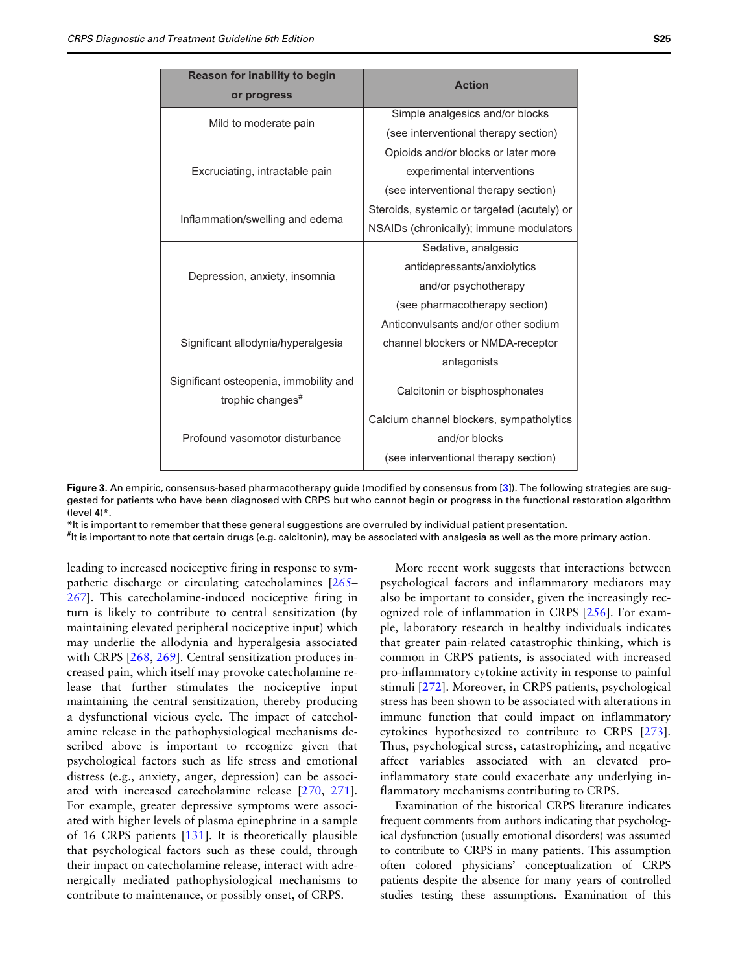<span id="page-24-0"></span>

| <b>Reason for inability to begin</b>   | <b>Action</b>                               |  |
|----------------------------------------|---------------------------------------------|--|
|                                        |                                             |  |
| or progress                            |                                             |  |
| Mild to moderate pain                  | Simple analgesics and/or blocks             |  |
|                                        | (see interventional therapy section)        |  |
|                                        | Opioids and/or blocks or later more         |  |
| Excruciating, intractable pain         | experimental interventions                  |  |
|                                        | (see interventional therapy section)        |  |
|                                        | Steroids, systemic or targeted (acutely) or |  |
| Inflammation/swelling and edema        | NSAIDs (chronically); immune modulators     |  |
|                                        | Sedative, analgesic                         |  |
| Depression, anxiety, insomnia          | antidepressants/anxiolytics                 |  |
|                                        | and/or psychotherapy                        |  |
|                                        | (see pharmacotherapy section)               |  |
|                                        | Anticonvulsants and/or other sodium         |  |
| Significant allodynia/hyperalgesia     | channel blockers or NMDA-receptor           |  |
|                                        | antagonists                                 |  |
| Significant osteopenia, immobility and | Calcitonin or bisphosphonates               |  |
| trophic changes <sup>#</sup>           |                                             |  |
|                                        | Calcium channel blockers, sympatholytics    |  |
| Profound vasomotor disturbance         | and/or blocks                               |  |
|                                        | (see interventional therapy section)        |  |

Figure [3](#page-39-0). An empiric, consensus-based pharmacotherapy guide (modified by consensus from [3]). The following strategies are suggested for patients who have been diagnosed with CRPS but who cannot begin or progress in the functional restoration algorithm (level  $4$ )\*.

\*It is important to remember that these general suggestions are overruled by individual patient presentation.

# It is important to note that certain drugs (e.g. calcitonin), may be associated with analgesia as well as the more primary action.

leading to increased nociceptive firing in response to sympathetic discharge or circulating catecholamines [\[265](#page-46-0)– [267\]](#page-46-0). This catecholamine-induced nociceptive firing in turn is likely to contribute to central sensitization (by maintaining elevated peripheral nociceptive input) which may underlie the allodynia and hyperalgesia associated with CRPS [[268,](#page-46-0) [269\]](#page-46-0). Central sensitization produces increased pain, which itself may provoke catecholamine release that further stimulates the nociceptive input maintaining the central sensitization, thereby producing a dysfunctional vicious cycle. The impact of catecholamine release in the pathophysiological mechanisms described above is important to recognize given that psychological factors such as life stress and emotional distress (e.g., anxiety, anger, depression) can be associated with increased catecholamine release [[270,](#page-46-0) [271](#page-46-0)]. For example, greater depressive symptoms were associated with higher levels of plasma epinephrine in a sample of 16 CRPS patients [\[131\]](#page-42-0). It is theoretically plausible that psychological factors such as these could, through their impact on catecholamine release, interact with adrenergically mediated pathophysiological mechanisms to contribute to maintenance, or possibly onset, of CRPS.

More recent work suggests that interactions between psychological factors and inflammatory mediators may also be important to consider, given the increasingly recognized role of inflammation in CRPS [\[256\]](#page-45-0). For example, laboratory research in healthy individuals indicates that greater pain-related catastrophic thinking, which is common in CRPS patients, is associated with increased pro-inflammatory cytokine activity in response to painful stimuli [[272\]](#page-46-0). Moreover, in CRPS patients, psychological stress has been shown to be associated with alterations in immune function that could impact on inflammatory cytokines hypothesized to contribute to CRPS [\[273](#page-46-0)]. Thus, psychological stress, catastrophizing, and negative affect variables associated with an elevated proinflammatory state could exacerbate any underlying inflammatory mechanisms contributing to CRPS.

Examination of the historical CRPS literature indicates frequent comments from authors indicating that psychological dysfunction (usually emotional disorders) was assumed to contribute to CRPS in many patients. This assumption often colored physicians' conceptualization of CRPS patients despite the absence for many years of controlled studies testing these assumptions. Examination of this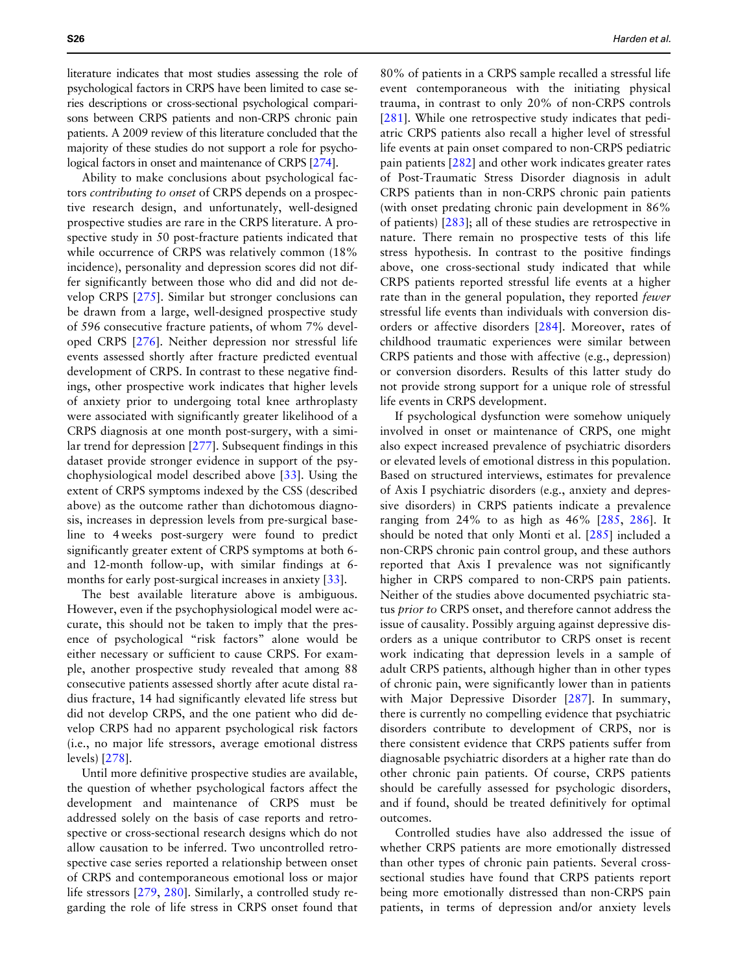literature indicates that most studies assessing the role of psychological factors in CRPS have been limited to case series descriptions or cross-sectional psychological comparisons between CRPS patients and non-CRPS chronic pain patients. A 2009 review of this literature concluded that the majority of these studies do not support a role for psychological factors in onset and maintenance of CRPS [\[274](#page-46-0)].

Ability to make conclusions about psychological factors contributing to onset of CRPS depends on a prospective research design, and unfortunately, well-designed prospective studies are rare in the CRPS literature. A prospective study in 50 post-fracture patients indicated that while occurrence of CRPS was relatively common (18%) incidence), personality and depression scores did not differ significantly between those who did and did not develop CRPS [\[275\]](#page-46-0). Similar but stronger conclusions can be drawn from a large, well-designed prospective study of 596 consecutive fracture patients, of whom 7% developed CRPS [[276](#page-46-0)]. Neither depression nor stressful life events assessed shortly after fracture predicted eventual development of CRPS. In contrast to these negative findings, other prospective work indicates that higher levels of anxiety prior to undergoing total knee arthroplasty were associated with significantly greater likelihood of a CRPS diagnosis at one month post-surgery, with a similar trend for depression [[277\]](#page-46-0). Subsequent findings in this dataset provide stronger evidence in support of the psychophysiological model described above [\[33\]](#page-40-0). Using the extent of CRPS symptoms indexed by the CSS (described above) as the outcome rather than dichotomous diagnosis, increases in depression levels from pre-surgical baseline to 4 weeks post-surgery were found to predict significantly greater extent of CRPS symptoms at both 6 and 12-month follow-up, with similar findings at 6- months for early post-surgical increases in anxiety [\[33\]](#page-40-0).

The best available literature above is ambiguous. However, even if the psychophysiological model were accurate, this should not be taken to imply that the presence of psychological "risk factors" alone would be either necessary or sufficient to cause CRPS. For example, another prospective study revealed that among 88 consecutive patients assessed shortly after acute distal radius fracture, 14 had significantly elevated life stress but did not develop CRPS, and the one patient who did develop CRPS had no apparent psychological risk factors (i.e., no major life stressors, average emotional distress levels) [[278\]](#page-46-0).

Until more definitive prospective studies are available, the question of whether psychological factors affect the development and maintenance of CRPS must be addressed solely on the basis of case reports and retrospective or cross-sectional research designs which do not allow causation to be inferred. Two uncontrolled retrospective case series reported a relationship between onset of CRPS and contemporaneous emotional loss or major life stressors [[279](#page-46-0), [280\]](#page-46-0). Similarly, a controlled study regarding the role of life stress in CRPS onset found that

80% of patients in a CRPS sample recalled a stressful life event contemporaneous with the initiating physical trauma, in contrast to only 20% of non-CRPS controls [\[281\]](#page-46-0). While one retrospective study indicates that pediatric CRPS patients also recall a higher level of stressful life events at pain onset compared to non-CRPS pediatric pain patients [\[282\]](#page-46-0) and other work indicates greater rates of Post-Traumatic Stress Disorder diagnosis in adult CRPS patients than in non-CRPS chronic pain patients (with onset predating chronic pain development in 86% of patients) [[283](#page-46-0)]; all of these studies are retrospective in nature. There remain no prospective tests of this life stress hypothesis. In contrast to the positive findings above, one cross-sectional study indicated that while CRPS patients reported stressful life events at a higher rate than in the general population, they reported *fewer* stressful life events than individuals with conversion disorders or affective disorders [[284](#page-46-0)]. Moreover, rates of childhood traumatic experiences were similar between CRPS patients and those with affective (e.g., depression) or conversion disorders. Results of this latter study do not provide strong support for a unique role of stressful life events in CRPS development.

If psychological dysfunction were somehow uniquely involved in onset or maintenance of CRPS, one might also expect increased prevalence of psychiatric disorders or elevated levels of emotional distress in this population. Based on structured interviews, estimates for prevalence of Axis I psychiatric disorders (e.g., anxiety and depressive disorders) in CRPS patients indicate a prevalence ranging from 24% to as high as  $46\%$  [ $285$ ,  $286$ ]. It should be noted that only Monti et al. [\[285](#page-46-0)] included a non-CRPS chronic pain control group, and these authors reported that Axis I prevalence was not significantly higher in CRPS compared to non-CRPS pain patients. Neither of the studies above documented psychiatric status prior to CRPS onset, and therefore cannot address the issue of causality. Possibly arguing against depressive disorders as a unique contributor to CRPS onset is recent work indicating that depression levels in a sample of adult CRPS patients, although higher than in other types of chronic pain, were significantly lower than in patients with Major Depressive Disorder [\[287](#page-46-0)]. In summary, there is currently no compelling evidence that psychiatric disorders contribute to development of CRPS, nor is there consistent evidence that CRPS patients suffer from diagnosable psychiatric disorders at a higher rate than do other chronic pain patients. Of course, CRPS patients should be carefully assessed for psychologic disorders, and if found, should be treated definitively for optimal outcomes.

Controlled studies have also addressed the issue of whether CRPS patients are more emotionally distressed than other types of chronic pain patients. Several crosssectional studies have found that CRPS patients report being more emotionally distressed than non-CRPS pain patients, in terms of depression and/or anxiety levels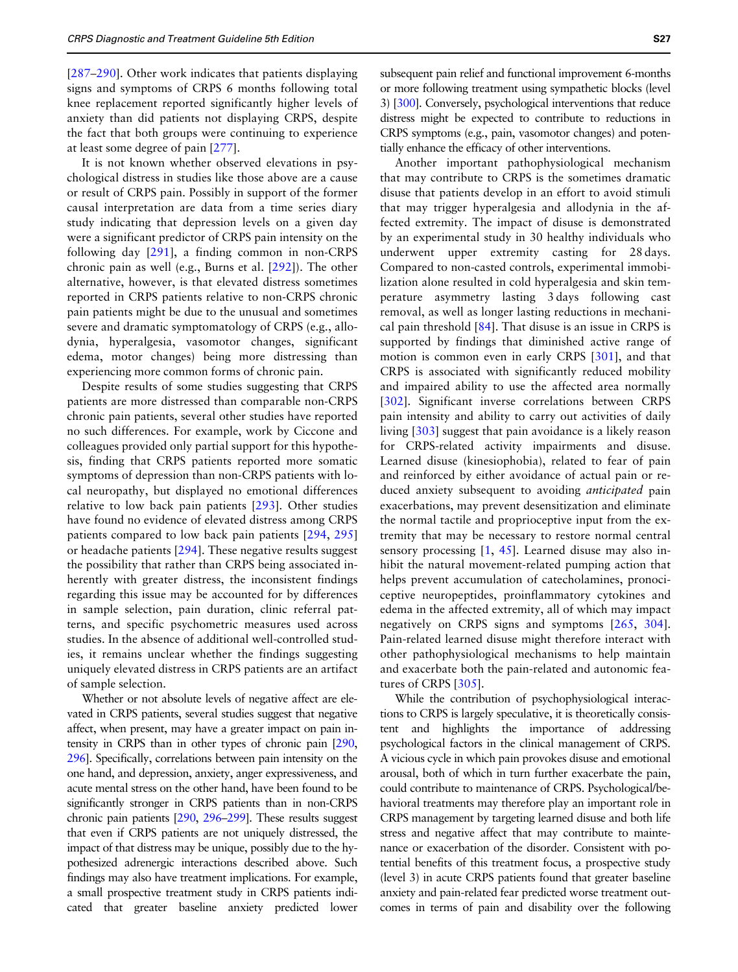[\[287–290](#page-46-0)]. Other work indicates that patients displaying signs and symptoms of CRPS 6 months following total knee replacement reported significantly higher levels of anxiety than did patients not displaying CRPS, despite the fact that both groups were continuing to experience at least some degree of pain [[277](#page-46-0)].

It is not known whether observed elevations in psychological distress in studies like those above are a cause or result of CRPS pain. Possibly in support of the former causal interpretation are data from a time series diary study indicating that depression levels on a given day were a significant predictor of CRPS pain intensity on the following day [\[291\]](#page-46-0), a finding common in non-CRPS chronic pain as well (e.g., Burns et al. [\[292\]](#page-46-0)). The other alternative, however, is that elevated distress sometimes reported in CRPS patients relative to non-CRPS chronic pain patients might be due to the unusual and sometimes severe and dramatic symptomatology of CRPS (e.g., allodynia, hyperalgesia, vasomotor changes, significant edema, motor changes) being more distressing than experiencing more common forms of chronic pain.

Despite results of some studies suggesting that CRPS patients are more distressed than comparable non-CRPS chronic pain patients, several other studies have reported no such differences. For example, work by Ciccone and colleagues provided only partial support for this hypothesis, finding that CRPS patients reported more somatic symptoms of depression than non-CRPS patients with local neuropathy, but displayed no emotional differences relative to low back pain patients [[293](#page-46-0)]. Other studies have found no evidence of elevated distress among CRPS patients compared to low back pain patients [\[294,](#page-46-0) [295\]](#page-47-0) or headache patients [\[294](#page-46-0)]. These negative results suggest the possibility that rather than CRPS being associated inherently with greater distress, the inconsistent findings regarding this issue may be accounted for by differences in sample selection, pain duration, clinic referral patterns, and specific psychometric measures used across studies. In the absence of additional well-controlled studies, it remains unclear whether the findings suggesting uniquely elevated distress in CRPS patients are an artifact of sample selection.

Whether or not absolute levels of negative affect are elevated in CRPS patients, several studies suggest that negative affect, when present, may have a greater impact on pain intensity in CRPS than in other types of chronic pain [\[290](#page-46-0), [296\]](#page-47-0). Specifically, correlations between pain intensity on the one hand, and depression, anxiety, anger expressiveness, and acute mental stress on the other hand, have been found to be significantly stronger in CRPS patients than in non-CRPS chronic pain patients [[290](#page-46-0), [296–299\]](#page-47-0). These results suggest that even if CRPS patients are not uniquely distressed, the impact of that distress may be unique, possibly due to the hypothesized adrenergic interactions described above. Such findings may also have treatment implications. For example, a small prospective treatment study in CRPS patients indicated that greater baseline anxiety predicted lower

subsequent pain relief and functional improvement 6-months or more following treatment using sympathetic blocks (level 3) [\[300](#page-47-0)]. Conversely, psychological interventions that reduce distress might be expected to contribute to reductions in CRPS symptoms (e.g., pain, vasomotor changes) and potentially enhance the efficacy of other interventions.

Another important pathophysiological mechanism that may contribute to CRPS is the sometimes dramatic disuse that patients develop in an effort to avoid stimuli that may trigger hyperalgesia and allodynia in the affected extremity. The impact of disuse is demonstrated by an experimental study in 30 healthy individuals who underwent upper extremity casting for 28 days. Compared to non-casted controls, experimental immobilization alone resulted in cold hyperalgesia and skin temperature asymmetry lasting 3 days following cast removal, as well as longer lasting reductions in mechanical pain threshold [[84](#page-41-0)]. That disuse is an issue in CRPS is supported by findings that diminished active range of motion is common even in early CRPS [[301\]](#page-47-0), and that CRPS is associated with significantly reduced mobility and impaired ability to use the affected area normally [\[302\]](#page-47-0). Significant inverse correlations between CRPS pain intensity and ability to carry out activities of daily living [[303](#page-47-0)] suggest that pain avoidance is a likely reason for CRPS-related activity impairments and disuse. Learned disuse (kinesiophobia), related to fear of pain and reinforced by either avoidance of actual pain or reduced anxiety subsequent to avoiding *anticipated* pain exacerbations, may prevent desensitization and eliminate the normal tactile and proprioceptive input from the extremity that may be necessary to restore normal central sensory processing [[1](#page-39-0), [45](#page-40-0)]. Learned disuse may also inhibit the natural movement-related pumping action that helps prevent accumulation of catecholamines, pronociceptive neuropeptides, proinflammatory cytokines and edema in the affected extremity, all of which may impact negatively on CRPS signs and symptoms [\[265](#page-46-0), [304](#page-47-0)]. Pain-related learned disuse might therefore interact with other pathophysiological mechanisms to help maintain and exacerbate both the pain-related and autonomic features of CRPS [\[305](#page-47-0)].

While the contribution of psychophysiological interactions to CRPS is largely speculative, it is theoretically consistent and highlights the importance of addressing psychological factors in the clinical management of CRPS. A vicious cycle in which pain provokes disuse and emotional arousal, both of which in turn further exacerbate the pain, could contribute to maintenance of CRPS. Psychological/behavioral treatments may therefore play an important role in CRPS management by targeting learned disuse and both life stress and negative affect that may contribute to maintenance or exacerbation of the disorder. Consistent with potential benefits of this treatment focus, a prospective study (level 3) in acute CRPS patients found that greater baseline anxiety and pain-related fear predicted worse treatment outcomes in terms of pain and disability over the following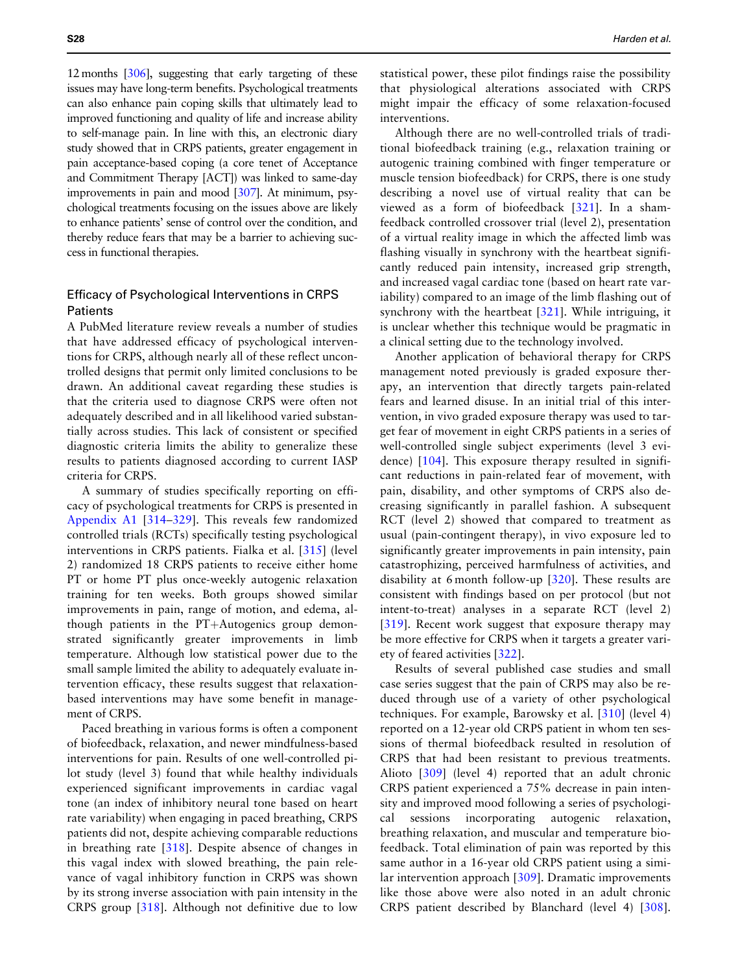12months [\[306](#page-47-0)], suggesting that early targeting of these issues may have long-term benefits. Psychological treatments can also enhance pain coping skills that ultimately lead to improved functioning and quality of life and increase ability to self-manage pain. In line with this, an electronic diary study showed that in CRPS patients, greater engagement in pain acceptance-based coping (a core tenet of Acceptance and Commitment Therapy [ACT]) was linked to same-day improvements in pain and mood [\[307](#page-47-0)]. At minimum, psychological treatments focusing on the issues above are likely to enhance patients' sense of control over the condition, and thereby reduce fears that may be a barrier to achieving success in functional therapies.

## Efficacy of Psychological Interventions in CRPS **Patients**

A PubMed literature review reveals a number of studies that have addressed efficacy of psychological interventions for CRPS, although nearly all of these reflect uncontrolled designs that permit only limited conclusions to be drawn. An additional caveat regarding these studies is that the criteria used to diagnose CRPS were often not adequately described and in all likelihood varied substantially across studies. This lack of consistent or specified diagnostic criteria limits the ability to generalize these results to patients diagnosed according to current IASP criteria for CRPS.

A summary of studies specifically reporting on efficacy of psychological treatments for CRPS is presented in [Appendix A1](#page-51-0) [\[314](#page-47-0)–[329\]](#page-47-0). This reveals few randomized controlled trials (RCTs) specifically testing psychological interventions in CRPS patients. Fialka et al. [[315\]](#page-47-0) (level 2) randomized 18 CRPS patients to receive either home PT or home PT plus once-weekly autogenic relaxation training for ten weeks. Both groups showed similar improvements in pain, range of motion, and edema, although patients in the  $PT+\text{Autogenesis}$  group demonstrated significantly greater improvements in limb temperature. Although low statistical power due to the small sample limited the ability to adequately evaluate intervention efficacy, these results suggest that relaxationbased interventions may have some benefit in management of CRPS.

Paced breathing in various forms is often a component of biofeedback, relaxation, and newer mindfulness-based interventions for pain. Results of one well-controlled pilot study (level 3) found that while healthy individuals experienced significant improvements in cardiac vagal tone (an index of inhibitory neural tone based on heart rate variability) when engaging in paced breathing, CRPS patients did not, despite achieving comparable reductions in breathing rate [\[318\]](#page-47-0). Despite absence of changes in this vagal index with slowed breathing, the pain relevance of vagal inhibitory function in CRPS was shown by its strong inverse association with pain intensity in the CRPS group [\[318\]](#page-47-0). Although not definitive due to low

statistical power, these pilot findings raise the possibility that physiological alterations associated with CRPS might impair the efficacy of some relaxation-focused interventions.

Although there are no well-controlled trials of traditional biofeedback training (e.g., relaxation training or autogenic training combined with finger temperature or muscle tension biofeedback) for CRPS, there is one study describing a novel use of virtual reality that can be viewed as a form of biofeedback [\[321\]](#page-47-0). In a shamfeedback controlled crossover trial (level 2), presentation of a virtual reality image in which the affected limb was flashing visually in synchrony with the heartbeat significantly reduced pain intensity, increased grip strength, and increased vagal cardiac tone (based on heart rate variability) compared to an image of the limb flashing out of synchrony with the heartbeat [[321\]](#page-47-0). While intriguing, it is unclear whether this technique would be pragmatic in a clinical setting due to the technology involved.

Another application of behavioral therapy for CRPS management noted previously is graded exposure therapy, an intervention that directly targets pain-related fears and learned disuse. In an initial trial of this intervention, in vivo graded exposure therapy was used to target fear of movement in eight CRPS patients in a series of well-controlled single subject experiments (level 3 evidence) [[104](#page-42-0)]. This exposure therapy resulted in significant reductions in pain-related fear of movement, with pain, disability, and other symptoms of CRPS also decreasing significantly in parallel fashion. A subsequent RCT (level 2) showed that compared to treatment as usual (pain-contingent therapy), in vivo exposure led to significantly greater improvements in pain intensity, pain catastrophizing, perceived harmfulness of activities, and disability at 6 month follow-up [[320\]](#page-47-0). These results are consistent with findings based on per protocol (but not intent-to-treat) analyses in a separate RCT (level 2) [\[319\]](#page-47-0). Recent work suggest that exposure therapy may be more effective for CRPS when it targets a greater variety of feared activities [[322](#page-47-0)].

Results of several published case studies and small case series suggest that the pain of CRPS may also be reduced through use of a variety of other psychological techniques. For example, Barowsky et al. [\[310\]](#page-47-0) (level 4) reported on a 12-year old CRPS patient in whom ten sessions of thermal biofeedback resulted in resolution of CRPS that had been resistant to previous treatments. Alioto [\[309](#page-47-0)] (level 4) reported that an adult chronic CRPS patient experienced a 75% decrease in pain intensity and improved mood following a series of psychological sessions incorporating autogenic relaxation, breathing relaxation, and muscular and temperature biofeedback. Total elimination of pain was reported by this same author in a 16-year old CRPS patient using a similar intervention approach [\[309](#page-47-0)]. Dramatic improvements like those above were also noted in an adult chronic CRPS patient described by Blanchard (level 4) [\[308](#page-47-0)].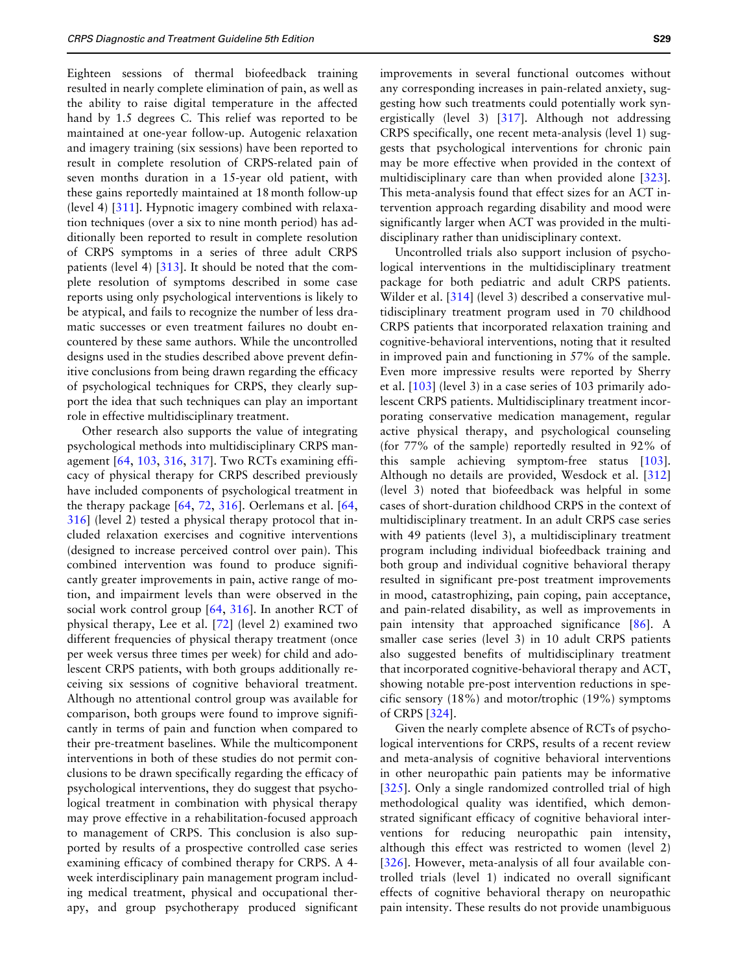Eighteen sessions of thermal biofeedback training resulted in nearly complete elimination of pain, as well as the ability to raise digital temperature in the affected hand by 1.5 degrees C. This relief was reported to be maintained at one-year follow-up. Autogenic relaxation and imagery training (six sessions) have been reported to result in complete resolution of CRPS-related pain of seven months duration in a 15-year old patient, with these gains reportedly maintained at 18 month follow-up (level 4) [\[311\]](#page-47-0). Hypnotic imagery combined with relaxation techniques (over a six to nine month period) has additionally been reported to result in complete resolution of CRPS symptoms in a series of three adult CRPS patients (level 4) [[313\]](#page-47-0). It should be noted that the complete resolution of symptoms described in some case reports using only psychological interventions is likely to be atypical, and fails to recognize the number of less dramatic successes or even treatment failures no doubt encountered by these same authors. While the uncontrolled designs used in the studies described above prevent definitive conclusions from being drawn regarding the efficacy of psychological techniques for CRPS, they clearly support the idea that such techniques can play an important role in effective multidisciplinary treatment.

Other research also supports the value of integrating psychological methods into multidisciplinary CRPS management [\[64,](#page-41-0) [103](#page-42-0), [316](#page-47-0), [317\]](#page-47-0). Two RCTs examining efficacy of physical therapy for CRPS described previously have included components of psychological treatment in the therapy package  $[64, 72, 316]$  $[64, 72, 316]$  $[64, 72, 316]$  $[64, 72, 316]$  $[64, 72, 316]$ . Oerlemans et al.  $[64, 72, 316]$  $[64, 72, 316]$  $[64, 72, 316]$ [316\]](#page-47-0) (level 2) tested a physical therapy protocol that included relaxation exercises and cognitive interventions (designed to increase perceived control over pain). This combined intervention was found to produce significantly greater improvements in pain, active range of motion, and impairment levels than were observed in the social work control group [[64](#page-41-0), [316\]](#page-47-0). In another RCT of physical therapy, Lee et al. [\[72\]](#page-41-0) (level 2) examined two different frequencies of physical therapy treatment (once per week versus three times per week) for child and adolescent CRPS patients, with both groups additionally receiving six sessions of cognitive behavioral treatment. Although no attentional control group was available for comparison, both groups were found to improve significantly in terms of pain and function when compared to their pre-treatment baselines. While the multicomponent interventions in both of these studies do not permit conclusions to be drawn specifically regarding the efficacy of psychological interventions, they do suggest that psychological treatment in combination with physical therapy may prove effective in a rehabilitation-focused approach to management of CRPS. This conclusion is also supported by results of a prospective controlled case series examining efficacy of combined therapy for CRPS. A 4 week interdisciplinary pain management program including medical treatment, physical and occupational therapy, and group psychotherapy produced significant

improvements in several functional outcomes without any corresponding increases in pain-related anxiety, suggesting how such treatments could potentially work synergistically (level 3) [\[317\]](#page-47-0). Although not addressing CRPS specifically, one recent meta-analysis (level 1) suggests that psychological interventions for chronic pain may be more effective when provided in the context of multidisciplinary care than when provided alone [\[323](#page-47-0)]. This meta-analysis found that effect sizes for an ACT intervention approach regarding disability and mood were significantly larger when ACT was provided in the multidisciplinary rather than unidisciplinary context.

Uncontrolled trials also support inclusion of psychological interventions in the multidisciplinary treatment package for both pediatric and adult CRPS patients. Wilder et al. [\[314](#page-47-0)] (level 3) described a conservative multidisciplinary treatment program used in 70 childhood CRPS patients that incorporated relaxation training and cognitive-behavioral interventions, noting that it resulted in improved pain and functioning in 57% of the sample. Even more impressive results were reported by Sherry et al. [[103\]](#page-42-0) (level 3) in a case series of 103 primarily adolescent CRPS patients. Multidisciplinary treatment incorporating conservative medication management, regular active physical therapy, and psychological counseling (for 77% of the sample) reportedly resulted in 92% of this sample achieving symptom-free status [\[103](#page-42-0)]. Although no details are provided, Wesdock et al. [\[312\]](#page-47-0) (level 3) noted that biofeedback was helpful in some cases of short-duration childhood CRPS in the context of multidisciplinary treatment. In an adult CRPS case series with 49 patients (level 3), a multidisciplinary treatment program including individual biofeedback training and both group and individual cognitive behavioral therapy resulted in significant pre-post treatment improvements in mood, catastrophizing, pain coping, pain acceptance, and pain-related disability, as well as improvements in pain intensity that approached significance [[86](#page-41-0)]. A smaller case series (level 3) in 10 adult CRPS patients also suggested benefits of multidisciplinary treatment that incorporated cognitive-behavioral therapy and ACT, showing notable pre-post intervention reductions in specific sensory (18%) and motor/trophic (19%) symptoms of CRPS [[324\]](#page-47-0).

Given the nearly complete absence of RCTs of psychological interventions for CRPS, results of a recent review and meta-analysis of cognitive behavioral interventions in other neuropathic pain patients may be informative [\[325\]](#page-47-0). Only a single randomized controlled trial of high methodological quality was identified, which demonstrated significant efficacy of cognitive behavioral interventions for reducing neuropathic pain intensity, although this effect was restricted to women (level 2) [\[326\]](#page-47-0). However, meta-analysis of all four available controlled trials (level 1) indicated no overall significant effects of cognitive behavioral therapy on neuropathic pain intensity. These results do not provide unambiguous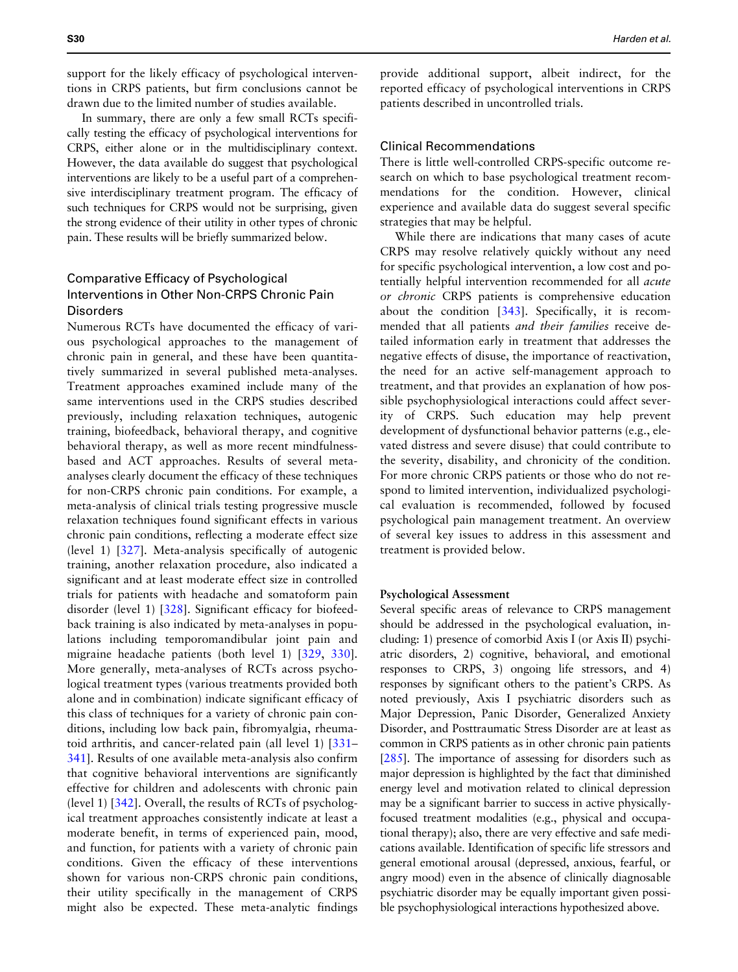support for the likely efficacy of psychological interventions in CRPS patients, but firm conclusions cannot be drawn due to the limited number of studies available.

In summary, there are only a few small RCTs specifically testing the efficacy of psychological interventions for CRPS, either alone or in the multidisciplinary context. However, the data available do suggest that psychological interventions are likely to be a useful part of a comprehensive interdisciplinary treatment program. The efficacy of such techniques for CRPS would not be surprising, given the strong evidence of their utility in other types of chronic pain. These results will be briefly summarized below.

## Comparative Efficacy of Psychological Interventions in Other Non-CRPS Chronic Pain **Disorders**

Numerous RCTs have documented the efficacy of various psychological approaches to the management of chronic pain in general, and these have been quantitatively summarized in several published meta-analyses. Treatment approaches examined include many of the same interventions used in the CRPS studies described previously, including relaxation techniques, autogenic training, biofeedback, behavioral therapy, and cognitive behavioral therapy, as well as more recent mindfulnessbased and ACT approaches. Results of several metaanalyses clearly document the efficacy of these techniques for non-CRPS chronic pain conditions. For example, a meta-analysis of clinical trials testing progressive muscle relaxation techniques found significant effects in various chronic pain conditions, reflecting a moderate effect size (level 1) [[327\]](#page-47-0). Meta-analysis specifically of autogenic training, another relaxation procedure, also indicated a significant and at least moderate effect size in controlled trials for patients with headache and somatoform pain disorder (level 1) [[328\]](#page-47-0). Significant efficacy for biofeedback training is also indicated by meta-analyses in populations including temporomandibular joint pain and migraine headache patients (both level 1) [[329,](#page-47-0) [330](#page-47-0)]. More generally, meta-analyses of RCTs across psychological treatment types (various treatments provided both alone and in combination) indicate significant efficacy of this class of techniques for a variety of chronic pain conditions, including low back pain, fibromyalgia, rheumatoid arthritis, and cancer-related pain (all level 1) [\[331](#page-47-0)– [341\]](#page-48-0). Results of one available meta-analysis also confirm that cognitive behavioral interventions are significantly effective for children and adolescents with chronic pain (level 1) [\[342\]](#page-48-0). Overall, the results of RCTs of psychological treatment approaches consistently indicate at least a moderate benefit, in terms of experienced pain, mood, and function, for patients with a variety of chronic pain conditions. Given the efficacy of these interventions shown for various non-CRPS chronic pain conditions, their utility specifically in the management of CRPS might also be expected. These meta-analytic findings

provide additional support, albeit indirect, for the reported efficacy of psychological interventions in CRPS patients described in uncontrolled trials.

#### Clinical Recommendations

There is little well-controlled CRPS-specific outcome research on which to base psychological treatment recommendations for the condition. However, clinical experience and available data do suggest several specific strategies that may be helpful.

While there are indications that many cases of acute CRPS may resolve relatively quickly without any need for specific psychological intervention, a low cost and potentially helpful intervention recommended for all acute or chronic CRPS patients is comprehensive education about the condition [\[343](#page-48-0)]. Specifically, it is recommended that all patients and their families receive detailed information early in treatment that addresses the negative effects of disuse, the importance of reactivation, the need for an active self-management approach to treatment, and that provides an explanation of how possible psychophysiological interactions could affect severity of CRPS. Such education may help prevent development of dysfunctional behavior patterns (e.g., elevated distress and severe disuse) that could contribute to the severity, disability, and chronicity of the condition. For more chronic CRPS patients or those who do not respond to limited intervention, individualized psychological evaluation is recommended, followed by focused psychological pain management treatment. An overview of several key issues to address in this assessment and treatment is provided below.

#### Psychological Assessment

Several specific areas of relevance to CRPS management should be addressed in the psychological evaluation, including: 1) presence of comorbid Axis I (or Axis II) psychiatric disorders, 2) cognitive, behavioral, and emotional responses to CRPS, 3) ongoing life stressors, and 4) responses by significant others to the patient's CRPS. As noted previously, Axis I psychiatric disorders such as Major Depression, Panic Disorder, Generalized Anxiety Disorder, and Posttraumatic Stress Disorder are at least as common in CRPS patients as in other chronic pain patients [\[285](#page-46-0)]. The importance of assessing for disorders such as major depression is highlighted by the fact that diminished energy level and motivation related to clinical depression may be a significant barrier to success in active physicallyfocused treatment modalities (e.g., physical and occupational therapy); also, there are very effective and safe medications available. Identification of specific life stressors and general emotional arousal (depressed, anxious, fearful, or angry mood) even in the absence of clinically diagnosable psychiatric disorder may be equally important given possible psychophysiological interactions hypothesized above.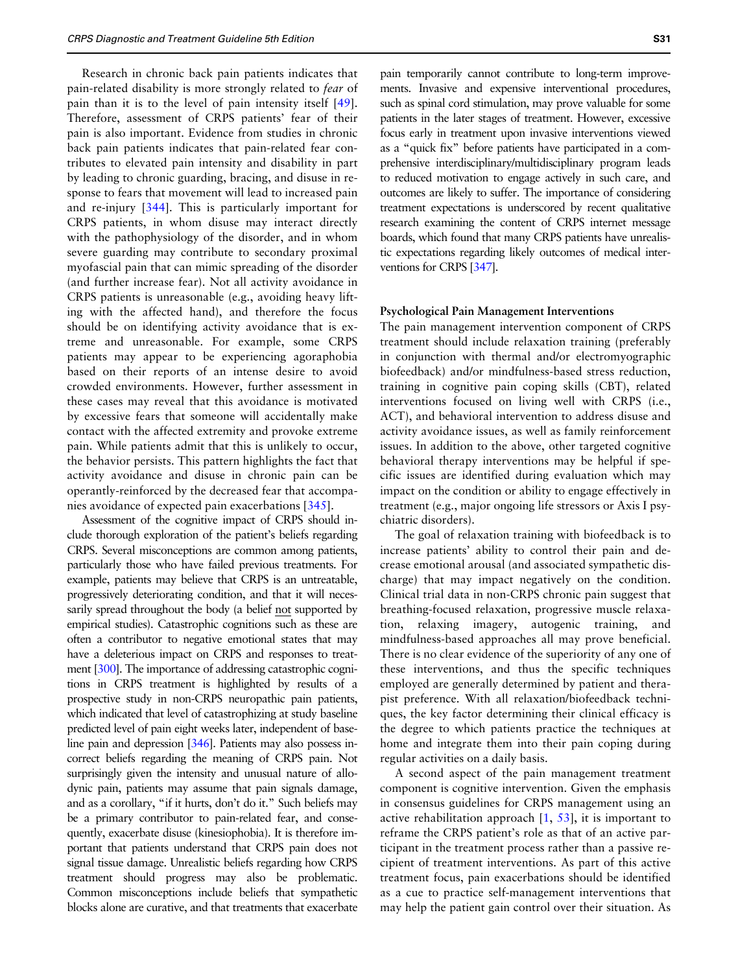Research in chronic back pain patients indicates that pain-related disability is more strongly related to fear of pain than it is to the level of pain intensity itself [[49](#page-40-0)]. Therefore, assessment of CRPS patients' fear of their pain is also important. Evidence from studies in chronic back pain patients indicates that pain-related fear contributes to elevated pain intensity and disability in part by leading to chronic guarding, bracing, and disuse in response to fears that movement will lead to increased pain and re-injury [\[344](#page-48-0)]. This is particularly important for CRPS patients, in whom disuse may interact directly with the pathophysiology of the disorder, and in whom severe guarding may contribute to secondary proximal myofascial pain that can mimic spreading of the disorder (and further increase fear). Not all activity avoidance in CRPS patients is unreasonable (e.g., avoiding heavy lifting with the affected hand), and therefore the focus should be on identifying activity avoidance that is extreme and unreasonable. For example, some CRPS patients may appear to be experiencing agoraphobia based on their reports of an intense desire to avoid crowded environments. However, further assessment in these cases may reveal that this avoidance is motivated by excessive fears that someone will accidentally make contact with the affected extremity and provoke extreme pain. While patients admit that this is unlikely to occur, the behavior persists. This pattern highlights the fact that activity avoidance and disuse in chronic pain can be operantly-reinforced by the decreased fear that accompanies avoidance of expected pain exacerbations [\[345](#page-48-0)].

Assessment of the cognitive impact of CRPS should include thorough exploration of the patient's beliefs regarding CRPS. Several misconceptions are common among patients, particularly those who have failed previous treatments. For example, patients may believe that CRPS is an untreatable, progressively deteriorating condition, and that it will necessarily spread throughout the body (a belief not supported by empirical studies). Catastrophic cognitions such as these are often a contributor to negative emotional states that may have a deleterious impact on CRPS and responses to treatment [\[300](#page-47-0)]. The importance of addressing catastrophic cognitions in CRPS treatment is highlighted by results of a prospective study in non-CRPS neuropathic pain patients, which indicated that level of catastrophizing at study baseline predicted level of pain eight weeks later, independent of base-line pain and depression [\[346](#page-48-0)]. Patients may also possess incorrect beliefs regarding the meaning of CRPS pain. Not surprisingly given the intensity and unusual nature of allodynic pain, patients may assume that pain signals damage, and as a corollary, "if it hurts, don't do it." Such beliefs may be a primary contributor to pain-related fear, and consequently, exacerbate disuse (kinesiophobia). It is therefore important that patients understand that CRPS pain does not signal tissue damage. Unrealistic beliefs regarding how CRPS treatment should progress may also be problematic. Common misconceptions include beliefs that sympathetic blocks alone are curative, and that treatments that exacerbate

pain temporarily cannot contribute to long-term improvements. Invasive and expensive interventional procedures, such as spinal cord stimulation, may prove valuable for some patients in the later stages of treatment. However, excessive focus early in treatment upon invasive interventions viewed as a "quick fix" before patients have participated in a comprehensive interdisciplinary/multidisciplinary program leads to reduced motivation to engage actively in such care, and outcomes are likely to suffer. The importance of considering treatment expectations is underscored by recent qualitative research examining the content of CRPS internet message boards, which found that many CRPS patients have unrealistic expectations regarding likely outcomes of medical interventions for CRPS [\[347\]](#page-48-0).

#### Psychological Pain Management Interventions

The pain management intervention component of CRPS treatment should include relaxation training (preferably in conjunction with thermal and/or electromyographic biofeedback) and/or mindfulness-based stress reduction, training in cognitive pain coping skills (CBT), related interventions focused on living well with CRPS (i.e., ACT), and behavioral intervention to address disuse and activity avoidance issues, as well as family reinforcement issues. In addition to the above, other targeted cognitive behavioral therapy interventions may be helpful if specific issues are identified during evaluation which may impact on the condition or ability to engage effectively in treatment (e.g., major ongoing life stressors or Axis I psychiatric disorders).

The goal of relaxation training with biofeedback is to increase patients' ability to control their pain and decrease emotional arousal (and associated sympathetic discharge) that may impact negatively on the condition. Clinical trial data in non-CRPS chronic pain suggest that breathing-focused relaxation, progressive muscle relaxation, relaxing imagery, autogenic training, and mindfulness-based approaches all may prove beneficial. There is no clear evidence of the superiority of any one of these interventions, and thus the specific techniques employed are generally determined by patient and therapist preference. With all relaxation/biofeedback techniques, the key factor determining their clinical efficacy is the degree to which patients practice the techniques at home and integrate them into their pain coping during regular activities on a daily basis.

A second aspect of the pain management treatment component is cognitive intervention. Given the emphasis in consensus guidelines for CRPS management using an active rehabilitation approach [\[1](#page-39-0), [53\]](#page-40-0), it is important to reframe the CRPS patient's role as that of an active participant in the treatment process rather than a passive recipient of treatment interventions. As part of this active treatment focus, pain exacerbations should be identified as a cue to practice self-management interventions that may help the patient gain control over their situation. As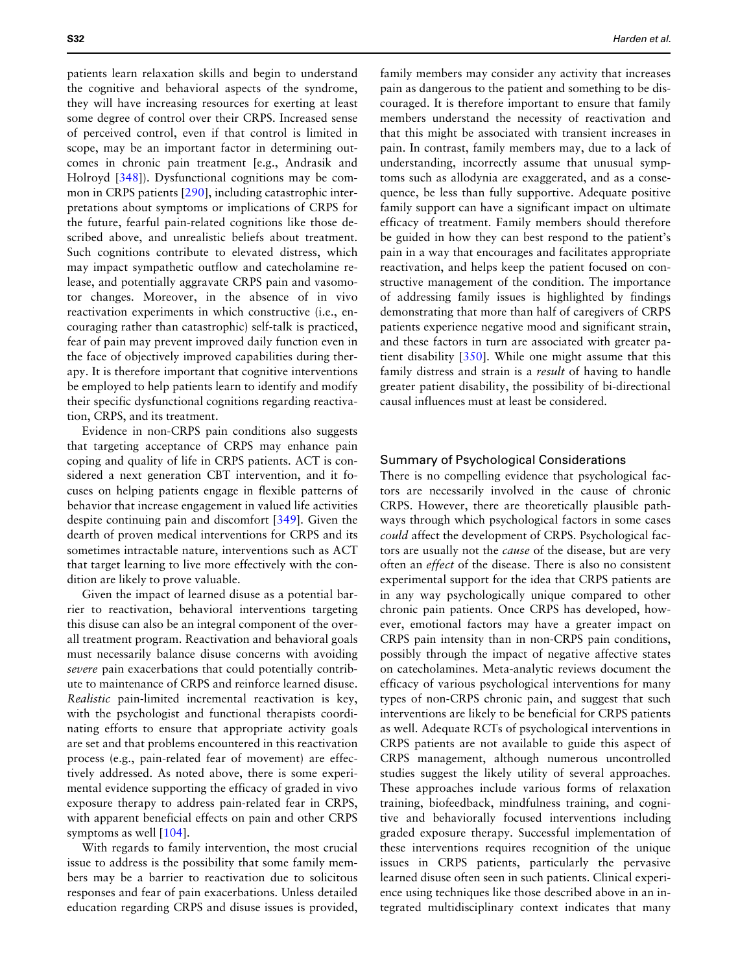patients learn relaxation skills and begin to understand the cognitive and behavioral aspects of the syndrome, they will have increasing resources for exerting at least some degree of control over their CRPS. Increased sense of perceived control, even if that control is limited in scope, may be an important factor in determining outcomes in chronic pain treatment [e.g., Andrasik and Holroyd [[348\]](#page-48-0)). Dysfunctional cognitions may be common in CRPS patients [[290\]](#page-46-0), including catastrophic interpretations about symptoms or implications of CRPS for the future, fearful pain-related cognitions like those described above, and unrealistic beliefs about treatment. Such cognitions contribute to elevated distress, which may impact sympathetic outflow and catecholamine release, and potentially aggravate CRPS pain and vasomotor changes. Moreover, in the absence of in vivo reactivation experiments in which constructive (i.e., encouraging rather than catastrophic) self-talk is practiced, fear of pain may prevent improved daily function even in the face of objectively improved capabilities during therapy. It is therefore important that cognitive interventions be employed to help patients learn to identify and modify their specific dysfunctional cognitions regarding reactivation, CRPS, and its treatment.

Evidence in non-CRPS pain conditions also suggests that targeting acceptance of CRPS may enhance pain coping and quality of life in CRPS patients. ACT is considered a next generation CBT intervention, and it focuses on helping patients engage in flexible patterns of behavior that increase engagement in valued life activities despite continuing pain and discomfort [[349\]](#page-48-0). Given the dearth of proven medical interventions for CRPS and its sometimes intractable nature, interventions such as ACT that target learning to live more effectively with the condition are likely to prove valuable.

Given the impact of learned disuse as a potential barrier to reactivation, behavioral interventions targeting this disuse can also be an integral component of the overall treatment program. Reactivation and behavioral goals must necessarily balance disuse concerns with avoiding severe pain exacerbations that could potentially contribute to maintenance of CRPS and reinforce learned disuse. Realistic pain-limited incremental reactivation is key, with the psychologist and functional therapists coordinating efforts to ensure that appropriate activity goals are set and that problems encountered in this reactivation process (e.g., pain-related fear of movement) are effectively addressed. As noted above, there is some experimental evidence supporting the efficacy of graded in vivo exposure therapy to address pain-related fear in CRPS, with apparent beneficial effects on pain and other CRPS symptoms as well [\[104](#page-42-0)].

With regards to family intervention, the most crucial issue to address is the possibility that some family members may be a barrier to reactivation due to solicitous responses and fear of pain exacerbations. Unless detailed education regarding CRPS and disuse issues is provided,

family members may consider any activity that increases pain as dangerous to the patient and something to be discouraged. It is therefore important to ensure that family members understand the necessity of reactivation and that this might be associated with transient increases in pain. In contrast, family members may, due to a lack of understanding, incorrectly assume that unusual symptoms such as allodynia are exaggerated, and as a consequence, be less than fully supportive. Adequate positive family support can have a significant impact on ultimate efficacy of treatment. Family members should therefore be guided in how they can best respond to the patient's pain in a way that encourages and facilitates appropriate reactivation, and helps keep the patient focused on constructive management of the condition. The importance of addressing family issues is highlighted by findings demonstrating that more than half of caregivers of CRPS patients experience negative mood and significant strain, and these factors in turn are associated with greater patient disability [[350](#page-48-0)]. While one might assume that this family distress and strain is a *result* of having to handle greater patient disability, the possibility of bi-directional causal influences must at least be considered.

## Summary of Psychological Considerations

There is no compelling evidence that psychological factors are necessarily involved in the cause of chronic CRPS. However, there are theoretically plausible pathways through which psychological factors in some cases could affect the development of CRPS. Psychological factors are usually not the cause of the disease, but are very often an effect of the disease. There is also no consistent experimental support for the idea that CRPS patients are in any way psychologically unique compared to other chronic pain patients. Once CRPS has developed, however, emotional factors may have a greater impact on CRPS pain intensity than in non-CRPS pain conditions, possibly through the impact of negative affective states on catecholamines. Meta-analytic reviews document the efficacy of various psychological interventions for many types of non-CRPS chronic pain, and suggest that such interventions are likely to be beneficial for CRPS patients as well. Adequate RCTs of psychological interventions in CRPS patients are not available to guide this aspect of CRPS management, although numerous uncontrolled studies suggest the likely utility of several approaches. These approaches include various forms of relaxation training, biofeedback, mindfulness training, and cognitive and behaviorally focused interventions including graded exposure therapy. Successful implementation of these interventions requires recognition of the unique issues in CRPS patients, particularly the pervasive learned disuse often seen in such patients. Clinical experience using techniques like those described above in an integrated multidisciplinary context indicates that many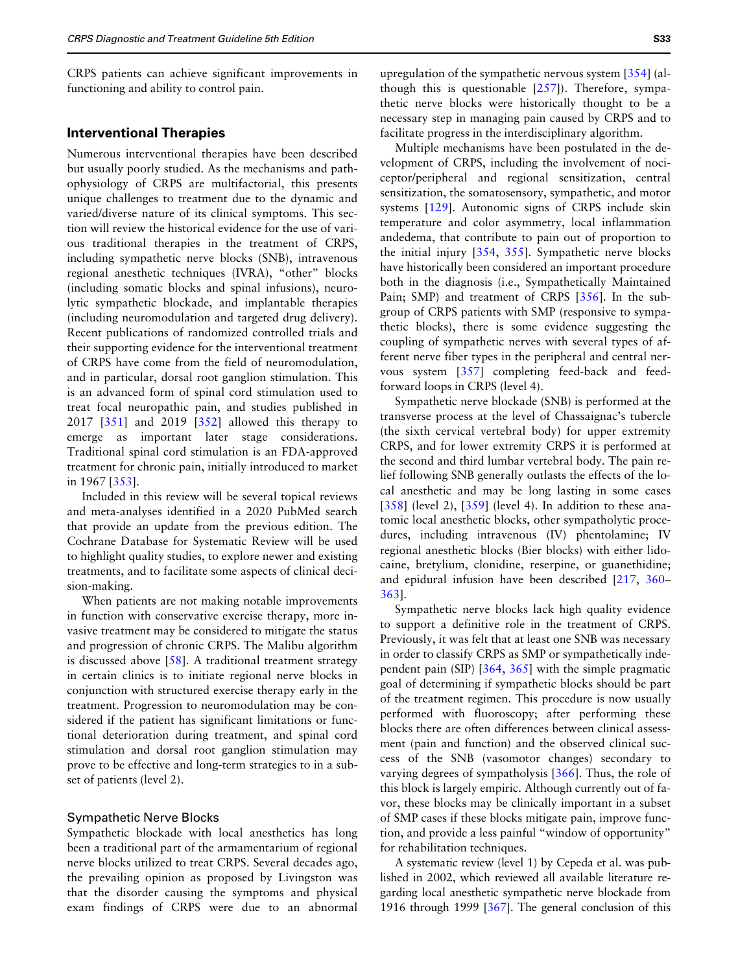CRPS patients can achieve significant improvements in functioning and ability to control pain.

#### Interventional Therapies

Numerous interventional therapies have been described but usually poorly studied. As the mechanisms and pathophysiology of CRPS are multifactorial, this presents unique challenges to treatment due to the dynamic and varied/diverse nature of its clinical symptoms. This section will review the historical evidence for the use of various traditional therapies in the treatment of CRPS, including sympathetic nerve blocks (SNB), intravenous regional anesthetic techniques (IVRA), "other" blocks (including somatic blocks and spinal infusions), neurolytic sympathetic blockade, and implantable therapies (including neuromodulation and targeted drug delivery). Recent publications of randomized controlled trials and their supporting evidence for the interventional treatment of CRPS have come from the field of neuromodulation, and in particular, dorsal root ganglion stimulation. This is an advanced form of spinal cord stimulation used to treat focal neuropathic pain, and studies published in 2017 [[351\]](#page-48-0) and 2019 [\[352](#page-48-0)] allowed this therapy to emerge as important later stage considerations. Traditional spinal cord stimulation is an FDA-approved treatment for chronic pain, initially introduced to market in 1967 [[353\]](#page-48-0).

Included in this review will be several topical reviews and meta-analyses identified in a 2020 PubMed search that provide an update from the previous edition. The Cochrane Database for Systematic Review will be used to highlight quality studies, to explore newer and existing treatments, and to facilitate some aspects of clinical decision-making.

When patients are not making notable improvements in function with conservative exercise therapy, more invasive treatment may be considered to mitigate the status and progression of chronic CRPS. The Malibu algorithm is discussed above  $[58]$  $[58]$  $[58]$ . A traditional treatment strategy in certain clinics is to initiate regional nerve blocks in conjunction with structured exercise therapy early in the treatment. Progression to neuromodulation may be considered if the patient has significant limitations or functional deterioration during treatment, and spinal cord stimulation and dorsal root ganglion stimulation may prove to be effective and long-term strategies to in a subset of patients (level 2).

#### Sympathetic Nerve Blocks

Sympathetic blockade with local anesthetics has long been a traditional part of the armamentarium of regional nerve blocks utilized to treat CRPS. Several decades ago, the prevailing opinion as proposed by Livingston was that the disorder causing the symptoms and physical exam findings of CRPS were due to an abnormal

upregulation of the sympathetic nervous system [[354\]](#page-48-0) (although this is questionable  $[257]$ ). Therefore, sympathetic nerve blocks were historically thought to be a necessary step in managing pain caused by CRPS and to facilitate progress in the interdisciplinary algorithm.

Multiple mechanisms have been postulated in the development of CRPS, including the involvement of nociceptor/peripheral and regional sensitization, central sensitization, the somatosensory, sympathetic, and motor systems [\[129\]](#page-42-0). Autonomic signs of CRPS include skin temperature and color asymmetry, local inflammation andedema, that contribute to pain out of proportion to the initial injury [\[354](#page-48-0), [355\]](#page-48-0). Sympathetic nerve blocks have historically been considered an important procedure both in the diagnosis (i.e., Sympathetically Maintained Pain; SMP) and treatment of CRPS [\[356](#page-48-0)]. In the subgroup of CRPS patients with SMP (responsive to sympathetic blocks), there is some evidence suggesting the coupling of sympathetic nerves with several types of afferent nerve fiber types in the peripheral and central nervous system [\[357](#page-48-0)] completing feed-back and feedforward loops in CRPS (level 4).

Sympathetic nerve blockade (SNB) is performed at the transverse process at the level of Chassaignac's tubercle (the sixth cervical vertebral body) for upper extremity CRPS, and for lower extremity CRPS it is performed at the second and third lumbar vertebral body. The pain relief following SNB generally outlasts the effects of the local anesthetic and may be long lasting in some cases [ $358$ ] (level 2), [ $359$ ] (level 4). In addition to these anatomic local anesthetic blocks, other sympatholytic procedures, including intravenous (IV) phentolamine; IV regional anesthetic blocks (Bier blocks) with either lidocaine, bretylium, clonidine, reserpine, or guanethidine; and epidural infusion have been described [\[217,](#page-44-0) [360](#page-48-0)– [363\]](#page-48-0).

Sympathetic nerve blocks lack high quality evidence to support a definitive role in the treatment of CRPS. Previously, it was felt that at least one SNB was necessary in order to classify CRPS as SMP or sympathetically independent pain (SIP) [\[364](#page-48-0), [365\]](#page-48-0) with the simple pragmatic goal of determining if sympathetic blocks should be part of the treatment regimen. This procedure is now usually performed with fluoroscopy; after performing these blocks there are often differences between clinical assessment (pain and function) and the observed clinical success of the SNB (vasomotor changes) secondary to varying degrees of sympatholysis [[366\]](#page-48-0). Thus, the role of this block is largely empiric. Although currently out of favor, these blocks may be clinically important in a subset of SMP cases if these blocks mitigate pain, improve function, and provide a less painful "window of opportunity" for rehabilitation techniques.

A systematic review (level 1) by Cepeda et al. was published in 2002, which reviewed all available literature regarding local anesthetic sympathetic nerve blockade from 1916 through 1999  $[367]$ . The general conclusion of this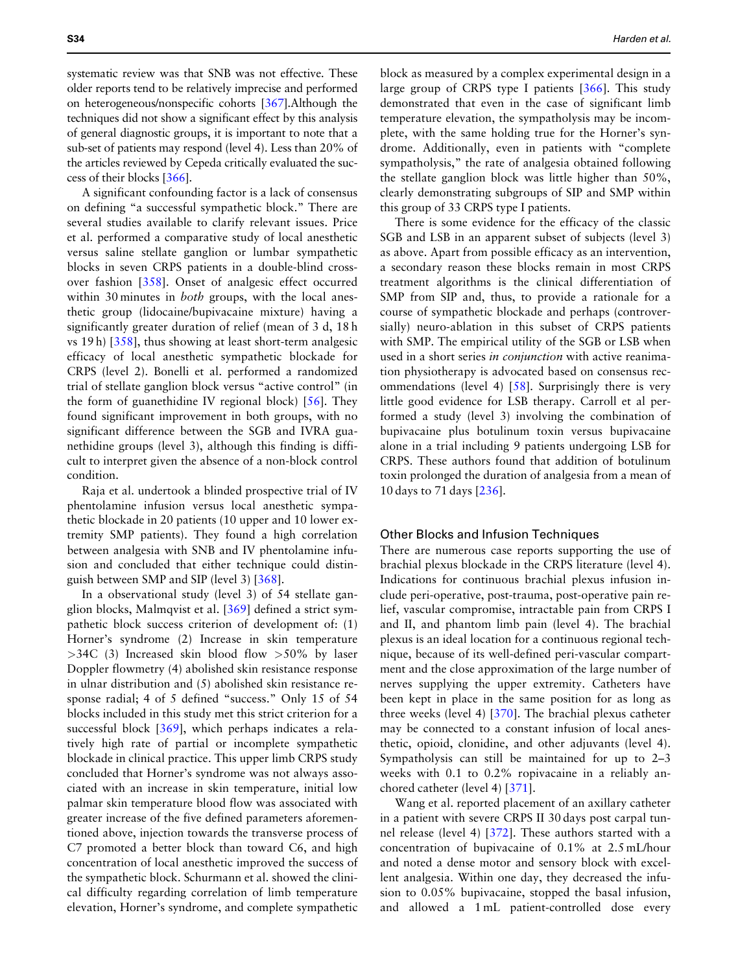systematic review was that SNB was not effective. These older reports tend to be relatively imprecise and performed on heterogeneous/nonspecific cohorts [\[367](#page-48-0)].Although the techniques did not show a significant effect by this analysis of general diagnostic groups, it is important to note that a sub-set of patients may respond (level 4). Less than 20% of the articles reviewed by Cepeda critically evaluated the success of their blocks [[366](#page-48-0)].

A significant confounding factor is a lack of consensus on defining "a successful sympathetic block." There are several studies available to clarify relevant issues. Price et al. performed a comparative study of local anesthetic versus saline stellate ganglion or lumbar sympathetic blocks in seven CRPS patients in a double-blind crossover fashion [[358](#page-48-0)]. Onset of analgesic effect occurred within 30 minutes in *both* groups, with the local anesthetic group (lidocaine/bupivacaine mixture) having a significantly greater duration of relief (mean of 3 d, 18 h vs 19 h) [[358](#page-48-0)], thus showing at least short-term analgesic efficacy of local anesthetic sympathetic blockade for CRPS (level 2). Bonelli et al. performed a randomized trial of stellate ganglion block versus "active control" (in the form of guanethidine IV regional block)  $[56]$ . They found significant improvement in both groups, with no significant difference between the SGB and IVRA guanethidine groups (level 3), although this finding is difficult to interpret given the absence of a non-block control condition.

Raja et al. undertook a blinded prospective trial of IV phentolamine infusion versus local anesthetic sympathetic blockade in 20 patients (10 upper and 10 lower extremity SMP patients). They found a high correlation between analgesia with SNB and IV phentolamine infusion and concluded that either technique could distinguish between SMP and SIP (level 3) [\[368](#page-48-0)].

In a observational study (level 3) of 54 stellate ganglion blocks, Malmqvist et al. [[369](#page-49-0)] defined a strict sympathetic block success criterion of development of: (1) Horner's syndrome (2) Increase in skin temperature  $>34C$  (3) Increased skin blood flow  $>50\%$  by laser Doppler flowmetry (4) abolished skin resistance response in ulnar distribution and (5) abolished skin resistance response radial; 4 of 5 defined "success." Only 15 of 54 blocks included in this study met this strict criterion for a successful block [[369](#page-49-0)], which perhaps indicates a relatively high rate of partial or incomplete sympathetic blockade in clinical practice. This upper limb CRPS study concluded that Horner's syndrome was not always associated with an increase in skin temperature, initial low palmar skin temperature blood flow was associated with greater increase of the five defined parameters aforementioned above, injection towards the transverse process of C7 promoted a better block than toward C6, and high concentration of local anesthetic improved the success of the sympathetic block. Schurmann et al. showed the clinical difficulty regarding correlation of limb temperature elevation, Horner's syndrome, and complete sympathetic

block as measured by a complex experimental design in a large group of CRPS type I patients [\[366](#page-48-0)]. This study demonstrated that even in the case of significant limb temperature elevation, the sympatholysis may be incomplete, with the same holding true for the Horner's syndrome. Additionally, even in patients with "complete sympatholysis," the rate of analgesia obtained following the stellate ganglion block was little higher than 50%, clearly demonstrating subgroups of SIP and SMP within this group of 33 CRPS type I patients.

There is some evidence for the efficacy of the classic SGB and LSB in an apparent subset of subjects (level 3) as above. Apart from possible efficacy as an intervention, a secondary reason these blocks remain in most CRPS treatment algorithms is the clinical differentiation of SMP from SIP and, thus, to provide a rationale for a course of sympathetic blockade and perhaps (controversially) neuro-ablation in this subset of CRPS patients with SMP. The empirical utility of the SGB or LSB when used in a short series in conjunction with active reanimation physiotherapy is advocated based on consensus recommendations (level 4) [[58](#page-40-0)]. Surprisingly there is very little good evidence for LSB therapy. Carroll et al performed a study (level 3) involving the combination of bupivacaine plus botulinum toxin versus bupivacaine alone in a trial including 9 patients undergoing LSB for CRPS. These authors found that addition of botulinum toxin prolonged the duration of analgesia from a mean of 10 days to 71 days [[236](#page-45-0)].

## Other Blocks and Infusion Techniques

There are numerous case reports supporting the use of brachial plexus blockade in the CRPS literature (level 4). Indications for continuous brachial plexus infusion include peri-operative, post-trauma, post-operative pain relief, vascular compromise, intractable pain from CRPS I and II, and phantom limb pain (level 4). The brachial plexus is an ideal location for a continuous regional technique, because of its well-defined peri-vascular compartment and the close approximation of the large number of nerves supplying the upper extremity. Catheters have been kept in place in the same position for as long as three weeks (level 4) [\[370](#page-49-0)]. The brachial plexus catheter may be connected to a constant infusion of local anesthetic, opioid, clonidine, and other adjuvants (level 4). Sympatholysis can still be maintained for up to 2–3 weeks with 0.1 to 0.2% ropivacaine in a reliably anchored catheter (level 4) [[371](#page-49-0)].

Wang et al. reported placement of an axillary catheter in a patient with severe CRPS II 30 days post carpal tunnel release (level 4) [[372\]](#page-49-0). These authors started with a concentration of bupivacaine of 0.1% at 2.5 mL/hour and noted a dense motor and sensory block with excellent analgesia. Within one day, they decreased the infusion to 0.05% bupivacaine, stopped the basal infusion, and allowed a 1 mL patient-controlled dose every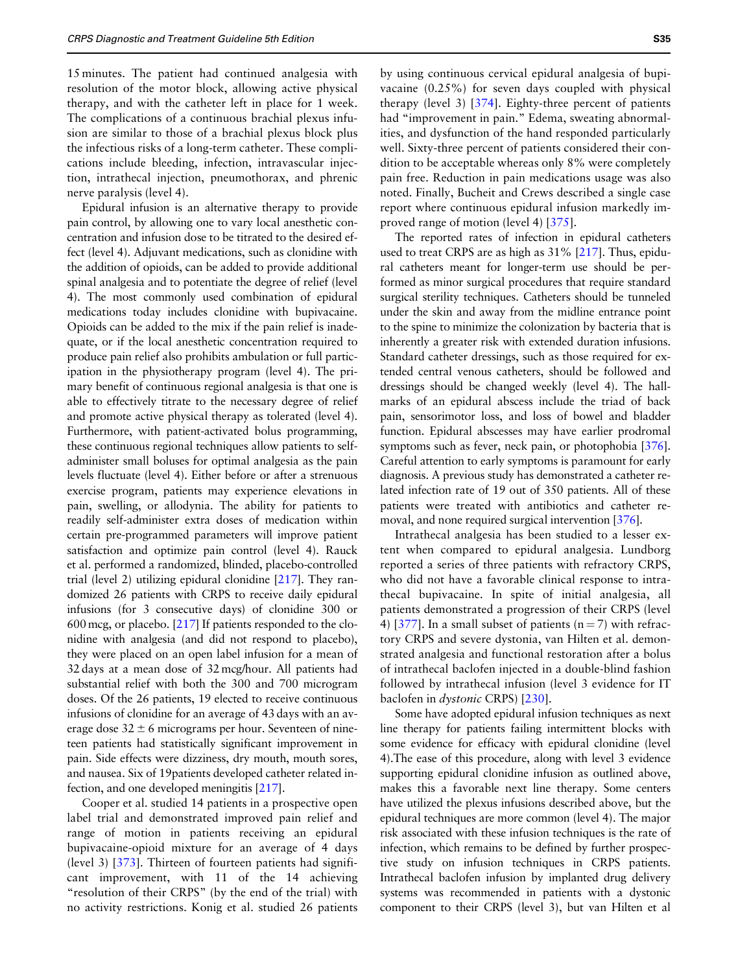15 minutes. The patient had continued analgesia with resolution of the motor block, allowing active physical therapy, and with the catheter left in place for 1 week. The complications of a continuous brachial plexus infusion are similar to those of a brachial plexus block plus the infectious risks of a long-term catheter. These complications include bleeding, infection, intravascular injection, intrathecal injection, pneumothorax, and phrenic nerve paralysis (level 4).

Epidural infusion is an alternative therapy to provide pain control, by allowing one to vary local anesthetic concentration and infusion dose to be titrated to the desired effect (level 4). Adjuvant medications, such as clonidine with the addition of opioids, can be added to provide additional spinal analgesia and to potentiate the degree of relief (level 4). The most commonly used combination of epidural medications today includes clonidine with bupivacaine. Opioids can be added to the mix if the pain relief is inadequate, or if the local anesthetic concentration required to produce pain relief also prohibits ambulation or full participation in the physiotherapy program (level 4). The primary benefit of continuous regional analgesia is that one is able to effectively titrate to the necessary degree of relief and promote active physical therapy as tolerated (level 4). Furthermore, with patient-activated bolus programming, these continuous regional techniques allow patients to selfadminister small boluses for optimal analgesia as the pain levels fluctuate (level 4). Either before or after a strenuous exercise program, patients may experience elevations in pain, swelling, or allodynia. The ability for patients to readily self-administer extra doses of medication within certain pre-programmed parameters will improve patient satisfaction and optimize pain control (level 4). Rauck et al. performed a randomized, blinded, placebo-controlled trial (level 2) utilizing epidural clonidine [[217](#page-44-0)]. They randomized 26 patients with CRPS to receive daily epidural infusions (for 3 consecutive days) of clonidine 300 or 600 mcg, or placebo. [\[217](#page-44-0)] If patients responded to the clonidine with analgesia (and did not respond to placebo), they were placed on an open label infusion for a mean of 32 days at a mean dose of 32 mcg/hour. All patients had substantial relief with both the 300 and 700 microgram doses. Of the 26 patients, 19 elected to receive continuous infusions of clonidine for an average of 43 days with an average dose  $32 \pm 6$  micrograms per hour. Seventeen of nineteen patients had statistically significant improvement in pain. Side effects were dizziness, dry mouth, mouth sores, and nausea. Six of 19patients developed catheter related infection, and one developed meningitis [\[217\]](#page-44-0).

Cooper et al. studied 14 patients in a prospective open label trial and demonstrated improved pain relief and range of motion in patients receiving an epidural bupivacaine-opioid mixture for an average of 4 days (level 3) [[373\]](#page-49-0). Thirteen of fourteen patients had significant improvement, with 11 of the 14 achieving "resolution of their CRPS" (by the end of the trial) with no activity restrictions. Konig et al. studied 26 patients

by using continuous cervical epidural analgesia of bupivacaine (0.25%) for seven days coupled with physical therapy (level 3) [[374\]](#page-49-0). Eighty-three percent of patients had "improvement in pain." Edema, sweating abnormalities, and dysfunction of the hand responded particularly well. Sixty-three percent of patients considered their condition to be acceptable whereas only 8% were completely pain free. Reduction in pain medications usage was also noted. Finally, Bucheit and Crews described a single case report where continuous epidural infusion markedly improved range of motion (level 4) [[375](#page-49-0)].

The reported rates of infection in epidural catheters used to treat CRPS are as high as 31% [\[217](#page-44-0)]. Thus, epidural catheters meant for longer-term use should be performed as minor surgical procedures that require standard surgical sterility techniques. Catheters should be tunneled under the skin and away from the midline entrance point to the spine to minimize the colonization by bacteria that is inherently a greater risk with extended duration infusions. Standard catheter dressings, such as those required for extended central venous catheters, should be followed and dressings should be changed weekly (level 4). The hallmarks of an epidural abscess include the triad of back pain, sensorimotor loss, and loss of bowel and bladder function. Epidural abscesses may have earlier prodromal symptoms such as fever, neck pain, or photophobia [[376](#page-49-0)]. Careful attention to early symptoms is paramount for early diagnosis. A previous study has demonstrated a catheter related infection rate of 19 out of 350 patients. All of these patients were treated with antibiotics and catheter removal, and none required surgical intervention [\[376\]](#page-49-0).

Intrathecal analgesia has been studied to a lesser extent when compared to epidural analgesia. Lundborg reported a series of three patients with refractory CRPS, who did not have a favorable clinical response to intrathecal bupivacaine. In spite of initial analgesia, all patients demonstrated a progression of their CRPS (level 4) [\[377](#page-49-0)]. In a small subset of patients  $(n = 7)$  with refractory CRPS and severe dystonia, van Hilten et al. demonstrated analgesia and functional restoration after a bolus of intrathecal baclofen injected in a double-blind fashion followed by intrathecal infusion (level 3 evidence for IT baclofen in dystonic CRPS) [[230](#page-45-0)].

Some have adopted epidural infusion techniques as next line therapy for patients failing intermittent blocks with some evidence for efficacy with epidural clonidine (level 4).The ease of this procedure, along with level 3 evidence supporting epidural clonidine infusion as outlined above, makes this a favorable next line therapy. Some centers have utilized the plexus infusions described above, but the epidural techniques are more common (level 4). The major risk associated with these infusion techniques is the rate of infection, which remains to be defined by further prospective study on infusion techniques in CRPS patients. Intrathecal baclofen infusion by implanted drug delivery systems was recommended in patients with a dystonic component to their CRPS (level 3), but van Hilten et al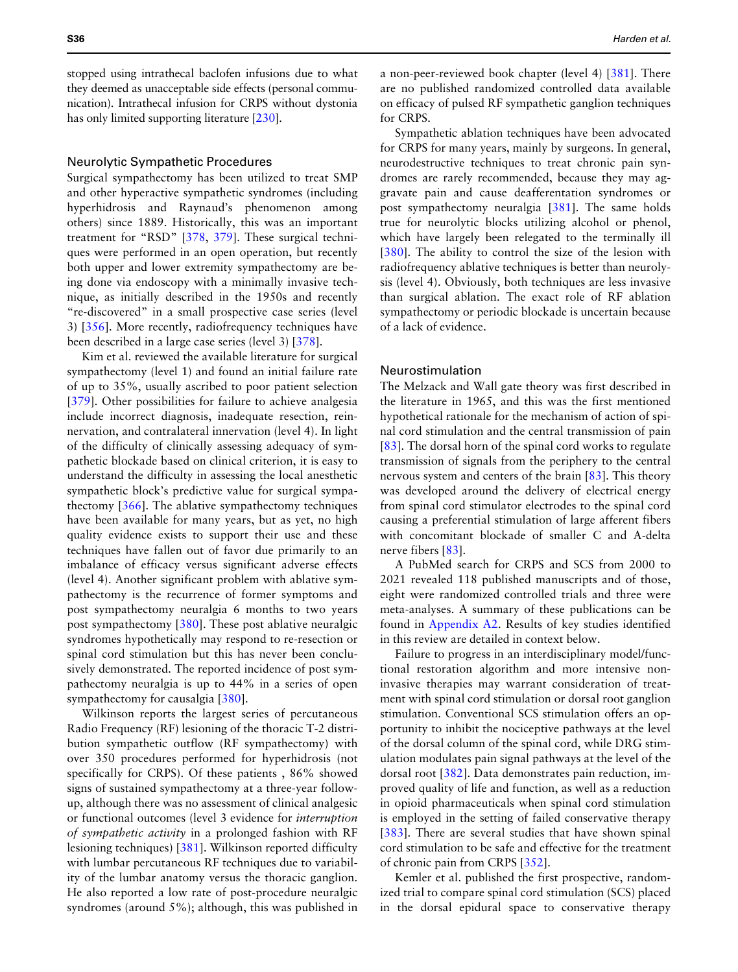stopped using intrathecal baclofen infusions due to what they deemed as unacceptable side effects (personal communication). Intrathecal infusion for CRPS without dystonia has only limited supporting literature [\[230](#page-45-0)].

### Neurolytic Sympathetic Procedures

Surgical sympathectomy has been utilized to treat SMP and other hyperactive sympathetic syndromes (including hyperhidrosis and Raynaud's phenomenon among others) since 1889. Historically, this was an important treatment for "RSD" [\[378](#page-49-0), [379](#page-49-0)]. These surgical techniques were performed in an open operation, but recently both upper and lower extremity sympathectomy are being done via endoscopy with a minimally invasive technique, as initially described in the 1950s and recently "re-discovered" in a small prospective case series (level 3) [[356](#page-48-0)]. More recently, radiofrequency techniques have been described in a large case series (level 3) [\[378\]](#page-49-0).

Kim et al. reviewed the available literature for surgical sympathectomy (level 1) and found an initial failure rate of up to 35%, usually ascribed to poor patient selection [\[379\]](#page-49-0). Other possibilities for failure to achieve analgesia include incorrect diagnosis, inadequate resection, reinnervation, and contralateral innervation (level 4). In light of the difficulty of clinically assessing adequacy of sympathetic blockade based on clinical criterion, it is easy to understand the difficulty in assessing the local anesthetic sympathetic block's predictive value for surgical sympathectomy [\[366\]](#page-48-0). The ablative sympathectomy techniques have been available for many years, but as yet, no high quality evidence exists to support their use and these techniques have fallen out of favor due primarily to an imbalance of efficacy versus significant adverse effects (level 4). Another significant problem with ablative sympathectomy is the recurrence of former symptoms and post sympathectomy neuralgia 6 months to two years post sympathectomy [\[380](#page-49-0)]. These post ablative neuralgic syndromes hypothetically may respond to re-resection or spinal cord stimulation but this has never been conclusively demonstrated. The reported incidence of post sympathectomy neuralgia is up to 44% in a series of open sympathectomy for causalgia [\[380](#page-49-0)].

Wilkinson reports the largest series of percutaneous Radio Frequency (RF) lesioning of the thoracic T-2 distribution sympathetic outflow (RF sympathectomy) with over 350 procedures performed for hyperhidrosis (not specifically for CRPS). Of these patients , 86% showed signs of sustained sympathectomy at a three-year followup, although there was no assessment of clinical analgesic or functional outcomes (level 3 evidence for interruption of sympathetic activity in a prolonged fashion with RF lesioning techniques) [[381\]](#page-49-0). Wilkinson reported difficulty with lumbar percutaneous RF techniques due to variability of the lumbar anatomy versus the thoracic ganglion. He also reported a low rate of post-procedure neuralgic syndromes (around 5%); although, this was published in

a non-peer-reviewed book chapter (level 4) [\[381](#page-49-0)]. There are no published randomized controlled data available on efficacy of pulsed RF sympathetic ganglion techniques for CRPS.

Sympathetic ablation techniques have been advocated for CRPS for many years, mainly by surgeons. In general, neurodestructive techniques to treat chronic pain syndromes are rarely recommended, because they may aggravate pain and cause deafferentation syndromes or post sympathectomy neuralgia [\[381](#page-49-0)]. The same holds true for neurolytic blocks utilizing alcohol or phenol, which have largely been relegated to the terminally ill [\[380\]](#page-49-0). The ability to control the size of the lesion with radiofrequency ablative techniques is better than neurolysis (level 4). Obviously, both techniques are less invasive than surgical ablation. The exact role of RF ablation sympathectomy or periodic blockade is uncertain because of a lack of evidence.

#### Neurostimulation

The Melzack and Wall gate theory was first described in the literature in 1965, and this was the first mentioned hypothetical rationale for the mechanism of action of spinal cord stimulation and the central transmission of pain [\[83\]](#page-41-0). The dorsal horn of the spinal cord works to regulate transmission of signals from the periphery to the central nervous system and centers of the brain [[83](#page-41-0)]. This theory was developed around the delivery of electrical energy from spinal cord stimulator electrodes to the spinal cord causing a preferential stimulation of large afferent fibers with concomitant blockade of smaller C and A-delta nerve fibers [[83](#page-41-0)].

A PubMed search for CRPS and SCS from 2000 to 2021 revealed 118 published manuscripts and of those, eight were randomized controlled trials and three were meta-analyses. A summary of these publications can be found in [Appendix A2.](#page-52-0) Results of key studies identified in this review are detailed in context below.

Failure to progress in an interdisciplinary model/functional restoration algorithm and more intensive noninvasive therapies may warrant consideration of treatment with spinal cord stimulation or dorsal root ganglion stimulation. Conventional SCS stimulation offers an opportunity to inhibit the nociceptive pathways at the level of the dorsal column of the spinal cord, while DRG stimulation modulates pain signal pathways at the level of the dorsal root [\[382\]](#page-49-0). Data demonstrates pain reduction, improved quality of life and function, as well as a reduction in opioid pharmaceuticals when spinal cord stimulation is employed in the setting of failed conservative therapy [\[383\]](#page-49-0). There are several studies that have shown spinal cord stimulation to be safe and effective for the treatment of chronic pain from CRPS [[352](#page-48-0)].

Kemler et al. published the first prospective, randomized trial to compare spinal cord stimulation (SCS) placed in the dorsal epidural space to conservative therapy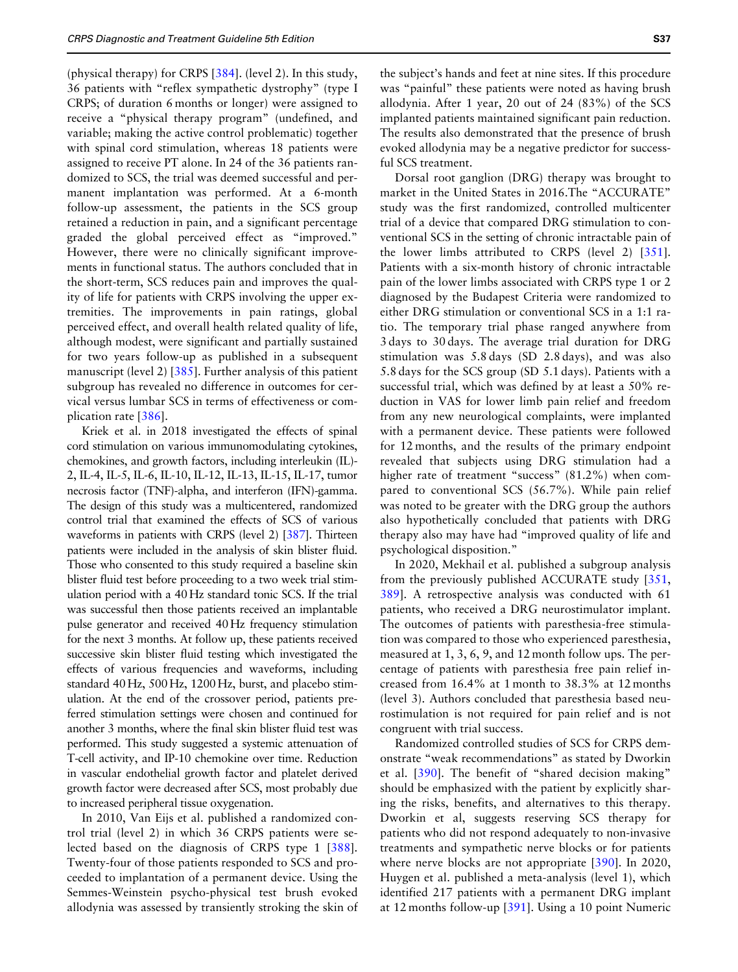(physical therapy) for CRPS [\[384](#page-49-0)]. (level 2). In this study, 36 patients with "reflex sympathetic dystrophy" (type I CRPS; of duration 6 months or longer) were assigned to receive a "physical therapy program" (undefined, and variable; making the active control problematic) together with spinal cord stimulation, whereas 18 patients were assigned to receive PT alone. In 24 of the 36 patients randomized to SCS, the trial was deemed successful and permanent implantation was performed. At a 6-month follow-up assessment, the patients in the SCS group retained a reduction in pain, and a significant percentage graded the global perceived effect as "improved." However, there were no clinically significant improvements in functional status. The authors concluded that in the short-term, SCS reduces pain and improves the quality of life for patients with CRPS involving the upper extremities. The improvements in pain ratings, global perceived effect, and overall health related quality of life, although modest, were significant and partially sustained for two years follow-up as published in a subsequent manuscript (level 2) [\[385\]](#page-49-0). Further analysis of this patient subgroup has revealed no difference in outcomes for cervical versus lumbar SCS in terms of effectiveness or complication rate [[386](#page-49-0)].

Kriek et al. in 2018 investigated the effects of spinal cord stimulation on various immunomodulating cytokines, chemokines, and growth factors, including interleukin (IL)- 2, IL-4, IL-5, IL-6, IL-10, IL-12, IL-13, IL-15, IL-17, tumor necrosis factor (TNF)-alpha, and interferon (IFN)-gamma. The design of this study was a multicentered, randomized control trial that examined the effects of SCS of various waveforms in patients with CRPS (level 2) [\[387\]](#page-49-0). Thirteen patients were included in the analysis of skin blister fluid. Those who consented to this study required a baseline skin blister fluid test before proceeding to a two week trial stimulation period with a 40 Hz standard tonic SCS. If the trial was successful then those patients received an implantable pulse generator and received 40 Hz frequency stimulation for the next 3 months. At follow up, these patients received successive skin blister fluid testing which investigated the effects of various frequencies and waveforms, including standard 40 Hz, 500 Hz, 1200 Hz, burst, and placebo stimulation. At the end of the crossover period, patients preferred stimulation settings were chosen and continued for another 3 months, where the final skin blister fluid test was performed. This study suggested a systemic attenuation of T-cell activity, and IP-10 chemokine over time. Reduction in vascular endothelial growth factor and platelet derived growth factor were decreased after SCS, most probably due to increased peripheral tissue oxygenation.

In 2010, Van Eijs et al. published a randomized control trial (level 2) in which 36 CRPS patients were selected based on the diagnosis of CRPS type 1 [\[388](#page-49-0)]. Twenty-four of those patients responded to SCS and proceeded to implantation of a permanent device. Using the Semmes-Weinstein psycho-physical test brush evoked allodynia was assessed by transiently stroking the skin of

the subject's hands and feet at nine sites. If this procedure was "painful" these patients were noted as having brush allodynia. After 1 year, 20 out of 24 (83%) of the SCS implanted patients maintained significant pain reduction. The results also demonstrated that the presence of brush evoked allodynia may be a negative predictor for successful SCS treatment.

Dorsal root ganglion (DRG) therapy was brought to market in the United States in 2016.The "ACCURATE" study was the first randomized, controlled multicenter trial of a device that compared DRG stimulation to conventional SCS in the setting of chronic intractable pain of the lower limbs attributed to CRPS (level 2) [\[351](#page-48-0)]. Patients with a six-month history of chronic intractable pain of the lower limbs associated with CRPS type 1 or 2 diagnosed by the Budapest Criteria were randomized to either DRG stimulation or conventional SCS in a 1:1 ratio. The temporary trial phase ranged anywhere from 3 days to 30 days. The average trial duration for DRG stimulation was 5.8 days (SD 2.8 days), and was also 5.8 days for the SCS group (SD 5.1 days). Patients with a successful trial, which was defined by at least a 50% reduction in VAS for lower limb pain relief and freedom from any new neurological complaints, were implanted with a permanent device. These patients were followed for 12 months, and the results of the primary endpoint revealed that subjects using DRG stimulation had a higher rate of treatment "success" (81.2%) when compared to conventional SCS (56.7%). While pain relief was noted to be greater with the DRG group the authors also hypothetically concluded that patients with DRG therapy also may have had "improved quality of life and psychological disposition."

In 2020, Mekhail et al. published a subgroup analysis from the previously published ACCURATE study [[351](#page-48-0), [389\]](#page-49-0). A retrospective analysis was conducted with 61 patients, who received a DRG neurostimulator implant. The outcomes of patients with paresthesia-free stimulation was compared to those who experienced paresthesia, measured at 1, 3, 6, 9, and 12 month follow ups. The percentage of patients with paresthesia free pain relief increased from 16.4% at 1 month to 38.3% at 12 months (level 3). Authors concluded that paresthesia based neurostimulation is not required for pain relief and is not congruent with trial success.

Randomized controlled studies of SCS for CRPS demonstrate "weak recommendations" as stated by Dworkin et al. [\[390\]](#page-49-0). The benefit of "shared decision making" should be emphasized with the patient by explicitly sharing the risks, benefits, and alternatives to this therapy. Dworkin et al, suggests reserving SCS therapy for patients who did not respond adequately to non-invasive treatments and sympathetic nerve blocks or for patients where nerve blocks are not appropriate [[390\]](#page-49-0). In 2020, Huygen et al. published a meta-analysis (level 1), which identified 217 patients with a permanent DRG implant at 12 months follow-up [\[391\]](#page-49-0). Using a 10 point Numeric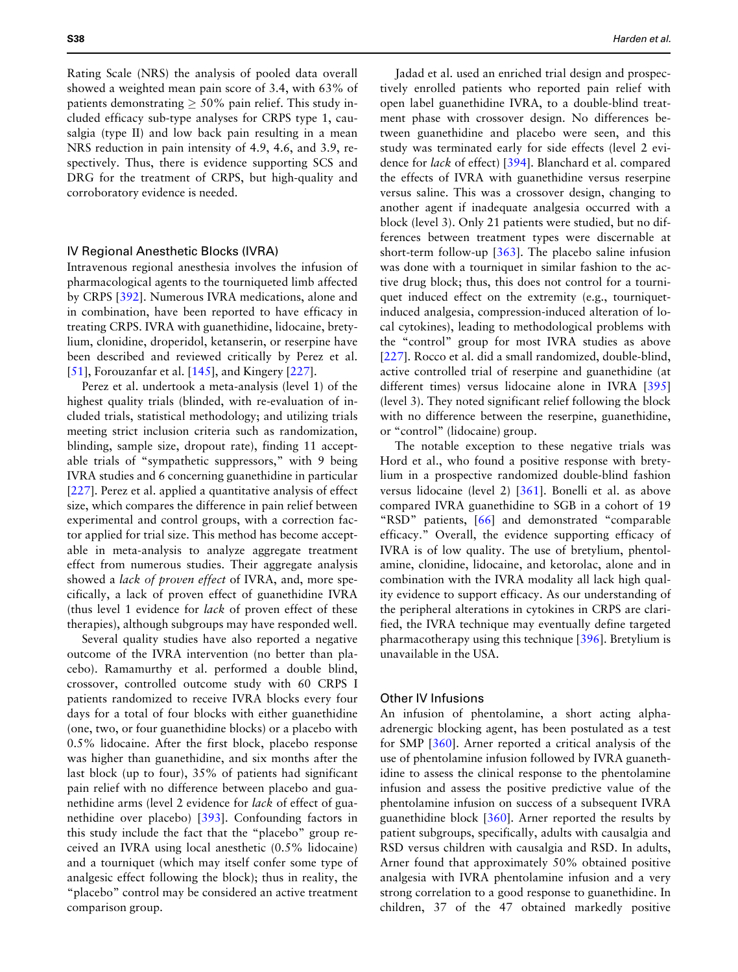Rating Scale (NRS) the analysis of pooled data overall showed a weighted mean pain score of 3.4, with 63% of patients demonstrating  $\geq$  50% pain relief. This study included efficacy sub-type analyses for CRPS type 1, causalgia (type II) and low back pain resulting in a mean NRS reduction in pain intensity of 4.9, 4.6, and 3.9, respectively. Thus, there is evidence supporting SCS and DRG for the treatment of CRPS, but high-quality and corroboratory evidence is needed.

#### IV Regional Anesthetic Blocks (IVRA)

Intravenous regional anesthesia involves the infusion of pharmacological agents to the tourniqueted limb affected by CRPS [\[392](#page-49-0)]. Numerous IVRA medications, alone and in combination, have been reported to have efficacy in treating CRPS. IVRA with guanethidine, lidocaine, bretylium, clonidine, droperidol, ketanserin, or reserpine have been described and reviewed critically by Perez et al. [\[51\]](#page-40-0), Forouzanfar et al.  $[145]$ , and Kingery [[227](#page-45-0)].

Perez et al. undertook a meta-analysis (level 1) of the highest quality trials (blinded, with re-evaluation of included trials, statistical methodology; and utilizing trials meeting strict inclusion criteria such as randomization, blinding, sample size, dropout rate), finding 11 acceptable trials of "sympathetic suppressors," with 9 being IVRA studies and 6 concerning guanethidine in particular [\[227\]](#page-45-0). Perez et al. applied a quantitative analysis of effect size, which compares the difference in pain relief between experimental and control groups, with a correction factor applied for trial size. This method has become acceptable in meta-analysis to analyze aggregate treatment effect from numerous studies. Their aggregate analysis showed a lack of proven effect of IVRA, and, more specifically, a lack of proven effect of guanethidine IVRA (thus level 1 evidence for lack of proven effect of these therapies), although subgroups may have responded well.

Several quality studies have also reported a negative outcome of the IVRA intervention (no better than placebo). Ramamurthy et al. performed a double blind, crossover, controlled outcome study with 60 CRPS I patients randomized to receive IVRA blocks every four days for a total of four blocks with either guanethidine (one, two, or four guanethidine blocks) or a placebo with 0.5% lidocaine. After the first block, placebo response was higher than guanethidine, and six months after the last block (up to four), 35% of patients had significant pain relief with no difference between placebo and guanethidine arms (level 2 evidence for lack of effect of guanethidine over placebo) [\[393\]](#page-49-0). Confounding factors in this study include the fact that the "placebo" group received an IVRA using local anesthetic (0.5% lidocaine) and a tourniquet (which may itself confer some type of analgesic effect following the block); thus in reality, the "placebo" control may be considered an active treatment comparison group.

Jadad et al. used an enriched trial design and prospectively enrolled patients who reported pain relief with open label guanethidine IVRA, to a double-blind treatment phase with crossover design. No differences between guanethidine and placebo were seen, and this study was terminated early for side effects (level 2 evidence for lack of effect) [\[394\]](#page-49-0). Blanchard et al. compared the effects of IVRA with guanethidine versus reserpine versus saline. This was a crossover design, changing to another agent if inadequate analgesia occurred with a block (level 3). Only 21 patients were studied, but no differences between treatment types were discernable at short-term follow-up [[363\]](#page-48-0). The placebo saline infusion was done with a tourniquet in similar fashion to the active drug block; thus, this does not control for a tourniquet induced effect on the extremity (e.g., tourniquetinduced analgesia, compression-induced alteration of local cytokines), leading to methodological problems with the "control" group for most IVRA studies as above [\[227\]](#page-45-0). Rocco et al. did a small randomized, double-blind, active controlled trial of reserpine and guanethidine (at different times) versus lidocaine alone in IVRA [\[395\]](#page-49-0) (level 3). They noted significant relief following the block with no difference between the reserpine, guanethidine, or "control" (lidocaine) group.

The notable exception to these negative trials was Hord et al., who found a positive response with bretylium in a prospective randomized double-blind fashion versus lidocaine (level 2) [\[361](#page-48-0)]. Bonelli et al. as above compared IVRA guanethidine to SGB in a cohort of 19 "RSD" patients, [[66](#page-41-0)] and demonstrated "comparable efficacy." Overall, the evidence supporting efficacy of IVRA is of low quality. The use of bretylium, phentolamine, clonidine, lidocaine, and ketorolac, alone and in combination with the IVRA modality all lack high quality evidence to support efficacy. As our understanding of the peripheral alterations in cytokines in CRPS are clarified, the IVRA technique may eventually define targeted pharmacotherapy using this technique [[396\]](#page-49-0). Bretylium is unavailable in the USA.

#### Other IV Infusions

An infusion of phentolamine, a short acting alphaadrenergic blocking agent, has been postulated as a test for SMP [\[360\]](#page-48-0). Arner reported a critical analysis of the use of phentolamine infusion followed by IVRA guanethidine to assess the clinical response to the phentolamine infusion and assess the positive predictive value of the phentolamine infusion on success of a subsequent IVRA guanethidine block [\[360\]](#page-48-0). Arner reported the results by patient subgroups, specifically, adults with causalgia and RSD versus children with causalgia and RSD. In adults, Arner found that approximately 50% obtained positive analgesia with IVRA phentolamine infusion and a very strong correlation to a good response to guanethidine. In children, 37 of the 47 obtained markedly positive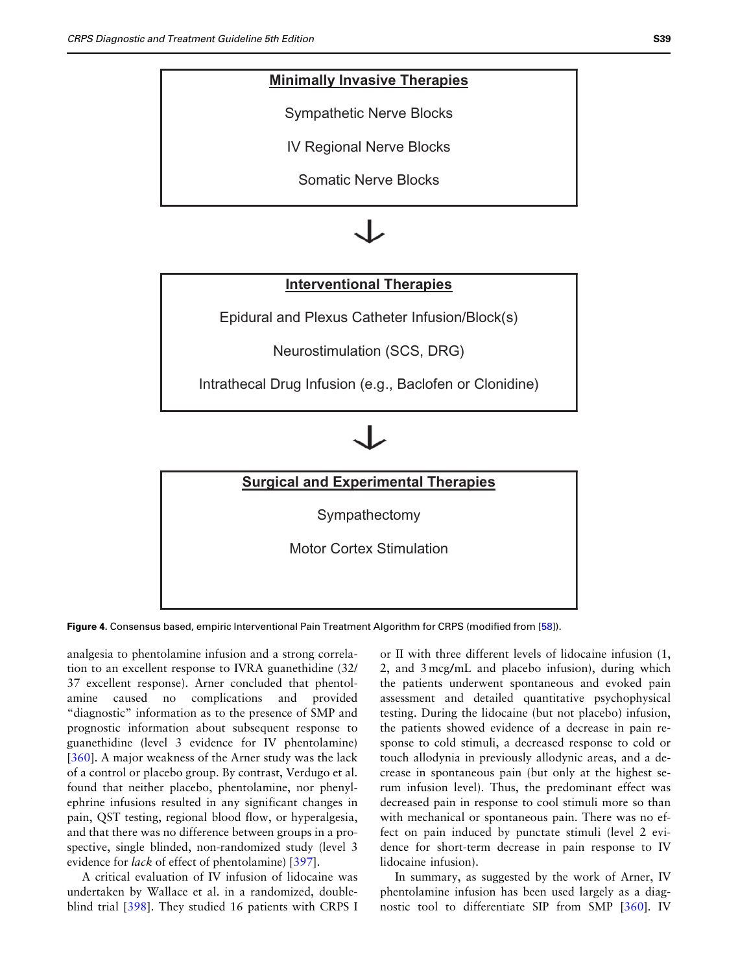## <span id="page-38-0"></span>**Minimally Invasive Therapies**

Sympathetic Nerve Blocks

IV Regional Nerve Blocks

Somatic Nerve Blocks

## **Interventional Therapies**

Epidural and Plexus Catheter Infusion/Block(s)

Neurostimulation (SCS, DRG)

Intrathecal Drug Infusion (e.g., Baclofen or Clonidine)

## **Surgical and Experimental Therapies**

Sympathectomy

Motor Cortex Stimulation

Figure 4. Consensus based, empiric Interventional Pain Treatment Algorithm for CRPS (modified from [[58\]](#page-40-0)).

analgesia to phentolamine infusion and a strong correlation to an excellent response to IVRA guanethidine (32/ 37 excellent response). Arner concluded that phentolamine caused no complications and provided "diagnostic" information as to the presence of SMP and prognostic information about subsequent response to guanethidine (level 3 evidence for IV phentolamine) [\[360\]](#page-48-0). A major weakness of the Arner study was the lack of a control or placebo group. By contrast, Verdugo et al. found that neither placebo, phentolamine, nor phenylephrine infusions resulted in any significant changes in pain, QST testing, regional blood flow, or hyperalgesia, and that there was no difference between groups in a prospective, single blinded, non-randomized study (level 3 evidence for lack of effect of phentolamine) [\[397\]](#page-49-0).

A critical evaluation of IV infusion of lidocaine was undertaken by Wallace et al. in a randomized, doubleblind trial [\[398](#page-49-0)]. They studied 16 patients with CRPS I

or II with three different levels of lidocaine infusion (1, 2, and 3 mcg/mL and placebo infusion), during which the patients underwent spontaneous and evoked pain assessment and detailed quantitative psychophysical testing. During the lidocaine (but not placebo) infusion, the patients showed evidence of a decrease in pain response to cold stimuli, a decreased response to cold or touch allodynia in previously allodynic areas, and a decrease in spontaneous pain (but only at the highest serum infusion level). Thus, the predominant effect was decreased pain in response to cool stimuli more so than with mechanical or spontaneous pain. There was no effect on pain induced by punctate stimuli (level 2 evidence for short-term decrease in pain response to IV lidocaine infusion).

In summary, as suggested by the work of Arner, IV phentolamine infusion has been used largely as a diagnostic tool to differentiate SIP from SMP [\[360](#page-48-0)]. IV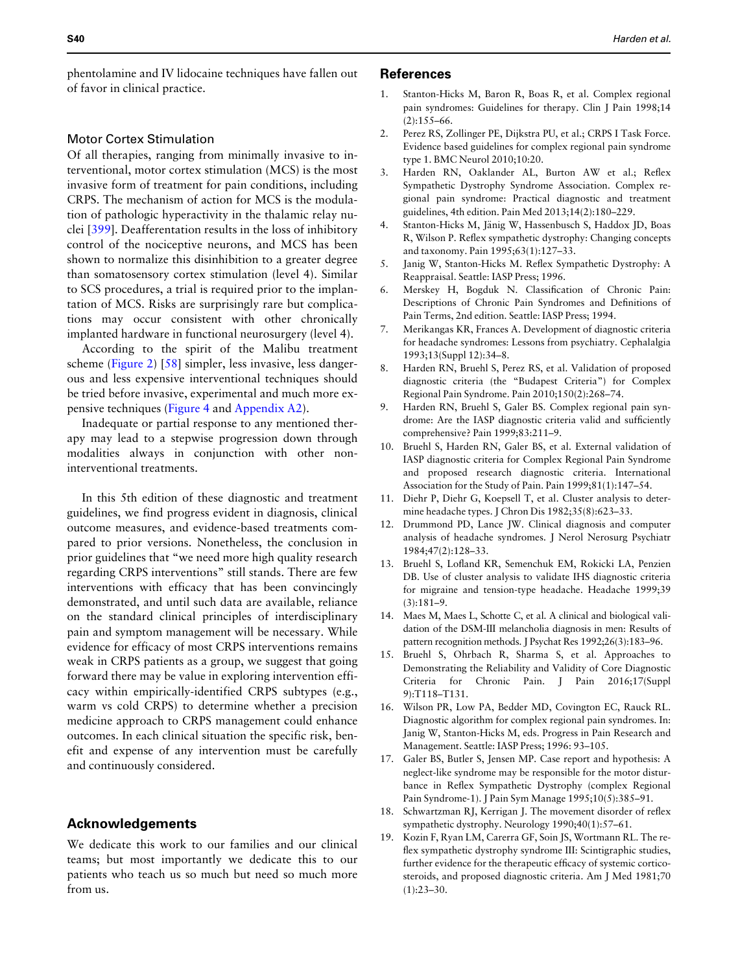<span id="page-39-0"></span>phentolamine and IV lidocaine techniques have fallen out of favor in clinical practice.

#### Motor Cortex Stimulation

Of all therapies, ranging from minimally invasive to interventional, motor cortex stimulation (MCS) is the most invasive form of treatment for pain conditions, including CRPS. The mechanism of action for MCS is the modulation of pathologic hyperactivity in the thalamic relay nuclei [\[399](#page-49-0)]. Deafferentation results in the loss of inhibitory control of the nociceptive neurons, and MCS has been shown to normalize this disinhibition to a greater degree than somatosensory cortex stimulation (level 4). Similar to SCS procedures, a trial is required prior to the implantation of MCS. Risks are surprisingly rare but complications may occur consistent with other chronically implanted hardware in functional neurosurgery (level 4).

According to the spirit of the Malibu treatment scheme ([Figure 2](#page-8-0)) [\[58\]](#page-40-0) simpler, less invasive, less dangerous and less expensive interventional techniques should be tried before invasive, experimental and much more expensive techniques [\(Figure 4](#page-38-0) and [Appendix A2](#page-52-0)).

Inadequate or partial response to any mentioned therapy may lead to a stepwise progression down through modalities always in conjunction with other noninterventional treatments.

In this 5th edition of these diagnostic and treatment guidelines, we find progress evident in diagnosis, clinical outcome measures, and evidence-based treatments compared to prior versions. Nonetheless, the conclusion in prior guidelines that "we need more high quality research regarding CRPS interventions" still stands. There are few interventions with efficacy that has been convincingly demonstrated, and until such data are available, reliance on the standard clinical principles of interdisciplinary pain and symptom management will be necessary. While evidence for efficacy of most CRPS interventions remains weak in CRPS patients as a group, we suggest that going forward there may be value in exploring intervention efficacy within empirically-identified CRPS subtypes (e.g., warm vs cold CRPS) to determine whether a precision medicine approach to CRPS management could enhance outcomes. In each clinical situation the specific risk, benefit and expense of any intervention must be carefully and continuously considered.

### Acknowledgements

We dedicate this work to our families and our clinical teams; but most importantly we dedicate this to our patients who teach us so much but need so much more from us.

#### References

- Stanton-Hicks M, Baron R, Boas R, et al. Complex regional pain syndromes: Guidelines for therapy. Clin J Pain 1998;14  $(2):155-66.$
- 2. Perez RS, Zollinger PE, Dijkstra PU, et al.; CRPS I Task Force. Evidence based guidelines for complex regional pain syndrome type 1. BMC Neurol 2010;10:20.
- 3. Harden RN, Oaklander AL, Burton AW et al.; Reflex Sympathetic Dystrophy Syndrome Association. Complex regional pain syndrome: Practical diagnostic and treatment guidelines, 4th edition. Pain Med 2013;14(2):180–229.
- 4. Stanton-Hicks M, Jänig W, Hassenbusch S, Haddox JD, Boas R, Wilson P. Reflex sympathetic dystrophy: Changing concepts and taxonomy. Pain 1995;63(1):127–33.
- 5. Janig W, Stanton-Hicks M. Reflex Sympathetic Dystrophy: A Reappraisal. Seattle: IASP Press; 1996.
- 6. Merskey H, Bogduk N. Classification of Chronic Pain: Descriptions of Chronic Pain Syndromes and Definitions of Pain Terms, 2nd edition. Seattle: IASP Press; 1994.
- 7. Merikangas KR, Frances A. Development of diagnostic criteria for headache syndromes: Lessons from psychiatry. Cephalalgia 1993;13(Suppl 12):34–8.
- 8. Harden RN, Bruehl S, Perez RS, et al. Validation of proposed diagnostic criteria (the "Budapest Criteria") for Complex Regional Pain Syndrome. Pain 2010;150(2):268–74.
- 9. Harden RN, Bruehl S, Galer BS. Complex regional pain syndrome: Are the IASP diagnostic criteria valid and sufficiently comprehensive? Pain 1999;83:211–9.
- 10. Bruehl S, Harden RN, Galer BS, et al. External validation of IASP diagnostic criteria for Complex Regional Pain Syndrome and proposed research diagnostic criteria. International Association for the Study of Pain. Pain 1999;81(1):147–54.
- 11. Diehr P, Diehr G, Koepsell T, et al. Cluster analysis to determine headache types. J Chron Dis 1982;35(8):623–33.
- 12. Drummond PD, Lance JW. Clinical diagnosis and computer analysis of headache syndromes. J Nerol Nerosurg Psychiatr 1984;47(2):128–33.
- 13. Bruehl S, Lofland KR, Semenchuk EM, Rokicki LA, Penzien DB. Use of cluster analysis to validate IHS diagnostic criteria for migraine and tension-type headache. Headache 1999;39 (3):181–9.
- 14. Maes M, Maes L, Schotte C, et al. A clinical and biological validation of the DSM-III melancholia diagnosis in men: Results of pattern recognition methods. J Psychat Res 1992;26(3):183–96.
- 15. Bruehl S, Ohrbach R, Sharma S, et al. Approaches to Demonstrating the Reliability and Validity of Core Diagnostic Criteria for Chronic Pain. J Pain 2016;17(Suppl 9):T118–T131.
- 16. Wilson PR, Low PA, Bedder MD, Covington EC, Rauck RL. Diagnostic algorithm for complex regional pain syndromes. In: Janig W, Stanton-Hicks M, eds. Progress in Pain Research and Management. Seattle: IASP Press; 1996: 93–105.
- 17. Galer BS, Butler S, Jensen MP. Case report and hypothesis: A neglect-like syndrome may be responsible for the motor disturbance in Reflex Sympathetic Dystrophy (complex Regional Pain Syndrome-1). J Pain Sym Manage 1995;10(5):385–91.
- 18. Schwartzman RJ, Kerrigan J. The movement disorder of reflex sympathetic dystrophy. Neurology 1990;40(1):57–61.
- 19. Kozin F, Ryan LM, Carerra GF, Soin JS, Wortmann RL. The reflex sympathetic dystrophy syndrome III: Scintigraphic studies, further evidence for the therapeutic efficacy of systemic corticosteroids, and proposed diagnostic criteria. Am J Med 1981;70 (1):23–30.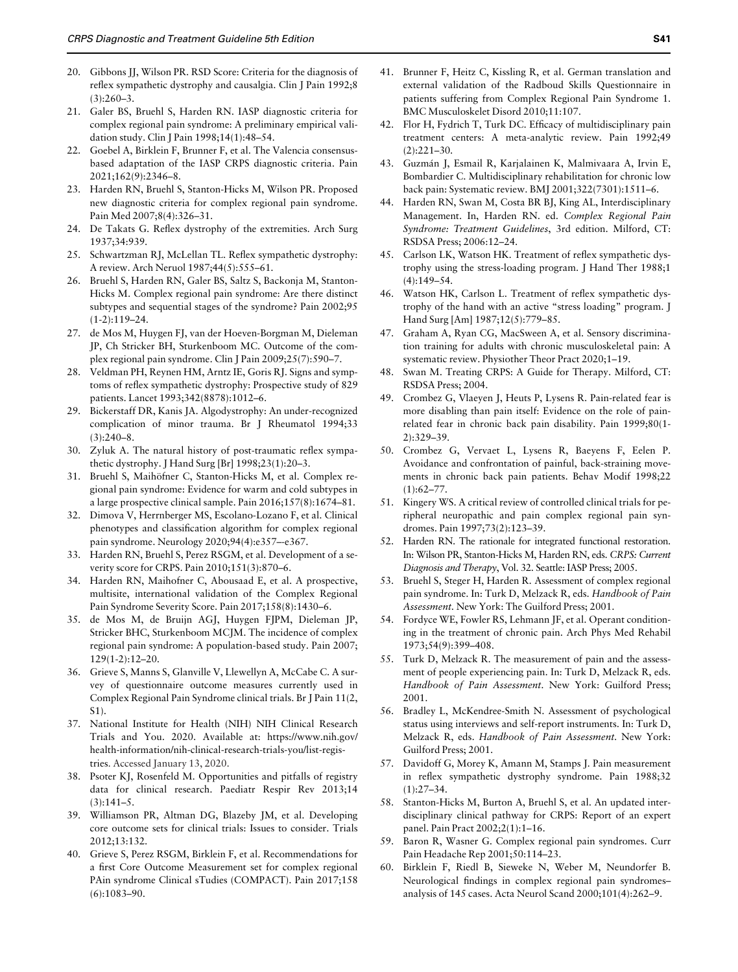- <span id="page-40-0"></span>20. Gibbons JJ, Wilson PR. RSD Score: Criteria for the diagnosis of reflex sympathetic dystrophy and causalgia. Clin J Pain 1992;8  $(3):260-3.$
- 21. Galer BS, Bruehl S, Harden RN. IASP diagnostic criteria for complex regional pain syndrome: A preliminary empirical validation study. Clin J Pain 1998;14(1):48–54.
- 22. Goebel A, Birklein F, Brunner F, et al. The Valencia consensusbased adaptation of the IASP CRPS diagnostic criteria. Pain 2021;162(9):2346–8.
- 23. Harden RN, Bruehl S, Stanton-Hicks M, Wilson PR. Proposed new diagnostic criteria for complex regional pain syndrome. Pain Med 2007;8(4):326–31.
- 24. De Takats G. Reflex dystrophy of the extremities. Arch Surg 1937;34:939.
- 25. Schwartzman RJ, McLellan TL. Reflex sympathetic dystrophy: A review. Arch Neruol 1987;44(5):555–61.
- 26. Bruehl S, Harden RN, Galer BS, Saltz S, Backonja M, Stanton-Hicks M. Complex regional pain syndrome: Are there distinct subtypes and sequential stages of the syndrome? Pain 2002;95 (1-2):119–24.
- 27. de Mos M, Huygen FJ, van der Hoeven-Borgman M, Dieleman JP, Ch Stricker BH, Sturkenboom MC. Outcome of the complex regional pain syndrome. Clin J Pain 2009;25(7):590–7.
- 28. Veldman PH, Reynen HM, Arntz IE, Goris RJ. Signs and symptoms of reflex sympathetic dystrophy: Prospective study of 829 patients. Lancet 1993;342(8878):1012–6.
- 29. Bickerstaff DR, Kanis JA. Algodystrophy: An under-recognized complication of minor trauma. Br J Rheumatol 1994;33  $(3):240-8.$
- 30. Zyluk A. The natural history of post-traumatic reflex sympathetic dystrophy. J Hand Surg [Br] 1998;23(1):20–3.
- 31. Bruehl S, Maihöfner C, Stanton-Hicks M, et al. Complex regional pain syndrome: Evidence for warm and cold subtypes in a large prospective clinical sample. Pain 2016;157(8):1674–81.
- 32. Dimova V, Herrnberger MS, Escolano-Lozano F, et al. Clinical phenotypes and classification algorithm for complex regional pain syndrome. Neurology 2020;94(4):e357–-e367.
- 33. Harden RN, Bruehl S, Perez RSGM, et al. Development of a severity score for CRPS. Pain 2010;151(3):870–6.
- 34. Harden RN, Maihofner C, Abousaad E, et al. A prospective, multisite, international validation of the Complex Regional Pain Syndrome Severity Score. Pain 2017;158(8):1430–6.
- 35. de Mos M, de Bruijn AGJ, Huygen FJPM, Dieleman JP, Stricker BHC, Sturkenboom MCJM. The incidence of complex regional pain syndrome: A population-based study. Pain 2007; 129(1-2):12–20.
- 36. Grieve S, Manns S, Glanville V, Llewellyn A, McCabe C. A survey of questionnaire outcome measures currently used in Complex Regional Pain Syndrome clinical trials. Br J Pain 11(2, S1).
- 37. National Institute for Health (NIH) NIH Clinical Research Trials and You. 2020. Available at: [https://www.nih.gov/](https://www.nih.gov/health-information/nih-clinical-research-trials-you/list-registries) [health-information/nih-clinical-research-trials-you/list-regis](https://www.nih.gov/health-information/nih-clinical-research-trials-you/list-registries)[tries](https://www.nih.gov/health-information/nih-clinical-research-trials-you/list-registries). Accessed January 13, 2020.
- 38. Psoter KJ, Rosenfeld M. Opportunities and pitfalls of registry data for clinical research. Paediatr Respir Rev 2013;14  $(3):141-5.$
- 39. Williamson PR, Altman DG, Blazeby JM, et al. Developing core outcome sets for clinical trials: Issues to consider. Trials 2012;13:132.
- 40. Grieve S, Perez RSGM, Birklein F, et al. Recommendations for a first Core Outcome Measurement set for complex regional PAin syndrome Clinical sTudies (COMPACT). Pain 2017;158 (6):1083–90.
- 41. Brunner F, Heitz C, Kissling R, et al. German translation and external validation of the Radboud Skills Questionnaire in patients suffering from Complex Regional Pain Syndrome 1. BMC Musculoskelet Disord 2010;11:107.
- 42. Flor H, Fydrich T, Turk DC. Efficacy of multidisciplinary pain treatment centers: A meta-analytic review. Pain 1992;49 (2):221–30.
- 43. Guzmán J, Esmail R, Karjalainen K, Malmivaara A, Irvin E, Bombardier C. Multidisciplinary rehabilitation for chronic low back pain: Systematic review. BMJ 2001;322(7301):1511–6.
- 44. Harden RN, Swan M, Costa BR BJ, King AL, Interdisciplinary Management. In, Harden RN. ed. Complex Regional Pain Syndrome: Treatment Guidelines, 3rd edition. Milford, CT: RSDSA Press; 2006:12–24.
- 45. Carlson LK, Watson HK. Treatment of reflex sympathetic dystrophy using the stress-loading program. J Hand Ther 1988;1 (4):149–54.
- 46. Watson HK, Carlson L. Treatment of reflex sympathetic dystrophy of the hand with an active "stress loading" program. J Hand Surg [Am] 1987;12(5):779–85.
- 47. Graham A, Ryan CG, MacSween A, et al. Sensory discrimination training for adults with chronic musculoskeletal pain: A systematic review. Physiother Theor Pract 2020;1–19.
- 48. Swan M. Treating CRPS: A Guide for Therapy. Milford, CT: RSDSA Press; 2004.
- 49. Crombez G, Vlaeyen J, Heuts P, Lysens R. Pain-related fear is more disabling than pain itself: Evidence on the role of painrelated fear in chronic back pain disability. Pain 1999;80(1- 2):329–39.
- 50. Crombez G, Vervaet L, Lysens R, Baeyens F, Eelen P. Avoidance and confrontation of painful, back-straining movements in chronic back pain patients. Behav Modif 1998;22  $(1):62-77.$
- 51. Kingery WS. A critical review of controlled clinical trials for peripheral neuropathic and pain complex regional pain syndromes. Pain 1997;73(2):123–39.
- 52. Harden RN. The rationale for integrated functional restoration. In: Wilson PR, Stanton-Hicks M, Harden RN, eds. CRPS: Current Diagnosis and Therapy, Vol. 32. Seattle: IASP Press; 2005.
- 53. Bruehl S, Steger H, Harden R. Assessment of complex regional pain syndrome. In: Turk D, Melzack R, eds. Handbook of Pain Assessment. New York: The Guilford Press; 2001.
- 54. Fordyce WE, Fowler RS, Lehmann JF, et al. Operant conditioning in the treatment of chronic pain. Arch Phys Med Rehabil 1973;54(9):399–408.
- 55. Turk D, Melzack R. The measurement of pain and the assessment of people experiencing pain. In: Turk D, Melzack R, eds. Handbook of Pain Assessment. New York: Guilford Press; 2001.
- 56. Bradley L, McKendree-Smith N. Assessment of psychological status using interviews and self-report instruments. In: Turk D, Melzack R, eds. Handbook of Pain Assessment. New York: Guilford Press; 2001.
- 57. Davidoff G, Morey K, Amann M, Stamps J. Pain measurement in reflex sympathetic dystrophy syndrome. Pain 1988;32 (1):27–34.
- 58. Stanton-Hicks M, Burton A, Bruehl S, et al. An updated interdisciplinary clinical pathway for CRPS: Report of an expert panel. Pain Pract 2002;2(1):1–16.
- 59. Baron R, Wasner G. Complex regional pain syndromes. Curr Pain Headache Rep 2001;50:114–23.
- 60. Birklein F, Riedl B, Sieweke N, Weber M, Neundorfer B. Neurological findings in complex regional pain syndromes– analysis of 145 cases. Acta Neurol Scand 2000;101(4):262–9.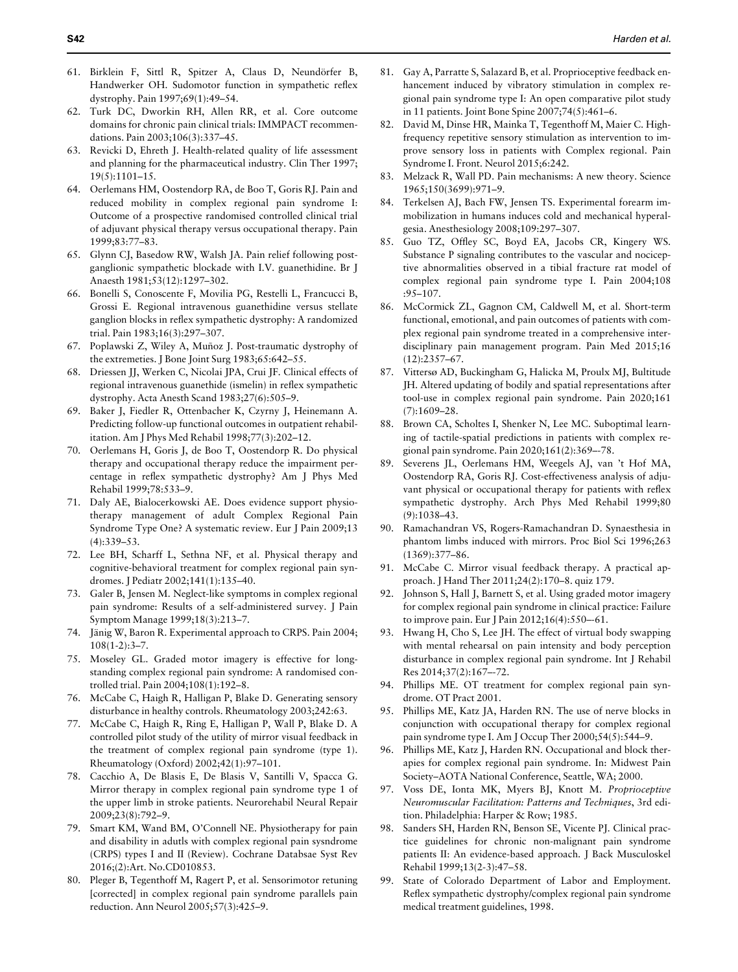- <span id="page-41-0"></span>61. Birklein F, Sittl R, Spitzer A, Claus D, Neundörfer B, Handwerker OH. Sudomotor function in sympathetic reflex dystrophy. Pain 1997;69(1):49–54.
- 62. Turk DC, Dworkin RH, Allen RR, et al. Core outcome domains for chronic pain clinical trials: IMMPACT recommendations. Pain 2003;106(3):337–45.
- 63. Revicki D, Ehreth J. Health-related quality of life assessment and planning for the pharmaceutical industry. Clin Ther 1997; 19(5):1101–15.
- 64. Oerlemans HM, Oostendorp RA, de Boo T, Goris RJ. Pain and reduced mobility in complex regional pain syndrome I: Outcome of a prospective randomised controlled clinical trial of adjuvant physical therapy versus occupational therapy. Pain 1999;83:77–83.
- 65. Glynn CJ, Basedow RW, Walsh JA. Pain relief following postganglionic sympathetic blockade with I.V. guanethidine. Br J Anaesth 1981;53(12):1297–302.
- 66. Bonelli S, Conoscente F, Movilia PG, Restelli L, Francucci B, Grossi E. Regional intravenous guanethidine versus stellate ganglion blocks in reflex sympathetic dystrophy: A randomized trial. Pain 1983;16(3):297–307.
- 67. Poplawski Z, Wiley A, Munoz J. Post-traumatic dystrophy of ~ the extremeties. J Bone Joint Surg 1983;65:642–55.
- 68. Driessen JJ, Werken C, Nicolai JPA, Crui JF. Clinical effects of regional intravenous guanethide (ismelin) in reflex sympathetic dystrophy. Acta Anesth Scand 1983;27(6):505–9.
- 69. Baker J, Fiedler R, Ottenbacher K, Czyrny J, Heinemann A. Predicting follow-up functional outcomes in outpatient rehabilitation. Am J Phys Med Rehabil 1998;77(3):202–12.
- 70. Oerlemans H, Goris J, de Boo T, Oostendorp R. Do physical therapy and occupational therapy reduce the impairment percentage in reflex sympathetic dystrophy? Am J Phys Med Rehabil 1999;78:533–9.
- 71. Daly AE, Bialocerkowski AE. Does evidence support physiotherapy management of adult Complex Regional Pain Syndrome Type One? A systematic review. Eur J Pain 2009;13 (4):339–53.
- 72. Lee BH, Scharff L, Sethna NF, et al. Physical therapy and cognitive-behavioral treatment for complex regional pain syndromes. J Pediatr 2002;141(1):135–40.
- 73. Galer B, Jensen M. Neglect-like symptoms in complex regional pain syndrome: Results of a self-administered survey. J Pain Symptom Manage 1999;18(3):213–7.
- 74. Jänig W, Baron R. Experimental approach to CRPS. Pain 2004; 108(1-2):3–7.
- 75. Moseley GL. Graded motor imagery is effective for longstanding complex regional pain syndrome: A randomised controlled trial. Pain 2004;108(1):192–8.
- 76. McCabe C, Haigh R, Halligan P, Blake D. Generating sensory disturbance in healthy controls. Rheumatology 2003;242:63.
- 77. McCabe C, Haigh R, Ring E, Halligan P, Wall P, Blake D. A controlled pilot study of the utility of mirror visual feedback in the treatment of complex regional pain syndrome (type 1). Rheumatology (Oxford) 2002;42(1):97–101.
- 78. Cacchio A, De Blasis E, De Blasis V, Santilli V, Spacca G. Mirror therapy in complex regional pain syndrome type 1 of the upper limb in stroke patients. Neurorehabil Neural Repair 2009;23(8):792–9.
- 79. Smart KM, Wand BM, O'Connell NE. Physiotherapy for pain and disability in adutls with complex regional pain sysndrome (CRPS) types I and II (Review). Cochrane Databsae Syst Rev 2016;(2):Art. No.CD010853.
- 80. Pleger B, Tegenthoff M, Ragert P, et al. Sensorimotor retuning [corrected] in complex regional pain syndrome parallels pain reduction. Ann Neurol 2005;57(3):425–9.
- 81. Gay A, Parratte S, Salazard B, et al. Proprioceptive feedback enhancement induced by vibratory stimulation in complex regional pain syndrome type I: An open comparative pilot study in 11 patients. Joint Bone Spine 2007;74(5):461–6.
- 82. David M, Dinse HR, Mainka T, Tegenthoff M, Maier C. Highfrequency repetitive sensory stimulation as intervention to improve sensory loss in patients with Complex regional. Pain Syndrome I. Front. Neurol 2015;6:242.
- 83. Melzack R, Wall PD. Pain mechanisms: A new theory. Science 1965;150(3699):971–9.
- 84. Terkelsen AJ, Bach FW, Jensen TS. Experimental forearm immobilization in humans induces cold and mechanical hyperalgesia. Anesthesiology 2008;109:297–307.
- 85. Guo TZ, Offley SC, Boyd EA, Jacobs CR, Kingery WS. Substance P signaling contributes to the vascular and nociceptive abnormalities observed in a tibial fracture rat model of complex regional pain syndrome type I. Pain 2004;108 :95–107.
- 86. McCormick ZL, Gagnon CM, Caldwell M, et al. Short-term functional, emotional, and pain outcomes of patients with complex regional pain syndrome treated in a comprehensive interdisciplinary pain management program. Pain Med 2015;16 (12):2357–67.
- 87. Vittersø AD, Buckingham G, Halicka M, Proulx MJ, Bultitude JH. Altered updating of bodily and spatial representations after tool-use in complex regional pain syndrome. Pain 2020;161 (7):1609–28.
- 88. Brown CA, Scholtes I, Shenker N, Lee MC. Suboptimal learning of tactile-spatial predictions in patients with complex regional pain syndrome. Pain 2020;161(2):369–-78.
- 89. Severens JL, Oerlemans HM, Weegels AJ, van 't Hof MA, Oostendorp RA, Goris RJ. Cost-effectiveness analysis of adjuvant physical or occupational therapy for patients with reflex sympathetic dystrophy. Arch Phys Med Rehabil 1999;80 (9):1038–43.
- 90. Ramachandran VS, Rogers-Ramachandran D. Synaesthesia in phantom limbs induced with mirrors. Proc Biol Sci 1996;263 (1369):377–86.
- 91. McCabe C. Mirror visual feedback therapy. A practical approach. J Hand Ther 2011;24(2):170–8. quiz 179.
- 92. Johnson S, Hall J, Barnett S, et al. Using graded motor imagery for complex regional pain syndrome in clinical practice: Failure to improve pain. Eur J Pain 2012;16(4):550–-61.
- 93. Hwang H, Cho S, Lee JH. The effect of virtual body swapping with mental rehearsal on pain intensity and body perception disturbance in complex regional pain syndrome. Int J Rehabil Res 2014;37(2):167–-72.
- 94. Phillips ME. OT treatment for complex regional pain syndrome. OT Pract 2001.
- 95. Phillips ME, Katz JA, Harden RN. The use of nerve blocks in conjunction with occupational therapy for complex regional pain syndrome type I. Am J Occup Ther 2000;54(5):544–9.
- 96. Phillips ME, Katz J, Harden RN. Occupational and block therapies for complex regional pain syndrome. In: Midwest Pain Society–AOTA National Conference, Seattle, WA; 2000.
- 97. Voss DE, Ionta MK, Myers BJ, Knott M. Proprioceptive Neuromuscular Facilitation: Patterns and Techniques, 3rd edition. Philadelphia: Harper & Row; 1985.
- 98. Sanders SH, Harden RN, Benson SE, Vicente PJ. Clinical practice guidelines for chronic non-malignant pain syndrome patients II: An evidence-based approach. J Back Musculoskel Rehabil 1999;13(2-3):47–58.
- 99. State of Colorado Department of Labor and Employment. Reflex sympathetic dystrophy/complex regional pain syndrome medical treatment guidelines, 1998.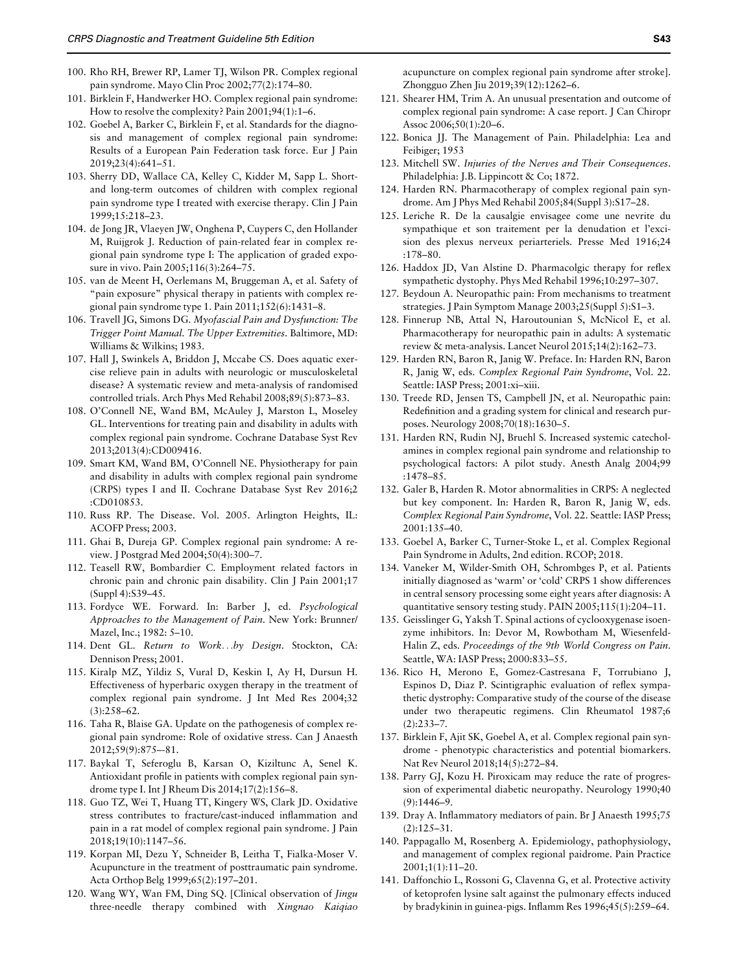- <span id="page-42-0"></span>100. Rho RH, Brewer RP, Lamer TJ, Wilson PR. Complex regional pain syndrome. Mayo Clin Proc 2002;77(2):174–80.
- 101. Birklein F, Handwerker HO. Complex regional pain syndrome: How to resolve the complexity? Pain 2001;94(1):1–6.
- 102. Goebel A, Barker C, Birklein F, et al. Standards for the diagnosis and management of complex regional pain syndrome: Results of a European Pain Federation task force. Eur J Pain 2019;23(4):641–51.
- 103. Sherry DD, Wallace CA, Kelley C, Kidder M, Sapp L. Shortand long-term outcomes of children with complex regional pain syndrome type I treated with exercise therapy. Clin J Pain 1999;15:218–23.
- 104. de Jong JR, Vlaeyen JW, Onghena P, Cuypers C, den Hollander M, Ruijgrok J. Reduction of pain-related fear in complex regional pain syndrome type I: The application of graded exposure in vivo. Pain 2005;116(3):264-75.
- 105. van de Meent H, Oerlemans M, Bruggeman A, et al. Safety of "pain exposure" physical therapy in patients with complex regional pain syndrome type 1. Pain 2011;152(6):1431–8.
- 106. Travell JG, Simons DG. Myofascial Pain and Dysfunction: The Trigger Point Manual. The Upper Extremities. Baltimore, MD: Williams & Wilkins; 1983.
- 107. Hall J, Swinkels A, Briddon J, Mccabe CS. Does aquatic exercise relieve pain in adults with neurologic or musculoskeletal disease? A systematic review and meta-analysis of randomised controlled trials. Arch Phys Med Rehabil 2008;89(5):873–83.
- 108. O'Connell NE, Wand BM, McAuley J, Marston L, Moseley GL. Interventions for treating pain and disability in adults with complex regional pain syndrome. Cochrane Database Syst Rev 2013;2013(4):CD009416.
- 109. Smart KM, Wand BM, O'Connell NE. Physiotherapy for pain and disability in adults with complex regional pain syndrome (CRPS) types I and II. Cochrane Database Syst Rev 2016;2 :CD010853.
- 110. Russ RP. The Disease. Vol. 2005. Arlington Heights, IL: ACOFP Press; 2003.
- 111. Ghai B, Dureja GP. Complex regional pain syndrome: A review. J Postgrad Med 2004;50(4):300–7.
- 112. Teasell RW, Bombardier C. Employment related factors in chronic pain and chronic pain disability. Clin J Pain 2001;17 (Suppl 4):S39–45.
- 113. Fordyce WE. Forward. In: Barber J, ed. Psychological Approaches to the Management of Pain. New York: Brunner/ Mazel, Inc.; 1982: 5–10.
- 114. Dent GL. Return to Work...by Design. Stockton, CA: Dennison Press; 2001.
- 115. Kiralp MZ, Yildiz S, Vural D, Keskin I, Ay H, Dursun H. Effectiveness of hyperbaric oxygen therapy in the treatment of complex regional pain syndrome. J Int Med Res 2004;32 (3):258–62.
- 116. Taha R, Blaise GA. Update on the pathogenesis of complex regional pain syndrome: Role of oxidative stress. Can J Anaesth 2012;59(9):875–-81.
- 117. Baykal T, Seferoglu B, Karsan O, Kiziltunc A, Senel K. Antioxidant profile in patients with complex regional pain syndrome type I. Int J Rheum Dis 2014;17(2):156–8.
- 118. Guo TZ, Wei T, Huang TT, Kingery WS, Clark JD. Oxidative stress contributes to fracture/cast-induced inflammation and pain in a rat model of complex regional pain syndrome. J Pain 2018;19(10):1147–56.
- 119. Korpan MI, Dezu Y, Schneider B, Leitha T, Fialka-Moser V. Acupuncture in the treatment of posttraumatic pain syndrome. Acta Orthop Belg 1999;65(2):197–201.
- 120. Wang WY, Wan FM, Ding SQ. [Clinical observation of *Jingu* three-needle therapy combined with Xingnao Kaiqiao

acupuncture on complex regional pain syndrome after stroke]. Zhongguo Zhen Jiu 2019;39(12):1262–6.

- 121. Shearer HM, Trim A. An unusual presentation and outcome of complex regional pain syndrome: A case report. J Can Chiropr Assoc 2006;50(1):20–6.
- 122. Bonica JJ. The Management of Pain. Philadelphia: Lea and Feibiger; 1953
- 123. Mitchell SW. Injuries of the Nerves and Their Consequences. Philadelphia: J.B. Lippincott & Co; 1872.
- 124. Harden RN. Pharmacotherapy of complex regional pain syndrome. Am J Phys Med Rehabil 2005;84(Suppl 3):S17–28.
- 125. Leriche R. De la causalgie envisagee come une nevrite du sympathique et son traitement per la denudation et l'excision des plexus nerveux periarteriels. Presse Med 1916;24 :178–80.
- 126. Haddox JD, Van Alstine D. Pharmacolgic therapy for reflex sympathetic dystophy. Phys Med Rehabil 1996;10:297–307.
- 127. Beydoun A. Neuropathic pain: From mechanisms to treatment strategies. J Pain Symptom Manage 2003;25(Suppl 5):S1–3.
- 128. Finnerup NB, Attal N, Haroutounian S, McNicol E, et al. Pharmacotherapy for neuropathic pain in adults: A systematic review & meta-analysis. Lancet Neurol 2015;14(2):162–73.
- 129. Harden RN, Baron R, Janig W. Preface. In: Harden RN, Baron R, Janig W, eds. Complex Regional Pain Syndrome, Vol. 22. Seattle: IASP Press; 2001:xi–xiii.
- 130. Treede RD, Jensen TS, Campbell JN, et al. Neuropathic pain: Redefinition and a grading system for clinical and research purposes. Neurology 2008;70(18):1630–5.
- 131. Harden RN, Rudin NJ, Bruehl S. Increased systemic catecholamines in complex regional pain syndrome and relationship to psychological factors: A pilot study. Anesth Analg 2004;99 :1478–85.
- 132. Galer B, Harden R. Motor abnormalities in CRPS: A neglected but key component. In: Harden R, Baron R, Janig W, eds. Complex Regional Pain Syndrome, Vol. 22. Seattle: IASP Press; 2001:135–40.
- 133. Goebel A, Barker C, Turner-Stoke L, et al. Complex Regional Pain Syndrome in Adults, 2nd edition. RCOP; 2018.
- 134. Vaneker M, Wilder-Smith OH, Schrombges P, et al. Patients initially diagnosed as 'warm' or 'cold' CRPS 1 show differences in central sensory processing some eight years after diagnosis: A quantitative sensory testing study. PAIN 2005;115(1):204–11.
- 135. Geisslinger G, Yaksh T. Spinal actions of cyclooxygenase isoenzyme inhibitors. In: Devor M, Rowbotham M, Wiesenfeld-Halin Z, eds. Proceedings of the 9th World Congress on Pain. Seattle, WA: IASP Press; 2000:833–55.
- 136. Rico H, Merono E, Gomez-Castresana F, Torrubiano J, Espinos D, Diaz P. Scintigraphic evaluation of reflex sympathetic dystrophy: Comparative study of the course of the disease under two therapeutic regimens. Clin Rheumatol 1987;6 (2):233–7.
- 137. Birklein F, Ajit SK, Goebel A, et al. Complex regional pain syndrome - phenotypic characteristics and potential biomarkers. Nat Rev Neurol 2018;14(5):272–84.
- 138. Parry GJ, Kozu H. Piroxicam may reduce the rate of progression of experimental diabetic neuropathy. Neurology 1990;40 (9):1446–9.
- 139. Dray A. Inflammatory mediators of pain. Br J Anaesth 1995;75 (2):125–31.
- 140. Pappagallo M, Rosenberg A. Epidemiology, pathophysiology, and management of complex regional paidrome. Pain Practice 2001;1(1):11–20.
- 141. Daffonchio L, Rossoni G, Clavenna G, et al. Protective activity of ketoprofen lysine salt against the pulmonary effects induced by bradykinin in guinea-pigs. Inflamm Res 1996;45(5):259–64.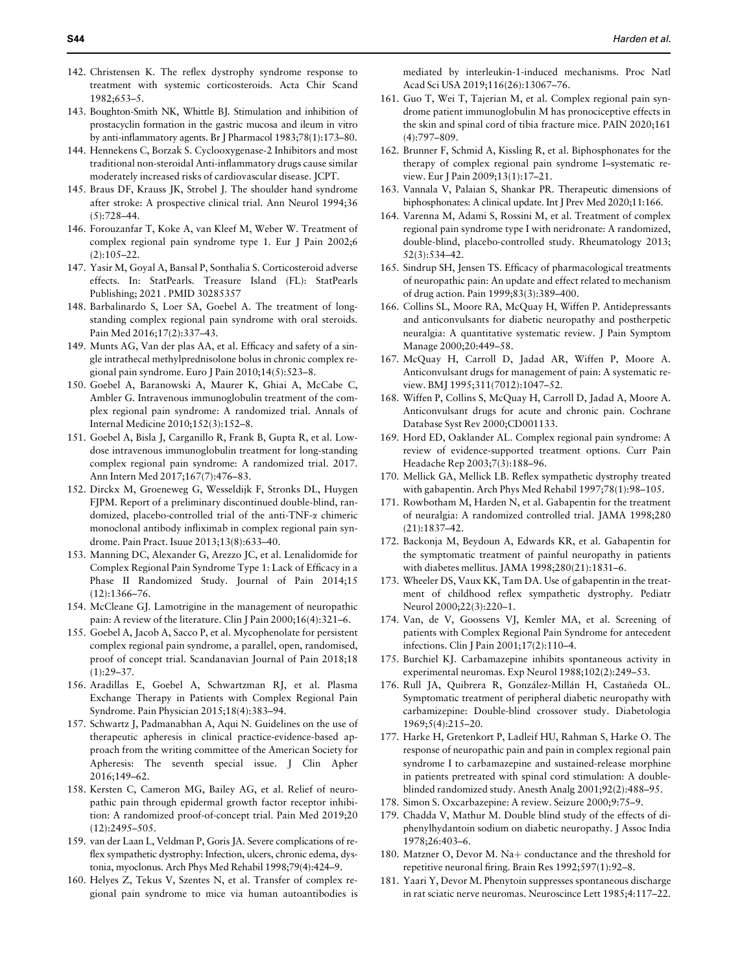- <span id="page-43-0"></span>142. Christensen K. The reflex dystrophy syndrome response to treatment with systemic corticosteroids. Acta Chir Scand 1982;653–5.
- 143. Boughton-Smith NK, Whittle BJ. Stimulation and inhibition of prostacyclin formation in the gastric mucosa and ileum in vitro by anti-inflammatory agents. Br J Pharmacol 1983;78(1):173–80.
- 144. Hennekens C, Borzak S. Cyclooxygenase-2 Inhibitors and most traditional non-steroidal Anti-inflammatory drugs cause similar moderately increased risks of cardiovascular disease. JCPT.
- 145. Braus DF, Krauss JK, Strobel J. The shoulder hand syndrome after stroke: A prospective clinical trial. Ann Neurol 1994;36 (5):728–44.
- 146. Forouzanfar T, Koke A, van Kleef M, Weber W. Treatment of complex regional pain syndrome type 1. Eur J Pain 2002;6 (2):105–22.
- 147. Yasir M, Goyal A, Bansal P, Sonthalia S. Corticosteroid adverse effects. In: StatPearls. Treasure Island (FL): StatPearls Publishing; 2021 . PMID 30285357
- 148. Barbalinardo S, Loer SA, Goebel A. The treatment of longstanding complex regional pain syndrome with oral steroids. Pain Med 2016;17(2):337–43.
- 149. Munts AG, Van der plas AA, et al. Efficacy and safety of a single intrathecal methylprednisolone bolus in chronic complex regional pain syndrome. Euro J Pain 2010;14(5):523–8.
- 150. Goebel A, Baranowski A, Maurer K, Ghiai A, McCabe C, Ambler G. Intravenous immunoglobulin treatment of the complex regional pain syndrome: A randomized trial. Annals of Internal Medicine 2010;152(3):152–8.
- 151. Goebel A, Bisla J, Carganillo R, Frank B, Gupta R, et al. Lowdose intravenous immunoglobulin treatment for long-standing complex regional pain syndrome: A randomized trial. 2017. Ann Intern Med 2017;167(7):476–83.
- 152. Dirckx M, Groeneweg G, Wesseldijk F, Stronks DL, Huygen FJPM. Report of a preliminary discontinued double-blind, randomized, placebo-controlled trial of the anti-TNF-a chimeric monoclonal antibody infliximab in complex regional pain syndrome. Pain Pract. Isuue 2013;13(8):633–40.
- 153. Manning DC, Alexander G, Arezzo JC, et al. Lenalidomide for Complex Regional Pain Syndrome Type 1: Lack of Efficacy in a Phase II Randomized Study. Journal of Pain 2014;15 (12):1366–76.
- 154. McCleane GJ. Lamotrigine in the management of neuropathic pain: A review of the literature. Clin J Pain 2000;16(4):321–6.
- 155. Goebel A, Jacob A, Sacco P, et al. Mycophenolate for persistent complex regional pain syndrome, a parallel, open, randomised, proof of concept trial. Scandanavian Journal of Pain 2018;18 (1):29–37.
- 156. Aradillas E, Goebel A, Schwartzman RJ, et al. Plasma Exchange Therapy in Patients with Complex Regional Pain Syndrome. Pain Physician 2015;18(4):383–94.
- 157. Schwartz J, Padmanabhan A, Aqui N. Guidelines on the use of therapeutic apheresis in clinical practice-evidence-based approach from the writing committee of the American Society for Apheresis: The seventh special issue. J Clin Apher 2016;149–62.
- 158. Kersten C, Cameron MG, Bailey AG, et al. Relief of neuropathic pain through epidermal growth factor receptor inhibition: A randomized proof-of-concept trial. Pain Med 2019;20 (12):2495–505.
- 159. van der Laan L, Veldman P, Goris JA. Severe complications of reflex sympathetic dystrophy: Infection, ulcers, chronic edema, dystonia, myoclonus. Arch Phys Med Rehabil 1998;79(4):424–9.
- 160. Helyes Z, Tekus V, Szentes N, et al. Transfer of complex regional pain syndrome to mice via human autoantibodies is

mediated by interleukin-1-induced mechanisms. Proc Natl Acad Sci USA 2019;116(26):13067–76.

- 161. Guo T, Wei T, Tajerian M, et al. Complex regional pain syndrome patient immunoglobulin M has pronociceptive effects in the skin and spinal cord of tibia fracture mice. PAIN 2020;161 (4):797–809.
- 162. Brunner F, Schmid A, Kissling R, et al. Biphosphonates for the therapy of complex regional pain syndrome I–systematic review. Eur J Pain 2009;13(1):17–21.
- 163. Vannala V, Palaian S, Shankar PR. Therapeutic dimensions of biphosphonates: A clinical update. Int J Prev Med 2020;11:166.
- 164. Varenna M, Adami S, Rossini M, et al. Treatment of complex regional pain syndrome type I with neridronate: A randomized, double-blind, placebo-controlled study. Rheumatology 2013; 52(3):534–42.
- 165. Sindrup SH, Jensen TS. Efficacy of pharmacological treatments of neuropathic pain: An update and effect related to mechanism of drug action. Pain 1999;83(3):389–400.
- 166. Collins SL, Moore RA, McQuay H, Wiffen P. Antidepressants and anticonvulsants for diabetic neuropathy and postherpetic neuralgia: A quantitative systematic review. J Pain Symptom Manage 2000;20:449–58.
- 167. McQuay H, Carroll D, Jadad AR, Wiffen P, Moore A. Anticonvulsant drugs for management of pain: A systematic review. BMJ 1995;311(7012):1047–52.
- 168. Wiffen P, Collins S, McQuay H, Carroll D, Jadad A, Moore A. Anticonvulsant drugs for acute and chronic pain. Cochrane Database Syst Rev 2000;CD001133.
- 169. Hord ED, Oaklander AL. Complex regional pain syndrome: A review of evidence-supported treatment options. Curr Pain Headache Rep 2003;7(3):188–96.
- 170. Mellick GA, Mellick LB. Reflex sympathetic dystrophy treated with gabapentin. Arch Phys Med Rehabil 1997;78(1):98–105.
- 171. Rowbotham M, Harden N, et al. Gabapentin for the treatment of neuralgia: A randomized controlled trial. JAMA 1998;280 (21):1837–42.
- 172. Backonja M, Beydoun A, Edwards KR, et al. Gabapentin for the symptomatic treatment of painful neuropathy in patients with diabetes mellitus. JAMA 1998;280(21):1831–6.
- 173. Wheeler DS, Vaux KK, Tam DA. Use of gabapentin in the treatment of childhood reflex sympathetic dystrophy. Pediatr Neurol 2000;22(3):220–1.
- 174. Van, de V, Goossens VJ, Kemler MA, et al. Screening of patients with Complex Regional Pain Syndrome for antecedent infections. Clin J Pain 2001;17(2):110–4.
- 175. Burchiel KJ. Carbamazepine inhibits spontaneous activity in experimental neuromas. Exp Neurol 1988;102(2):249–53.
- 176. Rull JA, Quibrera R, González-Millán H, Castañeda OL. Symptomatic treatment of peripheral diabetic neuropathy with carbamizepine: Double-blind crossover study. Diabetologia 1969;5(4):215–20.
- 177. Harke H, Gretenkort P, Ladleif HU, Rahman S, Harke O. The response of neuropathic pain and pain in complex regional pain syndrome I to carbamazepine and sustained-release morphine in patients pretreated with spinal cord stimulation: A doubleblinded randomized study. Anesth Analg 2001;92(2):488–95.
- 178. Simon S. Oxcarbazepine: A review. Seizure 2000;9:75–9.
- 179. Chadda V, Mathur M. Double blind study of the effects of diphenylhydantoin sodium on diabetic neuropathy. J Assoc India 1978;26:403–6.
- 180. Matzner O, Devor M. Na+ conductance and the threshold for repetitive neuronal firing. Brain Res 1992;597(1):92–8.
- 181. Yaari Y, Devor M. Phenytoin suppresses spontaneous discharge in rat sciatic nerve neuromas. Neuroscince Lett 1985;4:117–22.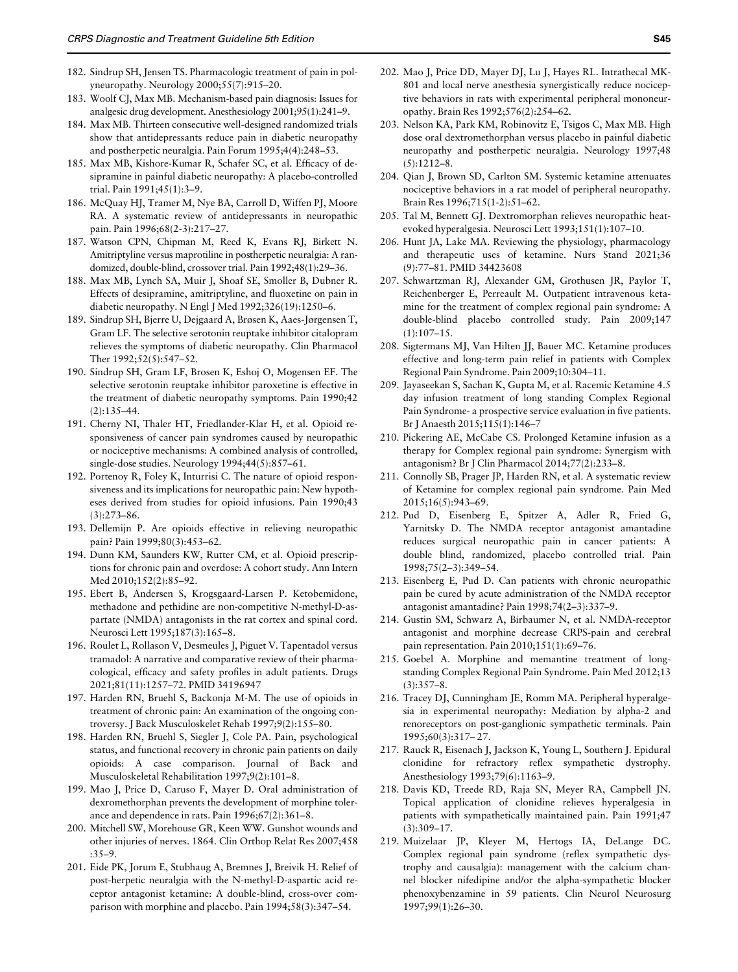<span id="page-44-0"></span>182. Sindrup SH, Jensen TS. Pharmacologic treatment of pain in polyneuropathy. Neurology 2000;55(7):915–20.

- 183. Woolf CJ, Max MB. Mechanism-based pain diagnosis: Issues for analgesic drug development. Anesthesiology 2001;95(1):241–9.
- 184. Max MB. Thirteen consecutive well-designed randomized trials show that antidepressants reduce pain in diabetic neuropathy and postherpetic neuralgia. Pain Forum 1995;4(4):248–53.
- 185. Max MB, Kishore-Kumar R, Schafer SC, et al. Efficacy of desipramine in painful diabetic neuropathy: A placebo-controlled trial. Pain 1991;45(1):3–9.
- 186. McQuay HJ, Tramer M, Nye BA, Carroll D, Wiffen PJ, Moore RA. A systematic review of antidepressants in neuropathic pain. Pain 1996;68(2-3):217–27.
- 187. Watson CPN, Chipman M, Reed K, Evans RJ, Birkett N. Amitriptyline versus maprotiline in postherpetic neuralgia: A randomized, double-blind, crossover trial. Pain 1992;48(1):29–36.
- 188. Max MB, Lynch SA, Muir J, Shoaf SE, Smoller B, Dubner R. Effects of desipramine, amitriptyline, and fluoxetine on pain in diabetic neuropathy. N Engl J Med 1992;326(19):1250–6.
- 189. Sindrup SH, Bjerre U, Dejgaard A, Brøsen K, Aaes-Jørgensen T, Gram LF. The selective serotonin reuptake inhibitor citalopram relieves the symptoms of diabetic neuropathy. Clin Pharmacol Ther 1992;52(5):547–52.
- 190. Sindrup SH, Gram LF, Brosen K, Eshoj O, Mogensen EF. The selective serotonin reuptake inhibitor paroxetine is effective in the treatment of diabetic neuropathy symptoms. Pain 1990;42  $(2):135-44.$
- 191. Cherny NI, Thaler HT, Friedlander-Klar H, et al. Opioid responsiveness of cancer pain syndromes caused by neuropathic or nociceptive mechanisms: A combined analysis of controlled, single-dose studies. Neurology 1994;44(5):857–61.
- 192. Portenoy R, Foley K, Inturrisi C. The nature of opioid responsiveness and its implications for neuropathic pain: New hypotheses derived from studies for opioid infusions. Pain 1990;43 (3):273–86.
- 193. Dellemijn P. Are opioids effective in relieving neuropathic pain? Pain 1999;80(3):453–62.
- 194. Dunn KM, Saunders KW, Rutter CM, et al. Opioid prescriptions for chronic pain and overdose: A cohort study. Ann Intern Med 2010;152(2):85–92.
- 195. Ebert B, Andersen S, Krogsgaard-Larsen P. Ketobemidone, methadone and pethidine are non-competitive N-methyl-D-aspartate (NMDA) antagonists in the rat cortex and spinal cord. Neurosci Lett 1995;187(3):165–8.
- 196. Roulet L, Rollason V, Desmeules J, Piguet V. Tapentadol versus tramadol: A narrative and comparative review of their pharmacological, efficacy and safety profiles in adult patients. Drugs 2021;81(11):1257–72. PMID 34196947
- 197. Harden RN, Bruehl S, Backonja M-M. The use of opioids in treatment of chronic pain: An examination of the ongoing controversy. J Back Musculoskelet Rehab 1997;9(2):155–80.
- 198. Harden RN, Bruehl S, Siegler J, Cole PA. Pain, psychological status, and functional recovery in chronic pain patients on daily opioids: A case comparison. Journal of Back and Musculoskeletal Rehabilitation 1997;9(2):101–8.
- 199. Mao J, Price D, Caruso F, Mayer D. Oral administration of dexromethorphan prevents the development of morphine tolerance and dependence in rats. Pain 1996;67(2):361–8.
- 200. Mitchell SW, Morehouse GR, Keen WW. Gunshot wounds and other injuries of nerves. 1864. Clin Orthop Relat Res 2007;458 :35–9.
- 201. Eide PK, Jorum E, Stubhaug A, Bremnes J, Breivik H. Relief of post-herpetic neuralgia with the N-methyl-D-aspartic acid receptor antagonist ketamine: A double-blind, cross-over comparison with morphine and placebo. Pain 1994;58(3):347–54.
- 202. Mao J, Price DD, Mayer DJ, Lu J, Hayes RL. Intrathecal MK-801 and local nerve anesthesia synergistically reduce nociceptive behaviors in rats with experimental peripheral mononeuropathy. Brain Res 1992;576(2):254–62.
- 203. Nelson KA, Park KM, Robinovitz E, Tsigos C, Max MB. High dose oral dextromethorphan versus placebo in painful diabetic neuropathy and postherpetic neuralgia. Neurology 1997;48 (5):1212–8.
- 204. Qian J, Brown SD, Carlton SM. Systemic ketamine attenuates nociceptive behaviors in a rat model of peripheral neuropathy. Brain Res 1996;715(1-2):51–62.
- 205. Tal M, Bennett GJ. Dextromorphan relieves neuropathic heatevoked hyperalgesia. Neurosci Lett 1993;151(1):107–10.
- 206. Hunt JA, Lake MA. Reviewing the physiology, pharmacology and therapeutic uses of ketamine. Nurs Stand 2021;36 (9):77–81. PMID 34423608
- 207. Schwartzman RJ, Alexander GM, Grothusen JR, Paylor T, Reichenberger E, Perreault M. Outpatient intravenous ketamine for the treatment of complex regional pain syndrome: A double-blind placebo controlled study. Pain 2009;147  $(1):107-15.$
- 208. Sigtermans MJ, Van Hilten JJ, Bauer MC. Ketamine produces effective and long-term pain relief in patients with Complex Regional Pain Syndrome. Pain 2009;10:304–11.
- 209. Jayaseekan S, Sachan K, Gupta M, et al. Racemic Ketamine 4.5 day infusion treatment of long standing Complex Regional Pain Syndrome- a prospective service evaluation in five patients. Br J Anaesth 2015;115(1):146–7
- 210. Pickering AE, McCabe CS. Prolonged Ketamine infusion as a therapy for Complex regional pain syndrome: Synergism with antagonism? Br J Clin Pharmacol 2014;77(2):233–8.
- 211. Connolly SB, Prager JP, Harden RN, et al. A systematic review of Ketamine for complex regional pain syndrome. Pain Med 2015;16(5):943–69.
- 212. Pud D, Eisenberg E, Spitzer A, Adler R, Fried G, Yarnitsky D. The NMDA receptor antagonist amantadine reduces surgical neuropathic pain in cancer patients: A double blind, randomized, placebo controlled trial. Pain 1998;75(2–3):349–54.
- 213. Eisenberg E, Pud D. Can patients with chronic neuropathic pain be cured by acute administration of the NMDA receptor antagonist amantadine? Pain 1998;74(2–3):337–9.
- 214. Gustin SM, Schwarz A, Birbaumer N, et al. NMDA-receptor antagonist and morphine decrease CRPS-pain and cerebral pain representation. Pain 2010;151(1):69–76.
- 215. Goebel A. Morphine and memantine treatment of longstanding Complex Regional Pain Syndrome. Pain Med 2012;13 (3):357–8.
- 216. Tracey DJ, Cunningham JE, Romm MA. Peripheral hyperalgesia in experimental neuropathy: Mediation by alpha-2 and renoreceptors on post-ganglionic sympathetic terminals. Pain 1995;60(3):317– 27.
- 217. Rauck R, Eisenach J, Jackson K, Young L, Southern J. Epidural clonidine for refractory reflex sympathetic dystrophy. Anesthesiology 1993;79(6):1163–9.
- 218. Davis KD, Treede RD, Raja SN, Meyer RA, Campbell JN. Topical application of clonidine relieves hyperalgesia in patients with sympathetically maintained pain. Pain 1991;47 (3):309–17.
- 219. Muizelaar JP, Kleyer M, Hertogs IA, DeLange DC. Complex regional pain syndrome (reflex sympathetic dystrophy and causalgia): management with the calcium channel blocker nifedipine and/or the alpha-sympathetic blocker phenoxybenzamine in 59 patients. Clin Neurol Neurosurg 1997;99(1):26–30.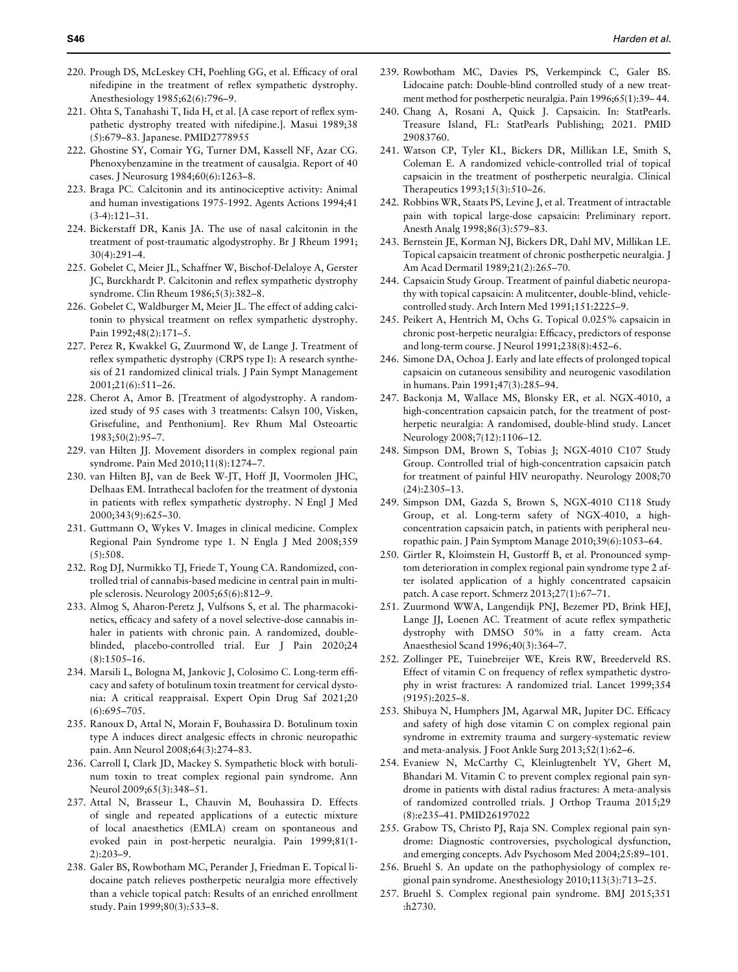- <span id="page-45-0"></span>220. Prough DS, McLeskey CH, Poehling GG, et al. Efficacy of oral nifedipine in the treatment of reflex sympathetic dystrophy. Anesthesiology 1985;62(6):796–9.
- 221. Ohta S, Tanahashi T, Iida H, et al. [A case report of reflex sympathetic dystrophy treated with nifedipine.]. Masui 1989;38 (5):679–83. Japanese. PMID2778955
- 222. Ghostine SY, Comair YG, Turner DM, Kassell NF, Azar CG. Phenoxybenzamine in the treatment of causalgia. Report of 40 cases. J Neurosurg 1984;60(6):1263–8.
- 223. Braga PC. Calcitonin and its antinociceptive activity: Animal and human investigations 1975-1992. Agents Actions 1994;41 (3-4):121–31.
- 224. Bickerstaff DR, Kanis JA. The use of nasal calcitonin in the treatment of post-traumatic algodystrophy. Br J Rheum 1991; 30(4):291–4.
- 225. Gobelet C, Meier JL, Schaffner W, Bischof-Delaloye A, Gerster JC, Burckhardt P. Calcitonin and reflex sympathetic dystrophy syndrome. Clin Rheum 1986;5(3):382–8.
- 226. Gobelet C, Waldburger M, Meier JL. The effect of adding calcitonin to physical treatment on reflex sympathetic dystrophy. Pain 1992;48(2):171–5.
- 227. Perez R, Kwakkel G, Zuurmond W, de Lange J. Treatment of reflex sympathetic dystrophy (CRPS type I): A research synthesis of 21 randomized clinical trials. J Pain Sympt Management 2001;21(6):511–26.
- 228. Cherot A, Amor B. [Treatment of algodystrophy. A randomized study of 95 cases with 3 treatments: Calsyn 100, Visken, Grisefuline, and Penthonium]. Rev Rhum Mal Osteoartic 1983;50(2):95–7.
- 229. van Hilten JJ. Movement disorders in complex regional pain syndrome. Pain Med 2010;11(8):1274–7.
- 230. van Hilten BJ, van de Beek W-JT, Hoff JI, Voormolen JHC, Delhaas EM. Intrathecal baclofen for the treatment of dystonia in patients with reflex sympathetic dystrophy. N Engl J Med 2000;343(9):625–30.
- 231. Guttmann O, Wykes V. Images in clinical medicine. Complex Regional Pain Syndrome type 1. N Engla J Med 2008;359 (5):508.
- 232. Rog DJ, Nurmikko TJ, Friede T, Young CA. Randomized, controlled trial of cannabis-based medicine in central pain in multiple sclerosis. Neurology 2005;65(6):812–9.
- 233. Almog S, Aharon-Peretz J, Vulfsons S, et al. The pharmacokinetics, efficacy and safety of a novel selective-dose cannabis inhaler in patients with chronic pain. A randomized, doubleblinded, placebo-controlled trial. Eur J Pain 2020;24 (8):1505–16.
- 234. Marsili L, Bologna M, Jankovic J, Colosimo C. Long-term efficacy and safety of botulinum toxin treatment for cervical dystonia: A critical reappraisal. Expert Opin Drug Saf 2021;20 (6):695–705.
- 235. Ranoux D, Attal N, Morain F, Bouhassira D. Botulinum toxin type A induces direct analgesic effects in chronic neuropathic pain. Ann Neurol 2008;64(3):274–83.
- 236. Carroll I, Clark JD, Mackey S. Sympathetic block with botulinum toxin to treat complex regional pain syndrome. Ann Neurol 2009;65(3):348–51.
- 237. Attal N, Brasseur L, Chauvin M, Bouhassira D. Effects of single and repeated applications of a eutectic mixture of local anaesthetics (EMLA) cream on spontaneous and evoked pain in post-herpetic neuralgia. Pain 1999;81(1- 2):203–9.
- 238. Galer BS, Rowbotham MC, Perander J, Friedman E. Topical lidocaine patch relieves postherpetic neuralgia more effectively than a vehicle topical patch: Results of an enriched enrollment study. Pain 1999;80(3):533–8.
- 239. Rowbotham MC, Davies PS, Verkempinck C, Galer BS. Lidocaine patch: Double-blind controlled study of a new treatment method for postherpetic neuralgia. Pain 1996;65(1):39– 44.
- 240. Chang A, Rosani A, Quick J. Capsaicin. In: StatPearls. Treasure Island, FL: StatPearls Publishing; 2021. PMID 29083760.
- 241. Watson CP, Tyler KL, Bickers DR, Millikan LE, Smith S, Coleman E. A randomized vehicle-controlled trial of topical capsaicin in the treatment of postherpetic neuralgia. Clinical Therapeutics 1993;15(3):510–26.
- 242. Robbins WR, Staats PS, Levine J, et al. Treatment of intractable pain with topical large-dose capsaicin: Preliminary report. Anesth Analg 1998;86(3):579–83.
- 243. Bernstein JE, Korman NJ, Bickers DR, Dahl MV, Millikan LE. Topical capsaicin treatment of chronic postherpetic neuralgia. J Am Acad Dermatil 1989;21(2):265–70.
- 244. Capsaicin Study Group. Treatment of painful diabetic neuropathy with topical capsaicin: A mulitcenter, double-blind, vehiclecontrolled study. Arch Intern Med 1991;151:2225–9.
- 245. Peikert A, Hentrich M, Ochs G. Topical 0.025% capsaicin in chronic post-herpetic neuralgia: Efficacy, predictors of response and long-term course. J Neurol 1991;238(8):452–6.
- 246. Simone DA, Ochoa J. Early and late effects of prolonged topical capsaicin on cutaneous sensibility and neurogenic vasodilation in humans. Pain 1991;47(3):285–94.
- 247. Backonja M, Wallace MS, Blonsky ER, et al. NGX-4010, a high-concentration capsaicin patch, for the treatment of postherpetic neuralgia: A randomised, double-blind study. Lancet Neurology 2008;7(12):1106–12.
- 248. Simpson DM, Brown S, Tobias J; NGX-4010 C107 Study Group. Controlled trial of high-concentration capsaicin patch for treatment of painful HIV neuropathy. Neurology 2008;70 (24):2305–13.
- 249. Simpson DM, Gazda S, Brown S, NGX-4010 C118 Study Group, et al. Long-term safety of NGX-4010, a highconcentration capsaicin patch, in patients with peripheral neuropathic pain. J Pain Symptom Manage 2010;39(6):1053–64.
- 250. Girtler R, Kloimstein H, Gustorff B, et al. Pronounced symptom deterioration in complex regional pain syndrome type 2 after isolated application of a highly concentrated capsaicin patch. A case report. Schmerz 2013;27(1):67–71.
- 251. Zuurmond WWA, Langendijk PNJ, Bezemer PD, Brink HEJ, Lange JJ, Loenen AC. Treatment of acute reflex sympathetic dystrophy with DMSO 50% in a fatty cream. Acta Anaesthesiol Scand 1996;40(3):364–7.
- 252. Zollinger PE, Tuinebreijer WE, Kreis RW, Breederveld RS. Effect of vitamin C on frequency of reflex sympathetic dystrophy in wrist fractures: A randomized trial. Lancet 1999;354 (9195):2025–8.
- 253. Shibuya N, Humphers JM, Agarwal MR, Jupiter DC. Efficacy and safety of high dose vitamin C on complex regional pain syndrome in extremity trauma and surgery-systematic review and meta-analysis. J Foot Ankle Surg 2013;52(1):62–6.
- 254. Evaniew N, McCarthy C, Kleinlugtenbelt YV, Ghert M, Bhandari M. Vitamin C to prevent complex regional pain syndrome in patients with distal radius fractures: A meta-analysis of randomized controlled trials. J Orthop Trauma 2015;29 (8):e235–41. PMID26197022
- 255. Grabow TS, Christo PJ, Raja SN. Complex regional pain syndrome: Diagnostic controversies, psychological dysfunction, and emerging concepts. Adv Psychosom Med 2004;25:89–101.
- 256. Bruehl S. An update on the pathophysiology of complex regional pain syndrome. Anesthesiology 2010;113(3):713–25.
- 257. Bruehl S. Complex regional pain syndrome. BMJ 2015;351 :h2730.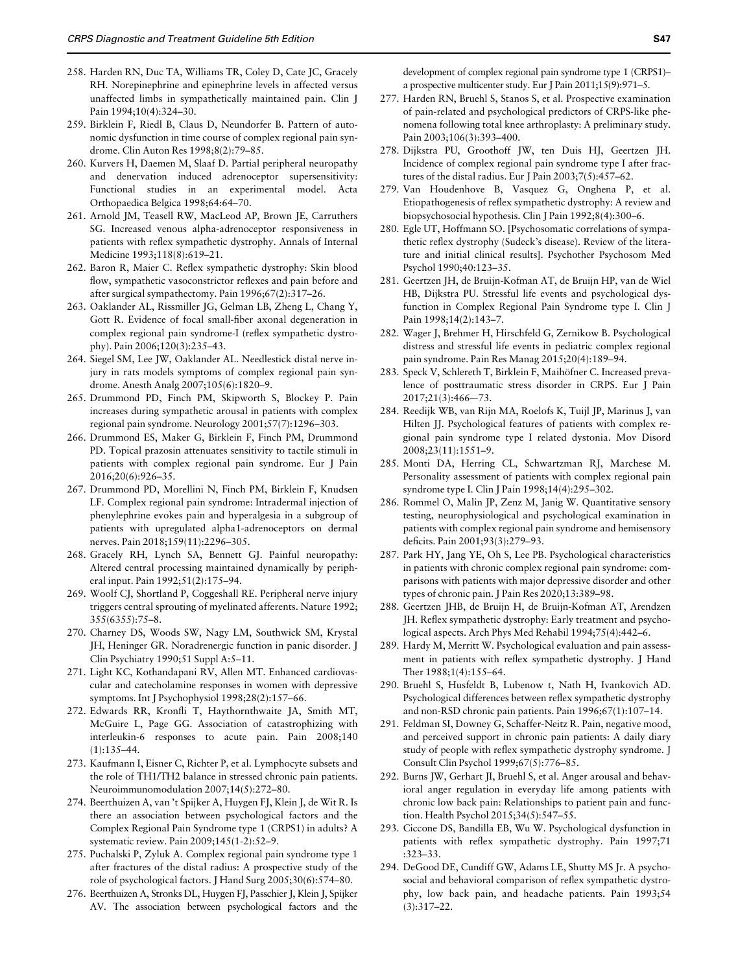- <span id="page-46-0"></span>258. Harden RN, Duc TA, Williams TR, Coley D, Cate JC, Gracely RH. Norepinephrine and epinephrine levels in affected versus unaffected limbs in sympathetically maintained pain. Clin J Pain 1994;10(4):324–30.
- 259. Birklein F, Riedl B, Claus D, Neundorfer B. Pattern of autonomic dysfunction in time course of complex regional pain syndrome. Clin Auton Res 1998;8(2):79–85.
- 260. Kurvers H, Daemen M, Slaaf D. Partial peripheral neuropathy and denervation induced adrenoceptor supersensitivity: Functional studies in an experimental model. Acta Orthopaedica Belgica 1998;64:64–70.
- 261. Arnold JM, Teasell RW, MacLeod AP, Brown JE, Carruthers SG. Increased venous alpha-adrenoceptor responsiveness in patients with reflex sympathetic dystrophy. Annals of Internal Medicine 1993;118(8):619–21.
- 262. Baron R, Maier C. Reflex sympathetic dystrophy: Skin blood flow, sympathetic vasoconstrictor reflexes and pain before and after surgical sympathectomy. Pain 1996;67(2):317–26.
- 263. Oaklander AL, Rissmiller JG, Gelman LB, Zheng L, Chang Y, Gott R. Evidence of focal small-fiber axonal degeneration in complex regional pain syndrome-I (reflex sympathetic dystrophy). Pain 2006;120(3):235–43.
- 264. Siegel SM, Lee JW, Oaklander AL. Needlestick distal nerve injury in rats models symptoms of complex regional pain syndrome. Anesth Analg 2007;105(6):1820–9.
- 265. Drummond PD, Finch PM, Skipworth S, Blockey P. Pain increases during sympathetic arousal in patients with complex regional pain syndrome. Neurology 2001;57(7):1296–303.
- 266. Drummond ES, Maker G, Birklein F, Finch PM, Drummond PD. Topical prazosin attenuates sensitivity to tactile stimuli in patients with complex regional pain syndrome. Eur J Pain 2016;20(6):926–35.
- 267. Drummond PD, Morellini N, Finch PM, Birklein F, Knudsen LF. Complex regional pain syndrome: Intradermal injection of phenylephrine evokes pain and hyperalgesia in a subgroup of patients with upregulated alpha1-adrenoceptors on dermal nerves. Pain 2018;159(11):2296–305.
- 268. Gracely RH, Lynch SA, Bennett GJ. Painful neuropathy: Altered central processing maintained dynamically by peripheral input. Pain 1992;51(2):175–94.
- 269. Woolf CJ, Shortland P, Coggeshall RE. Peripheral nerve injury triggers central sprouting of myelinated afferents. Nature 1992; 355(6355):75–8.
- 270. Charney DS, Woods SW, Nagy LM, Southwick SM, Krystal JH, Heninger GR. Noradrenergic function in panic disorder. J Clin Psychiatry 1990;51 Suppl A:5–11.
- 271. Light KC, Kothandapani RV, Allen MT. Enhanced cardiovascular and catecholamine responses in women with depressive symptoms. Int J Psychophysiol 1998;28(2):157–66.
- 272. Edwards RR, Kronfli T, Haythornthwaite JA, Smith MT, McGuire L, Page GG. Association of catastrophizing with interleukin-6 responses to acute pain. Pain 2008;140  $(1):135-44.$
- 273. Kaufmann I, Eisner C, Richter P, et al. Lymphocyte subsets and the role of TH1/TH2 balance in stressed chronic pain patients. Neuroimmunomodulation 2007;14(5):272–80.
- 274. Beerthuizen A, van 't Spijker A, Huygen FJ, Klein J, de Wit R. Is there an association between psychological factors and the Complex Regional Pain Syndrome type 1 (CRPS1) in adults? A systematic review. Pain 2009;145(1-2):52–9.
- 275. Puchalski P, Zyluk A. Complex regional pain syndrome type 1 after fractures of the distal radius: A prospective study of the role of psychological factors. J Hand Surg 2005;30(6):574–80.
- 276. Beerthuizen A, Stronks DL, Huygen FJ, Passchier J, Klein J, Spijker AV. The association between psychological factors and the
- 277. Harden RN, Bruehl S, Stanos S, et al. Prospective examination of pain-related and psychological predictors of CRPS-like phenomena following total knee arthroplasty: A preliminary study. Pain 2003;106(3):393–400.
- 278. Dijkstra PU, Groothoff JW, ten Duis HJ, Geertzen JH. Incidence of complex regional pain syndrome type I after fractures of the distal radius. Eur J Pain 2003;7(5):457–62.
- 279. Van Houdenhove B, Vasquez G, Onghena P, et al. Etiopathogenesis of reflex sympathetic dystrophy: A review and biopsychosocial hypothesis. Clin J Pain 1992;8(4):300–6.
- 280. Egle UT, Hoffmann SO. [Psychosomatic correlations of sympathetic reflex dystrophy (Sudeck's disease). Review of the literature and initial clinical results]. Psychother Psychosom Med Psychol 1990;40:123–35.
- 281. Geertzen JH, de Bruijn-Kofman AT, de Bruijn HP, van de Wiel HB, Dijkstra PU. Stressful life events and psychological dysfunction in Complex Regional Pain Syndrome type I. Clin J Pain 1998;14(2):143–7.
- 282. Wager J, Brehmer H, Hirschfeld G, Zernikow B. Psychological distress and stressful life events in pediatric complex regional pain syndrome. Pain Res Manag 2015;20(4):189–94.
- 283. Speck V, Schlereth T, Birklein F, Maihöfner C. Increased prevalence of posttraumatic stress disorder in CRPS. Eur J Pain 2017;21(3):466–-73.
- 284. Reedijk WB, van Rijn MA, Roelofs K, Tuijl JP, Marinus J, van Hilten JJ. Psychological features of patients with complex regional pain syndrome type I related dystonia. Mov Disord 2008;23(11):1551–9.
- 285. Monti DA, Herring CL, Schwartzman RJ, Marchese M. Personality assessment of patients with complex regional pain syndrome type I. Clin J Pain 1998;14(4):295–302.
- 286. Rommel O, Malin JP, Zenz M, Janig W. Quantitative sensory testing, neurophysiological and psychological examination in patients with complex regional pain syndrome and hemisensory deficits. Pain 2001;93(3):279–93.
- 287. Park HY, Jang YE, Oh S, Lee PB. Psychological characteristics in patients with chronic complex regional pain syndrome: comparisons with patients with major depressive disorder and other types of chronic pain. J Pain Res 2020;13:389–98.
- 288. Geertzen JHB, de Bruijn H, de Bruijn-Kofman AT, Arendzen JH. Reflex sympathetic dystrophy: Early treatment and psychological aspects. Arch Phys Med Rehabil 1994;75(4):442–6.
- 289. Hardy M, Merritt W. Psychological evaluation and pain assessment in patients with reflex sympathetic dystrophy. J Hand Ther 1988;1(4):155–64.
- 290. Bruehl S, Husfeldt B, Lubenow t, Nath H, Ivankovich AD. Psychological differences between reflex sympathetic dystrophy and non-RSD chronic pain patients. Pain 1996;67(1):107–14.
- 291. Feldman SI, Downey G, Schaffer-Neitz R. Pain, negative mood, and perceived support in chronic pain patients: A daily diary study of people with reflex sympathetic dystrophy syndrome. J Consult Clin Psychol 1999;67(5):776–85.
- 292. Burns JW, Gerhart JI, Bruehl S, et al. Anger arousal and behavioral anger regulation in everyday life among patients with chronic low back pain: Relationships to patient pain and function. Health Psychol 2015;34(5):547–55.
- 293. Ciccone DS, Bandilla EB, Wu W. Psychological dysfunction in patients with reflex sympathetic dystrophy. Pain 1997;71 :323–33.
- 294. DeGood DE, Cundiff GW, Adams LE, Shutty MS Jr. A psychosocial and behavioral comparison of reflex sympathetic dystrophy, low back pain, and headache patients. Pain 1993;54 (3):317–22.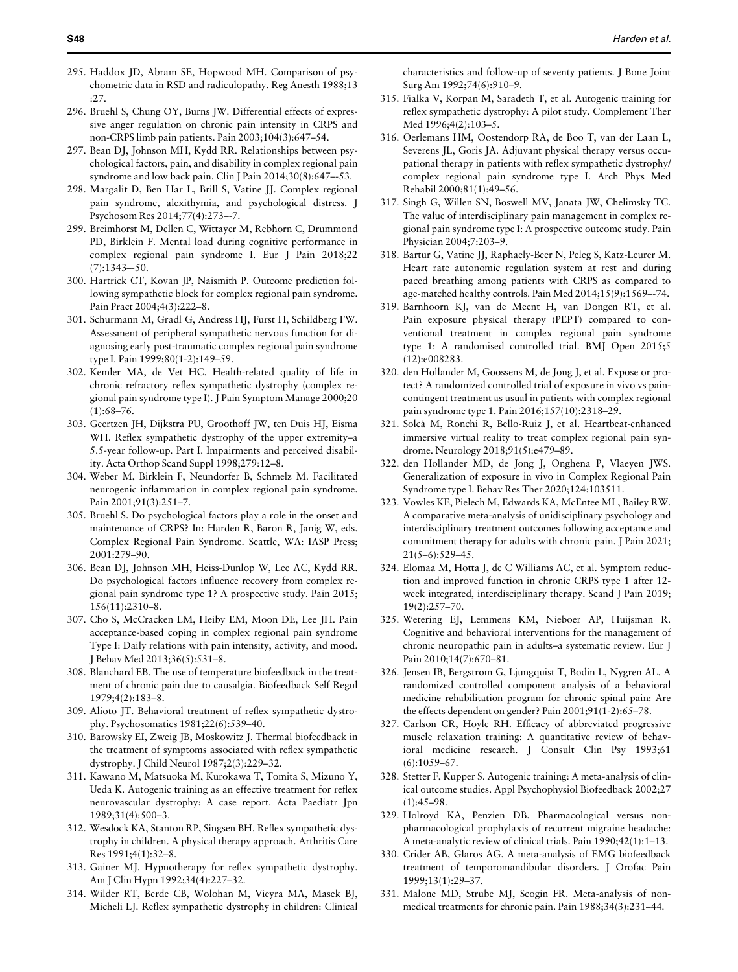- <span id="page-47-0"></span>295. Haddox JD, Abram SE, Hopwood MH. Comparison of psychometric data in RSD and radiculopathy. Reg Anesth 1988;13 :27.
- 296. Bruehl S, Chung OY, Burns JW. Differential effects of expressive anger regulation on chronic pain intensity in CRPS and non-CRPS limb pain patients. Pain 2003;104(3):647–54.
- 297. Bean DJ, Johnson MH, Kydd RR. Relationships between psychological factors, pain, and disability in complex regional pain syndrome and low back pain. Clin J Pain 2014;30(8):647–-53.
- 298. Margalit D, Ben Har L, Brill S, Vatine JJ. Complex regional pain syndrome, alexithymia, and psychological distress. J Psychosom Res 2014;77(4):273–-7.
- 299. Breimhorst M, Dellen C, Wittayer M, Rebhorn C, Drummond PD, Birklein F. Mental load during cognitive performance in complex regional pain syndrome I. Eur J Pain 2018;22 (7):1343–-50.
- 300. Hartrick CT, Kovan JP, Naismith P. Outcome prediction following sympathetic block for complex regional pain syndrome. Pain Pract 2004;4(3):222–8.
- 301. Schurmann M, Gradl G, Andress HJ, Furst H, Schildberg FW. Assessment of peripheral sympathetic nervous function for diagnosing early post-traumatic complex regional pain syndrome type I. Pain 1999;80(1-2):149–59.
- 302. Kemler MA, de Vet HC. Health-related quality of life in chronic refractory reflex sympathetic dystrophy (complex regional pain syndrome type I). J Pain Symptom Manage 2000;20  $(1):68-76.$
- 303. Geertzen JH, Dijkstra PU, Groothoff JW, ten Duis HJ, Eisma WH. Reflex sympathetic dystrophy of the upper extremity–a 5.5-year follow-up. Part I. Impairments and perceived disability. Acta Orthop Scand Suppl 1998;279:12–8.
- 304. Weber M, Birklein F, Neundorfer B, Schmelz M. Facilitated neurogenic inflammation in complex regional pain syndrome. Pain 2001;91(3):251–7.
- 305. Bruehl S. Do psychological factors play a role in the onset and maintenance of CRPS? In: Harden R, Baron R, Janig W, eds. Complex Regional Pain Syndrome. Seattle, WA: IASP Press; 2001:279–90.
- 306. Bean DJ, Johnson MH, Heiss-Dunlop W, Lee AC, Kydd RR. Do psychological factors influence recovery from complex regional pain syndrome type 1? A prospective study. Pain 2015; 156(11):2310–8.
- 307. Cho S, McCracken LM, Heiby EM, Moon DE, Lee JH. Pain acceptance-based coping in complex regional pain syndrome Type I: Daily relations with pain intensity, activity, and mood. J Behav Med 2013;36(5):531–8.
- 308. Blanchard EB. The use of temperature biofeedback in the treatment of chronic pain due to causalgia. Biofeedback Self Regul 1979;4(2):183–8.
- 309. Alioto JT. Behavioral treatment of reflex sympathetic dystrophy. Psychosomatics 1981;22(6):539–40.
- 310. Barowsky EI, Zweig JB, Moskowitz J. Thermal biofeedback in the treatment of symptoms associated with reflex sympathetic dystrophy. J Child Neurol 1987;2(3):229–32.
- 311. Kawano M, Matsuoka M, Kurokawa T, Tomita S, Mizuno Y, Ueda K. Autogenic training as an effective treatment for reflex neurovascular dystrophy: A case report. Acta Paediatr Jpn 1989;31(4):500–3.
- 312. Wesdock KA, Stanton RP, Singsen BH. Reflex sympathetic dystrophy in children. A physical therapy approach. Arthritis Care Res 1991;4(1):32–8.
- 313. Gainer MJ. Hypnotherapy for reflex sympathetic dystrophy. Am J Clin Hypn 1992;34(4):227–32.
- 314. Wilder RT, Berde CB, Wolohan M, Vieyra MA, Masek BJ, Micheli LJ. Reflex sympathetic dystrophy in children: Clinical

characteristics and follow-up of seventy patients. J Bone Joint Surg Am 1992;74(6):910–9.

- 315. Fialka V, Korpan M, Saradeth T, et al. Autogenic training for reflex sympathetic dystrophy: A pilot study. Complement Ther Med 1996;4(2):103–5.
- 316. Oerlemans HM, Oostendorp RA, de Boo T, van der Laan L, Severens JL, Goris JA. Adjuvant physical therapy versus occupational therapy in patients with reflex sympathetic dystrophy/ complex regional pain syndrome type I. Arch Phys Med Rehabil 2000;81(1):49–56.
- 317. Singh G, Willen SN, Boswell MV, Janata JW, Chelimsky TC. The value of interdisciplinary pain management in complex regional pain syndrome type I: A prospective outcome study. Pain Physician 2004;7:203–9.
- 318. Bartur G, Vatine JJ, Raphaely-Beer N, Peleg S, Katz-Leurer M. Heart rate autonomic regulation system at rest and during paced breathing among patients with CRPS as compared to age-matched healthy controls. Pain Med 2014;15(9):1569–-74.
- 319. Barnhoorn KJ, van de Meent H, van Dongen RT, et al. Pain exposure physical therapy (PEPT) compared to conventional treatment in complex regional pain syndrome type 1: A randomised controlled trial. BMJ Open 2015;5 (12):e008283.
- 320. den Hollander M, Goossens M, de Jong J, et al. Expose or protect? A randomized controlled trial of exposure in vivo vs paincontingent treatment as usual in patients with complex regional pain syndrome type 1. Pain 2016;157(10):2318–29.
- 321. Solca M, Ronchi R, Bello-Ruiz J, et al. Heartbeat-enhanced immersive virtual reality to treat complex regional pain syndrome. Neurology 2018;91(5):e479–89.
- 322. den Hollander MD, de Jong J, Onghena P, Vlaeyen JWS. Generalization of exposure in vivo in Complex Regional Pain Syndrome type I. Behav Res Ther 2020;124:103511.
- 323. Vowles KE, Pielech M, Edwards KA, McEntee ML, Bailey RW. A comparative meta-analysis of unidisciplinary psychology and interdisciplinary treatment outcomes following acceptance and commitment therapy for adults with chronic pain. J Pain 2021; 21(5–6):529–45.
- 324. Elomaa M, Hotta J, de C Williams AC, et al. Symptom reduction and improved function in chronic CRPS type 1 after 12 week integrated, interdisciplinary therapy. Scand J Pain 2019; 19(2):257–70.
- 325. Wetering EJ, Lemmens KM, Nieboer AP, Huijsman R. Cognitive and behavioral interventions for the management of chronic neuropathic pain in adults–a systematic review. Eur J Pain 2010;14(7):670–81.
- 326. Jensen IB, Bergstrom G, Ljungquist T, Bodin L, Nygren AL. A randomized controlled component analysis of a behavioral medicine rehabilitation program for chronic spinal pain: Are the effects dependent on gender? Pain 2001;91(1-2):65–78.
- 327. Carlson CR, Hoyle RH. Efficacy of abbreviated progressive muscle relaxation training: A quantitative review of behavioral medicine research. J Consult Clin Psy 1993;61 (6):1059–67.
- 328. Stetter F, Kupper S. Autogenic training: A meta-analysis of clinical outcome studies. Appl Psychophysiol Biofeedback 2002;27  $(1):45-98.$
- 329. Holroyd KA, Penzien DB. Pharmacological versus nonpharmacological prophylaxis of recurrent migraine headache: A meta-analytic review of clinical trials. Pain 1990;42(1):1–13.
- 330. Crider AB, Glaros AG. A meta-analysis of EMG biofeedback treatment of temporomandibular disorders. J Orofac Pain 1999;13(1):29–37.
- 331. Malone MD, Strube MJ, Scogin FR. Meta-analysis of nonmedical treatments for chronic pain. Pain 1988;34(3):231–44.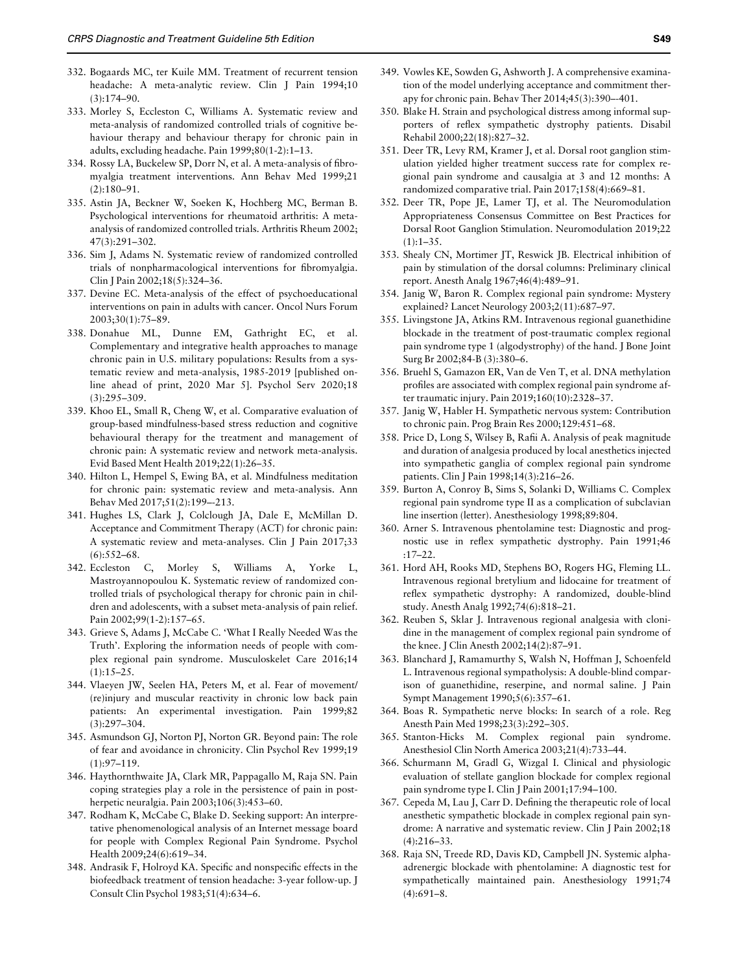- <span id="page-48-0"></span>332. Bogaards MC, ter Kuile MM. Treatment of recurrent tension headache: A meta-analytic review. Clin J Pain 1994;10 (3):174–90.
- 333. Morley S, Eccleston C, Williams A. Systematic review and meta-analysis of randomized controlled trials of cognitive behaviour therapy and behaviour therapy for chronic pain in adults, excluding headache. Pain 1999;80(1-2):1–13.
- 334. Rossy LA, Buckelew SP, Dorr N, et al. A meta-analysis of fibromyalgia treatment interventions. Ann Behav Med 1999;21 (2):180–91.
- 335. Astin JA, Beckner W, Soeken K, Hochberg MC, Berman B. Psychological interventions for rheumatoid arthritis: A metaanalysis of randomized controlled trials. Arthritis Rheum 2002; 47(3):291–302.
- 336. Sim J, Adams N. Systematic review of randomized controlled trials of nonpharmacological interventions for fibromyalgia. Clin J Pain 2002;18(5):324–36.
- 337. Devine EC. Meta-analysis of the effect of psychoeducational interventions on pain in adults with cancer. Oncol Nurs Forum 2003;30(1):75–89.
- 338. Donahue ML, Dunne EM, Gathright EC, et al. Complementary and integrative health approaches to manage chronic pain in U.S. military populations: Results from a systematic review and meta-analysis, 1985-2019 [published online ahead of print, 2020 Mar 5]. Psychol Serv 2020;18 (3):295–309.
- 339. Khoo EL, Small R, Cheng W, et al. Comparative evaluation of group-based mindfulness-based stress reduction and cognitive behavioural therapy for the treatment and management of chronic pain: A systematic review and network meta-analysis. Evid Based Ment Health 2019;22(1):26–35.
- 340. Hilton L, Hempel S, Ewing BA, et al. Mindfulness meditation for chronic pain: systematic review and meta-analysis. Ann Behav Med 2017;51(2):199–-213.
- 341. Hughes LS, Clark J, Colclough JA, Dale E, McMillan D. Acceptance and Commitment Therapy (ACT) for chronic pain: A systematic review and meta-analyses. Clin J Pain 2017;33 (6):552–68.
- 342. Eccleston C, Morley S, Williams A, Yorke L, Mastroyannopoulou K. Systematic review of randomized controlled trials of psychological therapy for chronic pain in children and adolescents, with a subset meta-analysis of pain relief. Pain 2002;99(1-2):157–65.
- 343. Grieve S, Adams J, McCabe C. 'What I Really Needed Was the Truth'. Exploring the information needs of people with complex regional pain syndrome. Musculoskelet Care 2016;14 (1):15–25.
- 344. Vlaeyen JW, Seelen HA, Peters M, et al. Fear of movement/ (re)injury and muscular reactivity in chronic low back pain patients: An experimental investigation. Pain 1999;82 (3):297–304.
- 345. Asmundson GJ, Norton PJ, Norton GR. Beyond pain: The role of fear and avoidance in chronicity. Clin Psychol Rev 1999;19 (1):97–119.
- 346. Haythornthwaite JA, Clark MR, Pappagallo M, Raja SN. Pain coping strategies play a role in the persistence of pain in postherpetic neuralgia. Pain 2003;106(3):453–60.
- 347. Rodham K, McCabe C, Blake D. Seeking support: An interpretative phenomenological analysis of an Internet message board for people with Complex Regional Pain Syndrome. Psychol Health 2009;24(6):619–34.
- 348. Andrasik F, Holroyd KA. Specific and nonspecific effects in the biofeedback treatment of tension headache: 3-year follow-up. J Consult Clin Psychol 1983;51(4):634–6.
- 349. Vowles KE, Sowden G, Ashworth J. A comprehensive examination of the model underlying acceptance and commitment therapy for chronic pain. Behav Ther 2014;45(3):390–-401.
- 350. Blake H. Strain and psychological distress among informal supporters of reflex sympathetic dystrophy patients. Disabil Rehabil 2000;22(18):827–32.
- 351. Deer TR, Levy RM, Kramer J, et al. Dorsal root ganglion stimulation yielded higher treatment success rate for complex regional pain syndrome and causalgia at 3 and 12 months: A randomized comparative trial. Pain 2017;158(4):669–81.
- 352. Deer TR, Pope JE, Lamer TJ, et al. The Neuromodulation Appropriateness Consensus Committee on Best Practices for Dorsal Root Ganglion Stimulation. Neuromodulation 2019;22  $(1):1-35.$
- 353. Shealy CN, Mortimer JT, Reswick JB. Electrical inhibition of pain by stimulation of the dorsal columns: Preliminary clinical report. Anesth Analg 1967;46(4):489–91.
- 354. Janig W, Baron R. Complex regional pain syndrome: Mystery explained? Lancet Neurology 2003;2(11):687–97.
- 355. Livingstone JA, Atkins RM. Intravenous regional guanethidine blockade in the treatment of post-traumatic complex regional pain syndrome type 1 (algodystrophy) of the hand. J Bone Joint Surg Br 2002;84-B (3):380–6.
- 356. Bruehl S, Gamazon ER, Van de Ven T, et al. DNA methylation profiles are associated with complex regional pain syndrome after traumatic injury. Pain 2019;160(10):2328–37.
- 357. Janig W, Habler H. Sympathetic nervous system: Contribution to chronic pain. Prog Brain Res 2000;129:451–68.
- 358. Price D, Long S, Wilsey B, Rafii A. Analysis of peak magnitude and duration of analgesia produced by local anesthetics injected into sympathetic ganglia of complex regional pain syndrome patients. Clin J Pain 1998;14(3):216–26.
- 359. Burton A, Conroy B, Sims S, Solanki D, Williams C. Complex regional pain syndrome type II as a complication of subclavian line insertion (letter). Anesthesiology 1998;89:804.
- 360. Arner S. Intravenous phentolamine test: Diagnostic and prognostic use in reflex sympathetic dystrophy. Pain 1991;46 :17–22.
- 361. Hord AH, Rooks MD, Stephens BO, Rogers HG, Fleming LL. Intravenous regional bretylium and lidocaine for treatment of reflex sympathetic dystrophy: A randomized, double-blind study. Anesth Analg 1992;74(6):818–21.
- 362. Reuben S, Sklar J. Intravenous regional analgesia with clonidine in the management of complex regional pain syndrome of the knee. J Clin Anesth 2002;14(2):87–91.
- 363. Blanchard J, Ramamurthy S, Walsh N, Hoffman J, Schoenfeld L. Intravenous regional sympatholysis: A double-blind comparison of guanethidine, reserpine, and normal saline. J Pain Sympt Management 1990;5(6):357–61.
- 364. Boas R. Sympathetic nerve blocks: In search of a role. Reg Anesth Pain Med 1998;23(3):292–305.
- 365. Stanton-Hicks M. Complex regional pain syndrome. Anesthesiol Clin North America 2003;21(4):733–44.
- 366. Schurmann M, Gradl G, Wizgal I. Clinical and physiologic evaluation of stellate ganglion blockade for complex regional pain syndrome type I. Clin J Pain 2001;17:94–100.
- 367. Cepeda M, Lau J, Carr D. Defining the therapeutic role of local anesthetic sympathetic blockade in complex regional pain syndrome: A narrative and systematic review. Clin J Pain 2002;18 (4):216–33.
- 368. Raja SN, Treede RD, Davis KD, Campbell JN. Systemic alphaadrenergic blockade with phentolamine: A diagnostic test for sympathetically maintained pain. Anesthesiology 1991;74 (4):691–8.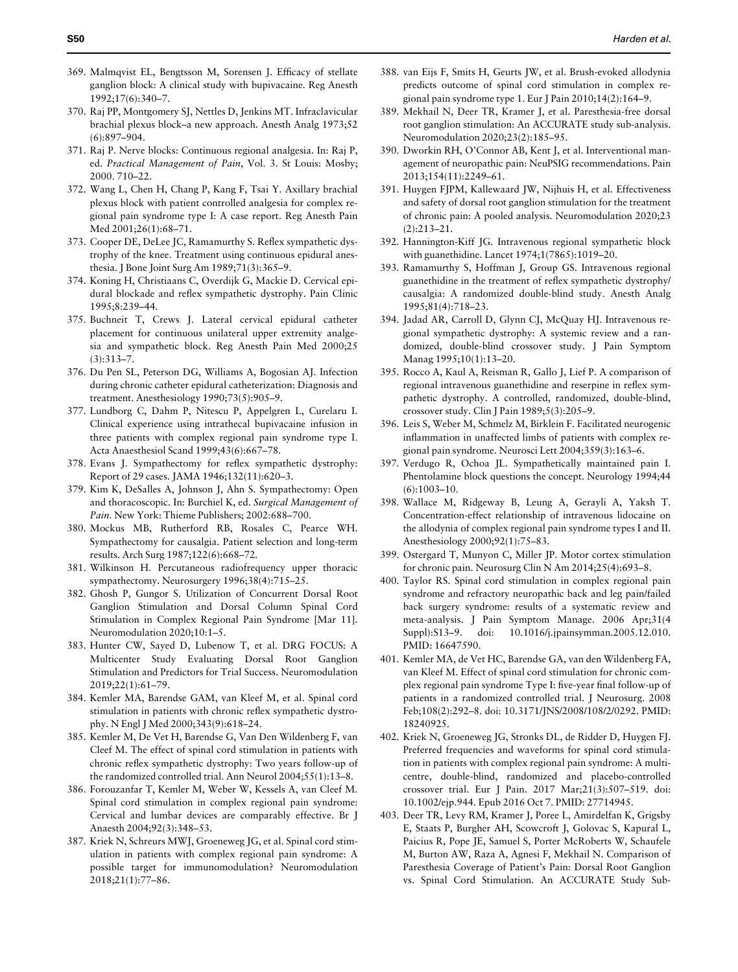- <span id="page-49-0"></span>369. Malmqvist EL, Bengtsson M, Sorensen J. Efficacy of stellate ganglion block: A clinical study with bupivacaine. Reg Anesth 1992;17(6):340–7.
- 370. Raj PP, Montgomery SJ, Nettles D, Jenkins MT. Infraclavicular brachial plexus block–a new approach. Anesth Analg 1973;52 (6):897–904.
- 371. Raj P. Nerve blocks: Continuous regional analgesia. In: Raj P, ed. Practical Management of Pain, Vol. 3. St Louis: Mosby; 2000. 710–22.
- 372. Wang L, Chen H, Chang P, Kang F, Tsai Y. Axillary brachial plexus block with patient controlled analgesia for complex regional pain syndrome type I: A case report. Reg Anesth Pain Med 2001;26(1):68–71.
- 373. Cooper DE, DeLee JC, Ramamurthy S. Reflex sympathetic dystrophy of the knee. Treatment using continuous epidural anesthesia. J Bone Joint Surg Am 1989;71(3):365–9.
- 374. Koning H, Christiaans C, Overdijk G, Mackie D. Cervical epidural blockade and reflex sympathetic dystrophy. Pain Clinic 1995;8:239–44.
- 375. Buchneit T, Crews J. Lateral cervical epidural catheter placement for continuous unilateral upper extremity analgesia and sympathetic block. Reg Anesth Pain Med 2000;25 (3):313–7.
- 376. Du Pen SL, Peterson DG, Williams A, Bogosian AJ. Infection during chronic catheter epidural catheterization: Diagnosis and treatment. Anesthesiology 1990;73(5):905–9.
- 377. Lundborg C, Dahm P, Nitescu P, Appelgren L, Curelaru I. Clinical experience using intrathecal bupivacaine infusion in three patients with complex regional pain syndrome type I. Acta Anaesthesiol Scand 1999;43(6):667–78.
- 378. Evans J. Sympathectomy for reflex sympathetic dystrophy: Report of 29 cases. JAMA 1946;132(11):620–3.
- 379. Kim K, DeSalles A, Johnson J, Ahn S. Sympathectomy: Open and thoracoscopic. In: Burchiel K, ed. Surgical Management of Pain. New York: Thieme Publishers; 2002:688–700.
- 380. Mockus MB, Rutherford RB, Rosales C, Pearce WH. Sympathectomy for causalgia. Patient selection and long-term results. Arch Surg 1987;122(6):668–72.
- 381. Wilkinson H. Percutaneous radiofrequency upper thoracic sympathectomy. Neurosurgery 1996;38(4):715–25.
- 382. Ghosh P, Gungor S. Utilization of Concurrent Dorsal Root Ganglion Stimulation and Dorsal Column Spinal Cord Stimulation in Complex Regional Pain Syndrome [Mar 11]. Neuromodulation 2020;10:1–5.
- 383. Hunter CW, Sayed D, Lubenow T, et al. DRG FOCUS: A Multicenter Study Evaluating Dorsal Root Ganglion Stimulation and Predictors for Trial Success. Neuromodulation 2019;22(1):61–79.
- 384. Kemler MA, Barendse GAM, van Kleef M, et al. Spinal cord stimulation in patients with chronic reflex sympathetic dystrophy. N Engl J Med 2000;343(9):618–24.
- 385. Kemler M, De Vet H, Barendse G, Van Den Wildenberg F, van Cleef M. The effect of spinal cord stimulation in patients with chronic reflex sympathetic dystrophy: Two years follow-up of the randomized controlled trial. Ann Neurol 2004;55(1):13–8.
- 386. Forouzanfar T, Kemler M, Weber W, Kessels A, van Cleef M. Spinal cord stimulation in complex regional pain syndrome: Cervical and lumbar devices are comparably effective. Br J Anaesth 2004;92(3):348–53.
- 387. Kriek N, Schreurs MWJ, Groeneweg JG, et al. Spinal cord stimulation in patients with complex regional pain syndrome: A possible target for immunomodulation? Neuromodulation 2018;21(1):77–86.
- 388. van Eijs F, Smits H, Geurts JW, et al. Brush-evoked allodynia predicts outcome of spinal cord stimulation in complex regional pain syndrome type 1. Eur J Pain 2010;14(2):164–9.
- 389. Mekhail N, Deer TR, Kramer J, et al. Paresthesia-free dorsal root ganglion stimulation: An ACCURATE study sub-analysis. Neuromodulation 2020;23(2):185–95.
- 390. Dworkin RH, O'Connor AB, Kent J, et al. Interventional management of neuropathic pain: NeuPSIG recommendations. Pain 2013;154(11):2249–61.
- 391. Huygen FJPM, Kallewaard JW, Nijhuis H, et al. Effectiveness and safety of dorsal root ganglion stimulation for the treatment of chronic pain: A pooled analysis. Neuromodulation 2020;23 (2):213–21.
- 392. Hannington-Kiff JG. Intravenous regional sympathetic block with guanethidine. Lancet 1974;1(7865):1019–20.
- 393. Ramamurthy S, Hoffman J, Group GS. Intravenous regional guanethidine in the treatment of reflex sympathetic dystrophy/ causalgia: A randomized double-blind study. Anesth Analg 1995;81(4):718–23.
- 394. Jadad AR, Carroll D, Glynn CJ, McQuay HJ. Intravenous regional sympathetic dystrophy: A systemic review and a randomized, double-blind crossover study. J Pain Symptom Manag 1995;10(1):13–20.
- 395. Rocco A, Kaul A, Reisman R, Gallo J, Lief P. A comparison of regional intravenous guanethidine and reserpine in reflex sympathetic dystrophy. A controlled, randomized, double-blind, crossover study. Clin J Pain 1989;5(3):205–9.
- 396. Leis S, Weber M, Schmelz M, Birklein F. Facilitated neurogenic inflammation in unaffected limbs of patients with complex regional pain syndrome. Neurosci Lett 2004;359(3):163–6.
- 397. Verdugo R, Ochoa JL. Sympathetically maintained pain I. Phentolamine block questions the concept. Neurology 1994;44 (6):1003–10.
- 398. Wallace M, Ridgeway B, Leung A, Gerayli A, Yaksh T. Concentration-effect relationship of intravenous lidocaine on the allodynia of complex regional pain syndrome types I and II. Anesthesiology 2000;92(1):75–83.
- 399. Ostergard T, Munyon C, Miller JP. Motor cortex stimulation for chronic pain. Neurosurg Clin N Am 2014;25(4):693–8.
- 400. Taylor RS. Spinal cord stimulation in complex regional pain syndrome and refractory neuropathic back and leg pain/failed back surgery syndrome: results of a systematic review and meta-analysis. J Pain Symptom Manage. 2006 Apr;31(4 Suppl):S13–9. doi: 10.1016/j.jpainsymman.2005.12.010. PMID: 16647590.
- 401. Kemler MA, de Vet HC, Barendse GA, van den Wildenberg FA, van Kleef M. Effect of spinal cord stimulation for chronic complex regional pain syndrome Type I: five-year final follow-up of patients in a randomized controlled trial. J Neurosurg. 2008 Feb;108(2):292–8. doi: 10.3171/JNS/2008/108/2/0292. PMID: 18240925.
- 402. Kriek N, Groeneweg JG, Stronks DL, de Ridder D, Huygen FJ. Preferred frequencies and waveforms for spinal cord stimulation in patients with complex regional pain syndrome: A multicentre, double-blind, randomized and placebo-controlled crossover trial. Eur J Pain. 2017 Mar;21(3):507–519. doi: 10.1002/ejp.944. Epub 2016 Oct 7. PMID: 27714945.
- 403. Deer TR, Levy RM, Kramer J, Poree L, Amirdelfan K, Grigsby E, Staats P, Burgher AH, Scowcroft J, Golovac S, Kapural L, Paicius R, Pope JE, Samuel S, Porter McRoberts W, Schaufele M, Burton AW, Raza A, Agnesi F, Mekhail N. Comparison of Paresthesia Coverage of Patient's Pain: Dorsal Root Ganglion vs. Spinal Cord Stimulation. An ACCURATE Study Sub-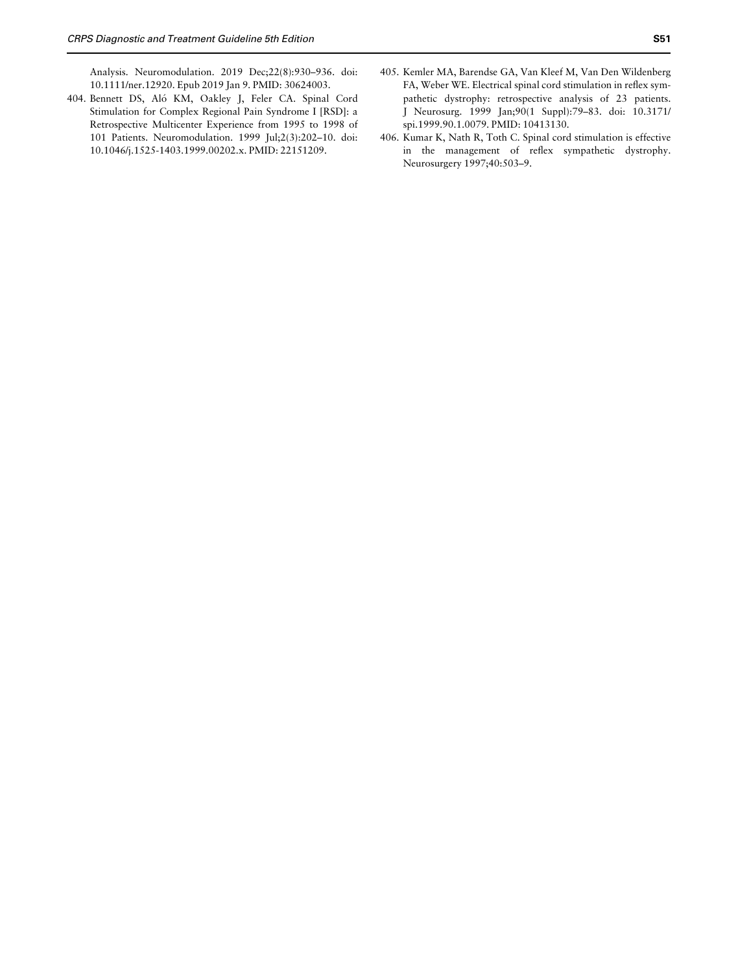<span id="page-50-0"></span>Analysis. Neuromodulation. 2019 Dec;22(8):930–936. doi: 10.1111/ner.12920. Epub 2019 Jan 9. PMID: 30624003.

- 404. Bennett DS, Aló KM, Oakley J, Feler CA. Spinal Cord Stimulation for Complex Regional Pain Syndrome I [RSD]: a Retrospective Multicenter Experience from 1995 to 1998 of 101 Patients. Neuromodulation. 1999 Jul;2(3):202–10. doi: 10.1046/j.1525-1403.1999.00202.x. PMID: 22151209.
- 405. Kemler MA, Barendse GA, Van Kleef M, Van Den Wildenberg FA, Weber WE. Electrical spinal cord stimulation in reflex sympathetic dystrophy: retrospective analysis of 23 patients. J Neurosurg. 1999 Jan;90(1 Suppl):79–83. doi: 10.3171/ spi.1999.90.1.0079. PMID: 10413130.
- 406. Kumar K, Nath R, Toth C. Spinal cord stimulation is effective in the management of reflex sympathetic dystrophy. Neurosurgery 1997;40:503–9.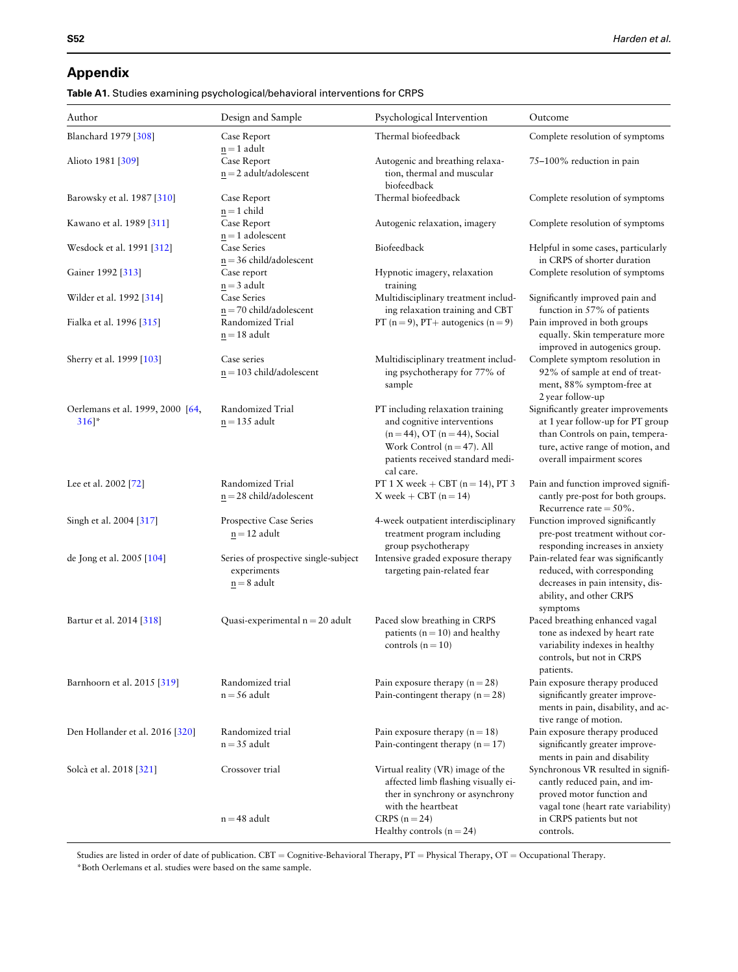## <span id="page-51-0"></span>Appendix

Table A1. Studies examining psychological/behavioral interventions for CRPS

| Author                                                 | Design and Sample                                                    | Psychological Intervention                                                                                                                                                               | Outcome                                                                                                                                                                     |
|--------------------------------------------------------|----------------------------------------------------------------------|------------------------------------------------------------------------------------------------------------------------------------------------------------------------------------------|-----------------------------------------------------------------------------------------------------------------------------------------------------------------------------|
| Blanchard 1979 [308]                                   | Case Report                                                          | Thermal biofeedback                                                                                                                                                                      | Complete resolution of symptoms                                                                                                                                             |
| Alioto 1981 [309]                                      | $n = 1$ adult<br>Case Report<br>$n = 2$ adult/adolescent             | Autogenic and breathing relaxa-<br>tion, thermal and muscular<br>biofeedback                                                                                                             | 75–100% reduction in pain                                                                                                                                                   |
| Barowsky et al. 1987 [310]                             | Case Report                                                          | Thermal biofeedback                                                                                                                                                                      | Complete resolution of symptoms                                                                                                                                             |
| Kawano et al. 1989 [311]                               | $n = 1$ child<br>Case Report<br>$n = 1$ adolescent                   | Autogenic relaxation, imagery                                                                                                                                                            | Complete resolution of symptoms                                                                                                                                             |
| Wesdock et al. 1991 [312]                              | Case Series<br>$n = 36$ child/adolescent                             | Biofeedback                                                                                                                                                                              | Helpful in some cases, particularly<br>in CRPS of shorter duration                                                                                                          |
| Gainer 1992 [313]                                      | Case report<br>$n = 3$ adult                                         | Hypnotic imagery, relaxation<br>training                                                                                                                                                 | Complete resolution of symptoms                                                                                                                                             |
| Wilder et al. 1992 [314]                               | Case Series<br>$n = 70$ child/adolescent                             | Multidisciplinary treatment includ-<br>ing relaxation training and CBT                                                                                                                   | Significantly improved pain and<br>function in 57% of patients                                                                                                              |
| Fialka et al. 1996 [315]                               | Randomized Trial<br>$n = 18$ adult                                   | PT ( $n = 9$ ), PT+ autogenics ( $n = 9$ )                                                                                                                                               | Pain improved in both groups<br>equally. Skin temperature more<br>improved in autogenics group.                                                                             |
| Sherry et al. 1999 [103]                               | Case series<br>$n = 103$ child/adolescent                            | Multidisciplinary treatment includ-<br>ing psychotherapy for 77% of<br>sample                                                                                                            | Complete symptom resolution in<br>92% of sample at end of treat-<br>ment, 88% symptom-free at<br>2 year follow-up                                                           |
| Oerlemans et al. 1999, 2000 [64,<br>$316$ <sup>*</sup> | Randomized Trial<br>$n = 135$ adult                                  | PT including relaxation training<br>and cognitive interventions<br>$(n = 44)$ , OT $(n = 44)$ , Social<br>Work Control $(n = 47)$ . All<br>patients received standard medi-<br>cal care. | Significantly greater improvements<br>at 1 year follow-up for PT group<br>than Controls on pain, tempera-<br>ture, active range of motion, and<br>overall impairment scores |
| Lee et al. 2002 [72]                                   | Randomized Trial<br>$n = 28$ child/adolescent                        | PT 1 X week + CBT ( $n = 14$ ), PT 3<br>$X$ week + CBT ( $n = 14$ )                                                                                                                      | Pain and function improved signifi-<br>cantly pre-post for both groups.<br>Recurrence rate = $50\%$ .                                                                       |
| Singh et al. 2004 [317]                                | Prospective Case Series<br>$n = 12$ adult                            | 4-week outpatient interdisciplinary<br>treatment program including<br>group psychotherapy                                                                                                | Function improved significantly<br>pre-post treatment without cor-<br>responding increases in anxiety                                                                       |
| de Jong et al. 2005 [104]                              | Series of prospective single-subject<br>experiments<br>$n = 8$ adult | Intensive graded exposure therapy<br>targeting pain-related fear                                                                                                                         | Pain-related fear was significantly<br>reduced, with corresponding<br>decreases in pain intensity, dis-<br>ability, and other CRPS<br>symptoms                              |
| Bartur et al. 2014 [318]                               | Quasi-experimental $n = 20$ adult                                    | Paced slow breathing in CRPS<br>patients ( $n = 10$ ) and healthy<br>controls $(n = 10)$                                                                                                 | Paced breathing enhanced vagal<br>tone as indexed by heart rate<br>variability indexes in healthy<br>controls, but not in CRPS<br>patients.                                 |
| Barnhoorn et al. 2015 [319]                            | Randomized trial<br>$n = 56$ adult                                   | Pain exposure therapy $(n = 28)$<br>Pain-contingent therapy $(n = 28)$                                                                                                                   | Pain exposure therapy produced<br>significantly greater improve-<br>ments in pain, disability, and ac-<br>tive range of motion.                                             |
| Den Hollander et al. 2016 [320]                        | Randomized trial<br>$n = 35$ adult                                   | Pain exposure therapy $(n = 18)$<br>Pain-contingent therapy $(n = 17)$                                                                                                                   | Pain exposure therapy produced<br>significantly greater improve-<br>ments in pain and disability                                                                            |
| Solcà et al. 2018 [321]                                | Crossover trial                                                      | Virtual reality (VR) image of the<br>affected limb flashing visually ei-<br>ther in synchrony or asynchrony<br>with the heartbeat                                                        | Synchronous VR resulted in signifi-<br>cantly reduced pain, and im-<br>proved motor function and<br>vagal tone (heart rate variability)                                     |
|                                                        | $n = 48$ adult                                                       | CRPS $(n=24)$<br>Healthy controls $(n = 24)$                                                                                                                                             | in CRPS patients but not<br>controls.                                                                                                                                       |

Studies are listed in order of date of publication. CBT = Cognitive-Behavioral Therapy, PT = Physical Therapy, OT = Occupational Therapy. \*Both Oerlemans et al. studies were based on the same sample.